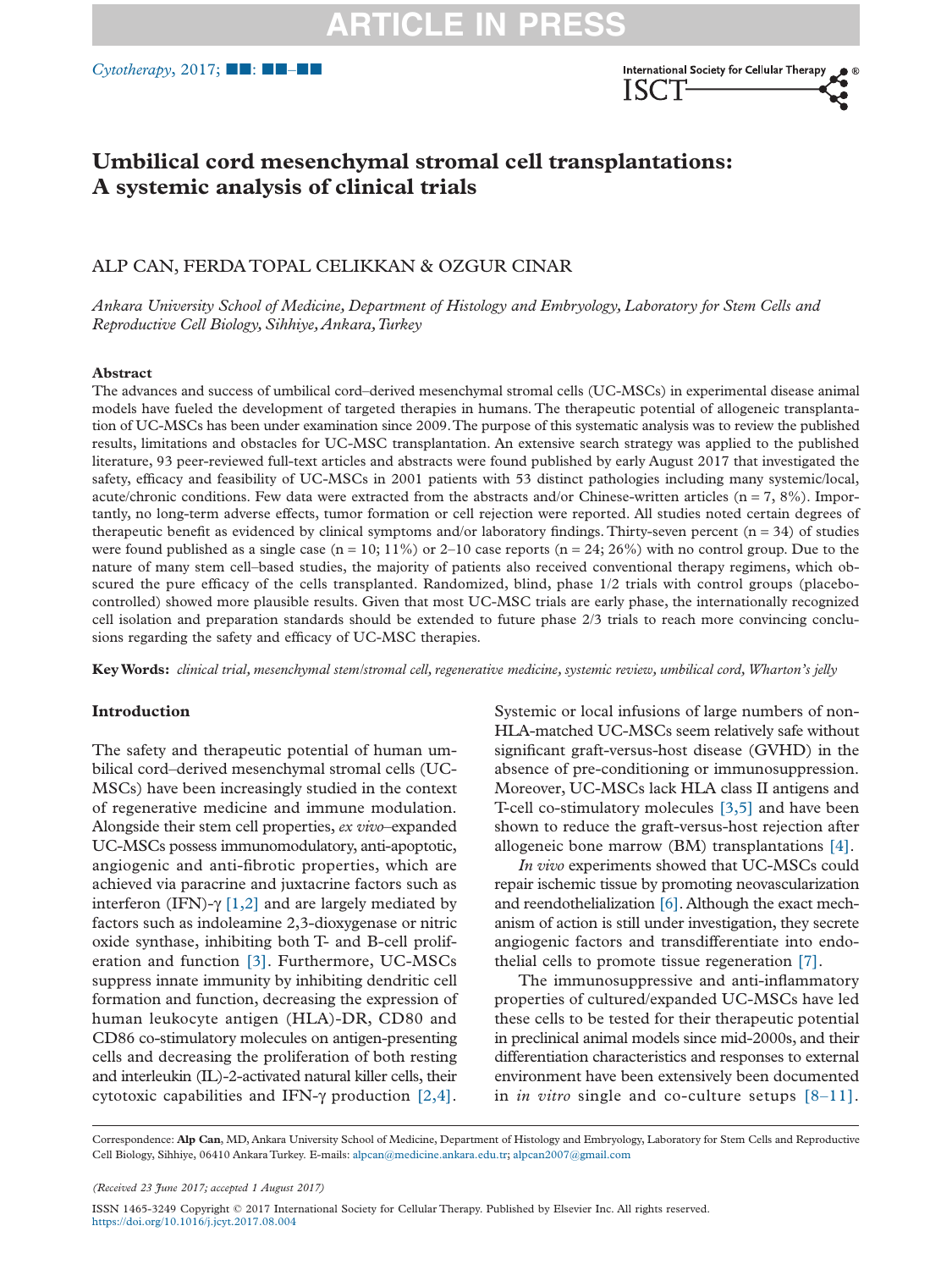## International Society for Cellular Therapy **ISCT**

## **Umbilical cord mesenchymal stromal cell transplantations: A systemic analysis of clinical trials**

## ALP CAN, FERDA TOPAL CELIKKAN & OZGUR CINAR

*Ankara University School of Medicine, Department of Histology and Embryology, Laboratory for Stem Cells and Reproductive Cell Biology, Sihhiye,Ankara,Turkey*

#### **Abstract**

The advances and success of umbilical cord–derived mesenchymal stromal cells (UC-MSCs) in experimental disease animal models have fueled the development of targeted therapies in humans. The therapeutic potential of allogeneic transplantation of UC-MSCs has been under examination since 2009.The purpose of this systematic analysis was to review the published results, limitations and obstacles for UC-MSC transplantation. An extensive search strategy was applied to the published literature, 93 peer-reviewed full-text articles and abstracts were found published by early August 2017 that investigated the safety, efficacy and feasibility of UC-MSCs in 2001 patients with 53 distinct pathologies including many systemic/local, acute/chronic conditions. Few data were extracted from the abstracts and/or Chinese-written articles  $(n = 7, 8\%)$ . Importantly, no long-term adverse effects, tumor formation or cell rejection were reported. All studies noted certain degrees of therapeutic benefit as evidenced by clinical symptoms and/or laboratory findings. Thirty-seven percent  $(n = 34)$  of studies were found published as a single case  $(n = 10; 11\%)$  or 2–10 case reports  $(n = 24; 26\%)$  with no control group. Due to the nature of many stem cell–based studies, the majority of patients also received conventional therapy regimens, which obscured the pure efficacy of the cells transplanted. Randomized, blind, phase 1/2 trials with control groups (placebocontrolled) showed more plausible results. Given that most UC-MSC trials are early phase, the internationally recognized cell isolation and preparation standards should be extended to future phase 2/3 trials to reach more convincing conclusions regarding the safety and efficacy of UC-MSC therapies.

**KeyWords:** *clinical trial, mesenchymal stem/stromal cell, regenerative medicine, systemic review, umbilical cord, Wharton's jelly*

## **Introduction**

The safety and therapeutic potential of human umbilical cord–derived mesenchymal stromal cells (UC-MSCs) have been increasingly studied in the context of regenerative medicine and immune modulation. Alongside their stem cell properties, *ex vivo*–expanded UC-MSCs possess immunomodulatory, anti-apoptotic, angiogenic and anti-fibrotic properties, which are achieved via paracrine and juxtacrine factors such as interferon (IFN)-γ [\[1,2\]](#page-27-0) and are largely mediated by factors such as indoleamine 2,3-dioxygenase or nitric oxide synthase, inhibiting both T- and B-cell proliferation and function [\[3\].](#page-27-1) Furthermore, UC-MSCs suppress innate immunity by inhibiting dendritic cell formation and function, decreasing the expression of human leukocyte antigen (HLA)-DR, CD80 and CD86 co-stimulatory molecules on antigen-presenting cells and decreasing the proliferation of both resting and interleukin (IL)-2-activated natural killer cells, their cytotoxic capabilities and IFN-γ production [\[2,4\].](#page-27-2)

Systemic or local infusions of large numbers of non-HLA-matched UC-MSCs seem relatively safe without significant graft-versus-host disease (GVHD) in the absence of pre-conditioning or immunosuppression. Moreover, UC-MSCs lack HLA class II antigens and T-cell co-stimulatory molecules [\[3,5\]](#page-27-1) and have been shown to reduce the graft-versus-host rejection after allogeneic bone marrow (BM) transplantations [\[4\].](#page-27-3)

*In vivo* experiments showed that UC-MSCs could repair ischemic tissue by promoting neovascularization and reendothelialization [\[6\].](#page-27-4) Although the exact mechanism of action is still under investigation, they secrete angiogenic factors and transdifferentiate into endothelial cells to promote tissue regeneration [\[7\].](#page-27-5)

The immunosuppressive and anti-inflammatory properties of cultured/expanded UC-MSCs have led these cells to be tested for their therapeutic potential in preclinical animal models since mid-2000s, and their differentiation characteristics and responses to external environment have been extensively been documented in *in vitro* single and co-culture setups [\[8–11\].](#page-27-6)

*(Received 23 June 2017; accepted 1 August 2017)*

Correspondence: **Alp Can**, MD, Ankara University School of Medicine, Department of Histology and Embryology, Laboratory for Stem Cells and Reproductive Cell Biology, Sihhiye, 06410 Ankara Turkey. E-mails: [alpcan@medicine.ankara.edu.tr;](mailto:alpcan@medicine.ankara.edu.tr) [alpcan2007@gmail.com](mailto:alpcan2007@gmail.com)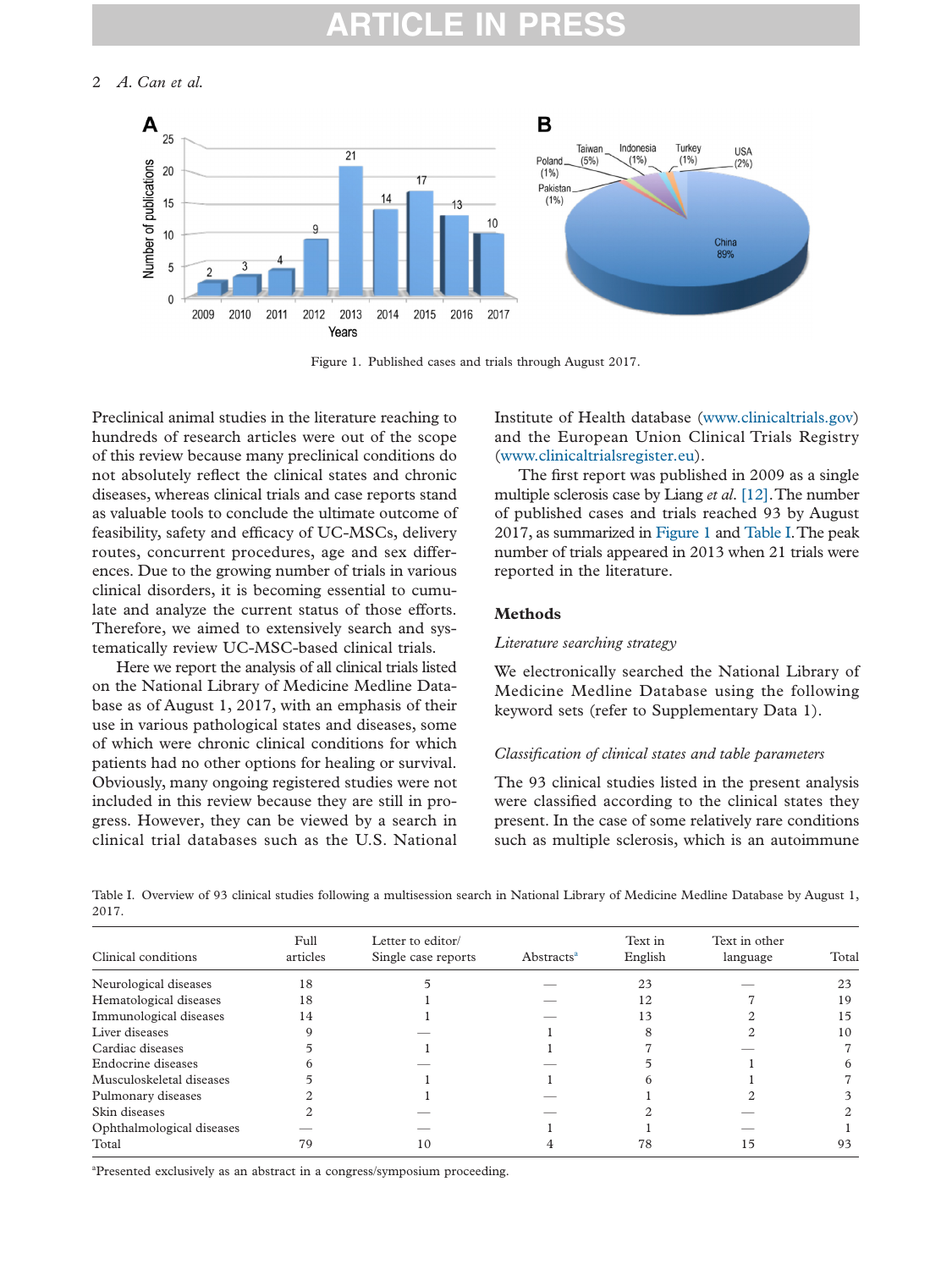<span id="page-1-1"></span>2 *A. Can et al.*



Figure 1. Published cases and trials through August 2017.

Preclinical animal studies in the literature reaching to hundreds of research articles were out of the scope of this review because many preclinical conditions do not absolutely reflect the clinical states and chronic diseases, whereas clinical trials and case reports stand as valuable tools to conclude the ultimate outcome of feasibility, safety and efficacy of UC-MSCs, delivery routes, concurrent procedures, age and sex differences. Due to the growing number of trials in various clinical disorders, it is becoming essential to cumulate and analyze the current status of those efforts. Therefore, we aimed to extensively search and systematically review UC-MSC-based clinical trials.

Here we report the analysis of all clinical trials listed on the National Library of Medicine Medline Database as of August 1, 2017, with an emphasis of their use in various pathological states and diseases, some of which were chronic clinical conditions for which patients had no other options for healing or survival. Obviously, many ongoing registered studies were not included in this review because they are still in progress. However, they can be viewed by a search in clinical trial databases such as the U.S. National

Institute of Health database [\(www.clinicaltrials.gov\)](http://www.clinicaltrials.gov) and the European Union Clinical Trials Registry [\(www.clinicaltrialsregister.eu\)](http://www.clinicaltrialsregister.eu).

The first report was published in 2009 as a single multiple sclerosis case by Liang *et al*. [\[12\].](#page-28-0)The number of published cases and trials reached 93 by August 2017, as summarized in Figure 1 and Table I.The peak number of trials appeared in 2013 when 21 trials were reported in the literature.

## **Methods**

## *Literature searching strategy*

We electronically searched the National Library of Medicine Medline Database using the following keyword sets (refer to Supplementary Data 1).

## *Classification of clinical states and table parameters*

The 93 clinical studies listed in the present analysis were classified according to the clinical states they present. In the case of some relatively rare conditions such as multiple sclerosis, which is an autoimmune

| Clinical conditions       | Full<br>articles | Letter to editor/<br>Single case reports | Abstracts <sup>a</sup> | Text in<br>English | Text in other<br>language | Total |
|---------------------------|------------------|------------------------------------------|------------------------|--------------------|---------------------------|-------|
| Neurological diseases     | 18               |                                          |                        | 23                 |                           | 23    |
| Hematological diseases    | 18               |                                          |                        | 12                 |                           | 19    |
| Immunological diseases    | 14               |                                          |                        | 13                 |                           | 15    |
| Liver diseases            |                  |                                          |                        |                    |                           | 10    |
| Cardiac diseases          |                  |                                          |                        |                    |                           |       |
| Endocrine diseases        |                  |                                          |                        |                    |                           |       |
| Musculoskeletal diseases  |                  |                                          |                        |                    |                           |       |
| Pulmonary diseases        |                  |                                          |                        |                    |                           |       |
| Skin diseases             |                  |                                          |                        |                    |                           |       |
| Ophthalmological diseases |                  |                                          |                        |                    |                           |       |
| Total                     | 79               | 10                                       |                        | 78                 | 15                        | 93    |
|                           |                  |                                          |                        |                    |                           |       |

Table I. Overview of 93 clinical studies following a multisession search in National Library of Medicine Medline Database by August 1, 2017.

<span id="page-1-0"></span>a Presented exclusively as an abstract in a congress/symposium proceeding.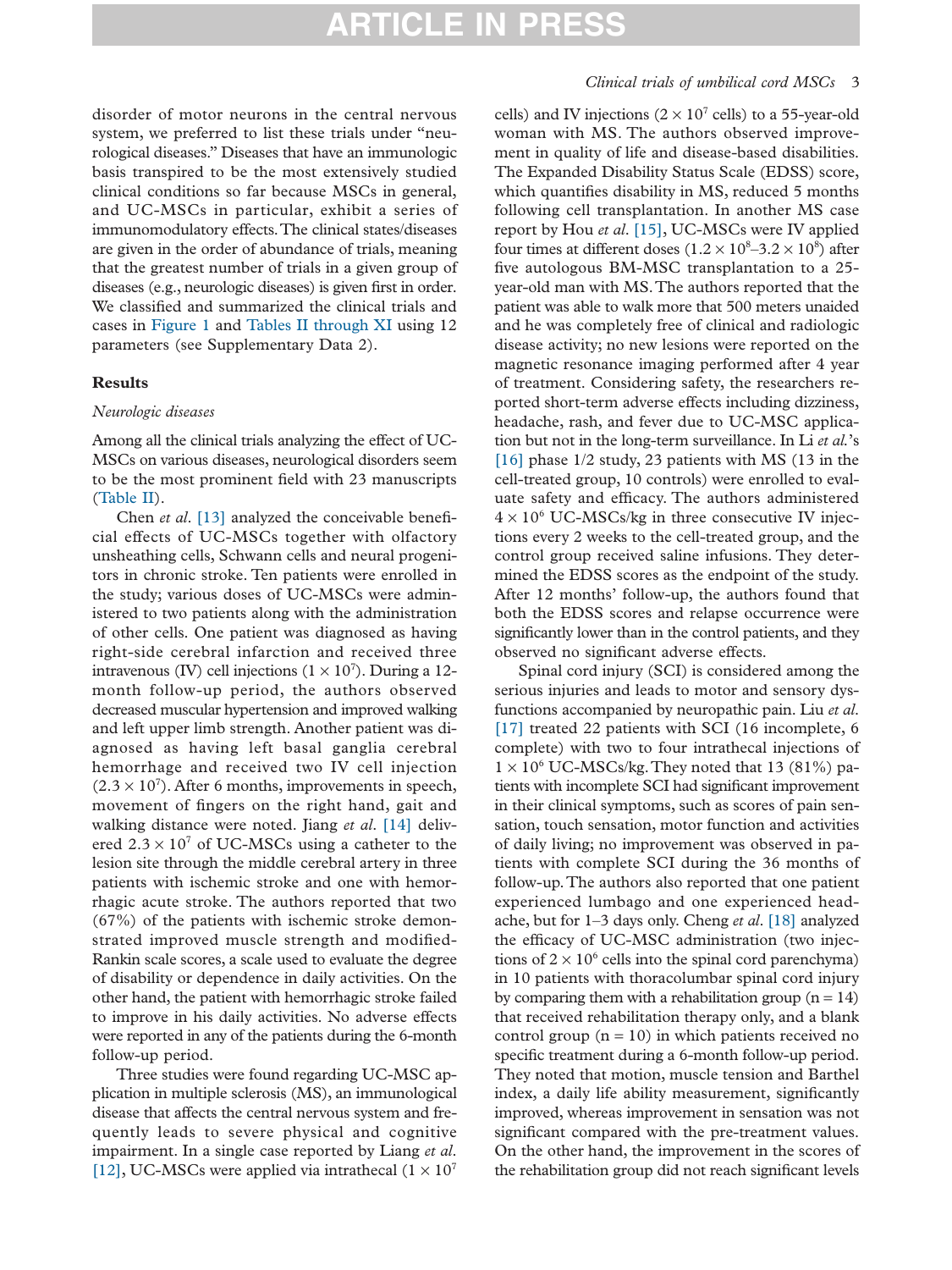disorder of motor neurons in the central nervous system, we preferred to list these trials under "neurological diseases." Diseases that have an immunologic basis transpired to be the most extensively studied clinical conditions so far because MSCs in general, and UC-MSCs in particular, exhibit a series of immunomodulatory effects.The clinical states/diseases are given in the order of abundance of trials, meaning that the greatest number of trials in a given group of diseases (e.g., neurologic diseases) is given first in order. We classified and summarized the clinical trials and cases in [Figure 1](#page-1-1) and [Tables II through XI](#page-3-0) using 12 parameters (see Supplementary Data 2).

## **Results**

## *Neurologic diseases*

Among all the clinical trials analyzing the effect of UC-MSCs on various diseases, neurological disorders seem to be the most prominent field with 23 manuscripts [\(Table II\)](#page-3-0).

Chen *et al*. [\[13\]](#page-28-1) analyzed the conceivable beneficial effects of UC-MSCs together with olfactory unsheathing cells, Schwann cells and neural progenitors in chronic stroke. Ten patients were enrolled in the study; various doses of UC-MSCs were administered to two patients along with the administration of other cells. One patient was diagnosed as having right-side cerebral infarction and received three intravenous (IV) cell injections  $(1 \times 10^7)$ . During a 12month follow-up period, the authors observed decreased muscular hypertension and improved walking and left upper limb strength. Another patient was diagnosed as having left basal ganglia cerebral hemorrhage and received two IV cell injection  $(2.3 \times 10^7)$ . After 6 months, improvements in speech, movement of fingers on the right hand, gait and walking distance were noted. Jiang *et al*. [\[14\]](#page-28-2) delivered  $2.3 \times 10^7$  of UC-MSCs using a catheter to the lesion site through the middle cerebral artery in three patients with ischemic stroke and one with hemorrhagic acute stroke. The authors reported that two (67%) of the patients with ischemic stroke demonstrated improved muscle strength and modified-Rankin scale scores, a scale used to evaluate the degree of disability or dependence in daily activities. On the other hand, the patient with hemorrhagic stroke failed to improve in his daily activities. No adverse effects were reported in any of the patients during the 6-month follow-up period.

Three studies were found regarding UC-MSC application in multiple sclerosis (MS), an immunological disease that affects the central nervous system and frequently leads to severe physical and cognitive impairment. In a single case reported by Liang *et al*. [\[12\],](#page-28-0) UC-MSCs were applied via intrathecal  $(1 \times 10^7)$ 

## *Clinical trials of umbilical cord MSCs* 3

cells) and IV injections ( $2 \times 10^7$  cells) to a 55-year-old woman with MS. The authors observed improvement in quality of life and disease-based disabilities. The Expanded Disability Status Scale (EDSS) score, which quantifies disability in MS, reduced 5 months following cell transplantation. In another MS case report by Hou *et al*. [\[15\],](#page-28-3) UC-MSCs were IV applied four times at different doses  $(1.2 \times 10^8 - 3.2 \times 10^8)$  after five autologous BM-MSC transplantation to a 25 year-old man with MS.The authors reported that the patient was able to walk more that 500 meters unaided and he was completely free of clinical and radiologic disease activity; no new lesions were reported on the magnetic resonance imaging performed after 4 year of treatment. Considering safety, the researchers reported short-term adverse effects including dizziness, headache, rash, and fever due to UC-MSC application but not in the long-term surveillance. In Li *et al.*'s [\[16\]](#page-28-4) phase 1/2 study, 23 patients with MS (13 in the cell-treated group, 10 controls) were enrolled to evaluate safety and efficacy. The authors administered  $4 \times 10^6$  UC-MSCs/kg in three consecutive IV injections every 2 weeks to the cell-treated group, and the control group received saline infusions. They determined the EDSS scores as the endpoint of the study. After 12 months' follow-up, the authors found that both the EDSS scores and relapse occurrence were significantly lower than in the control patients, and they observed no significant adverse effects.

Spinal cord injury (SCI) is considered among the serious injuries and leads to motor and sensory dysfunctions accompanied by neuropathic pain. Liu *et al*. [\[17\]](#page-28-5) treated 22 patients with SCI (16 incomplete, 6 complete) with two to four intrathecal injections of  $1 \times 10^6$  UC-MSCs/kg. They noted that 13 (81%) patients with incomplete SCI had significant improvement in their clinical symptoms, such as scores of pain sensation, touch sensation, motor function and activities of daily living; no improvement was observed in patients with complete SCI during the 36 months of follow-up.The authors also reported that one patient experienced lumbago and one experienced headache, but for 1–3 days only. Cheng *et al*. [\[18\]](#page-28-6) analyzed the efficacy of UC-MSC administration (two injections of  $2 \times 10^6$  cells into the spinal cord parenchyma) in 10 patients with thoracolumbar spinal cord injury by comparing them with a rehabilitation group  $(n = 14)$ that received rehabilitation therapy only, and a blank control group  $(n = 10)$  in which patients received no specific treatment during a 6-month follow-up period. They noted that motion, muscle tension and Barthel index, a daily life ability measurement, significantly improved, whereas improvement in sensation was not significant compared with the pre-treatment values. On the other hand, the improvement in the scores of the rehabilitation group did not reach significant levels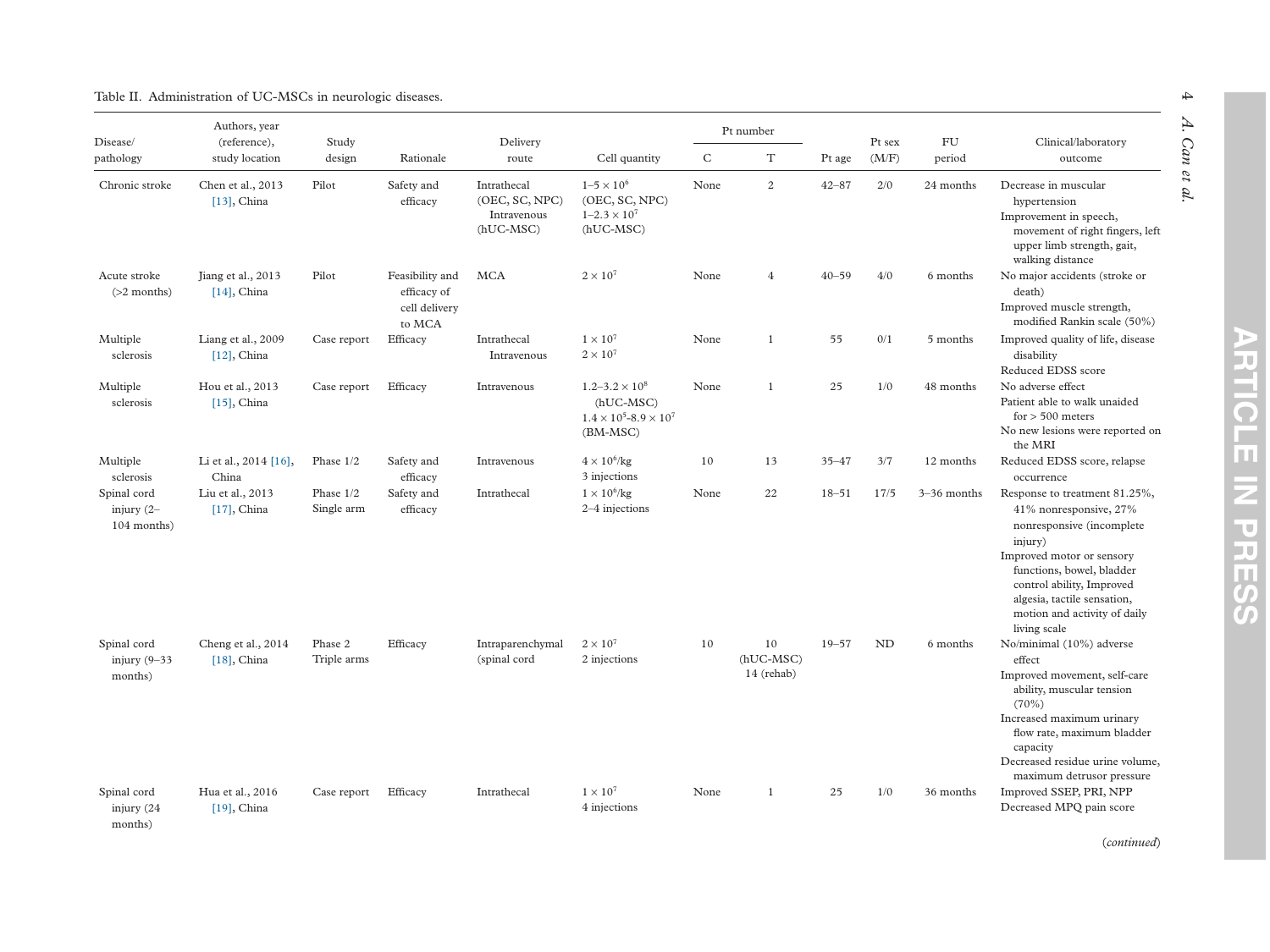| Disease/                                   | Authors, year<br>(reference),        | Study                   |                                                           | Delivery                                                    |                                                                                             |              | Pt number                     |           | Pt sex   | ${\rm FU}$    | Clinical/laboratory                                                                                                                                                                                                                                                   |
|--------------------------------------------|--------------------------------------|-------------------------|-----------------------------------------------------------|-------------------------------------------------------------|---------------------------------------------------------------------------------------------|--------------|-------------------------------|-----------|----------|---------------|-----------------------------------------------------------------------------------------------------------------------------------------------------------------------------------------------------------------------------------------------------------------------|
| pathology                                  | study location                       | design                  | Rationale                                                 | route                                                       | Cell quantity                                                                               | $\mathsf{C}$ | $\mathbf T$                   | Pt age    | (M/F)    | period        | outcome                                                                                                                                                                                                                                                               |
| Chronic stroke                             | Chen et al., 2013<br>$[13]$ , China  | Pilot                   | Safety and<br>efficacy                                    | Intrathecal<br>(OEC, SC, NPC)<br>Intravenous<br>$(hUC-MSC)$ | $1 - 5 \times 10^{6}$<br>(OEC, SC, NPC)<br>$1 - 2.3 \times 10^{7}$<br>$(hUC-MSC)$           | None         | $\overline{c}$                | $42 - 87$ | 2/0      | 24 months     | Decrease in muscular<br>hypertension<br>Improvement in speech,<br>movement of right fingers, left<br>upper limb strength, gait,<br>walking distance                                                                                                                   |
| Acute stroke<br>$(>2$ months)              | Jiang et al., 2013<br>$[14]$ , China | Pilot                   | Feasibility and<br>efficacy of<br>cell delivery<br>to MCA | <b>MCA</b>                                                  | $2 \times 10^7$                                                                             | None         | $\overline{4}$                | $40 - 59$ | 4/0      | 6 months      | No major accidents (stroke or<br>death)<br>Improved muscle strength,<br>modified Rankin scale (50%)                                                                                                                                                                   |
| Multiple<br>sclerosis                      | Liang et al., 2009<br>$[12]$ , China | Case report             | Efficacy                                                  | Intrathecal<br>Intravenous                                  | $1 \times 10^7$<br>$2 \times 10^7$                                                          | None         | 1                             | 55        | 0/1      | 5 months      | Improved quality of life, disease<br>disability<br>Reduced EDSS score                                                                                                                                                                                                 |
| Multiple<br>sclerosis                      | Hou et al., 2013<br>$[15]$ , China   | Case report             | Efficacy                                                  | Intravenous                                                 | $1.2 - 3.2 \times 10^8$<br>$(hUC-MSC)$<br>$1.4 \times 10^5 - 8.9 \times 10^7$<br>$(BM-MSC)$ | None         | 1                             | 25        | 1/0      | 48 months     | No adverse effect<br>Patient able to walk unaided<br>$for > 500$ meters<br>No new lesions were reported on<br>the MRI                                                                                                                                                 |
| Multiple<br>sclerosis                      | Li et al., 2014 [16],<br>China       | Phase 1/2               | Safety and<br>efficacy                                    | Intravenous                                                 | $4 \times 10^6$ /kg<br>3 injections                                                         | 10           | 13                            | $35 - 47$ | 3/7      | 12 months     | Reduced EDSS score, relapse<br>occurrence                                                                                                                                                                                                                             |
| Spinal cord<br>injury $(2-$<br>104 months) | Liu et al., 2013<br>$[17]$ , China   | Phase 1/2<br>Single arm | Safety and<br>efficacy                                    | Intrathecal                                                 | $1 \times 10^6$ /kg<br>2-4 injections                                                       | None         | 22                            | $18 - 51$ | 17/5     | $3-36$ months | Response to treatment 81.25%,<br>41% nonresponsive, 27%<br>nonresponsive (incomplete<br>injury)<br>Improved motor or sensory<br>functions, bowel, bladder<br>control ability, Improved<br>algesia, tactile sensation,<br>motion and activity of daily<br>living scale |
| Spinal cord<br>injury $(9-33)$<br>months)  | Cheng et al., 2014<br>$[18]$ , China | Phase 2<br>Triple arms  | Efficacy                                                  | Intraparenchymal<br>(spinal cord                            | $2 \times 10^7$<br>2 injections                                                             | 10           | 10<br>(hUC-MSC)<br>14 (rehab) | $19 - 57$ | $\rm ND$ | 6 months      | No/minimal (10%) adverse<br>effect<br>Improved movement, self-care<br>ability, muscular tension<br>(70%)<br>Increased maximum urinary<br>flow rate, maximum bladder<br>capacity<br>Decreased residue urine volume,<br>maximum detrusor pressure                       |
| Spinal cord<br>injury (24<br>months)       | Hua et al., 2016<br>$[19]$ , China   | Case report             | Efficacy                                                  | Intrathecal                                                 | $1 \times 10^7$<br>4 injections                                                             | None         | 1                             | 25        | 1/0      | 36 months     | Improved SSEP, PRI, NPP<br>Decreased MPQ pain score                                                                                                                                                                                                                   |

## <span id="page-3-0"></span>Table II. Administration of UC-MSCs in neurologic diseases.

 $\blacktriangle$  $\overline{\phantom{0}}$ L,

(*continued*)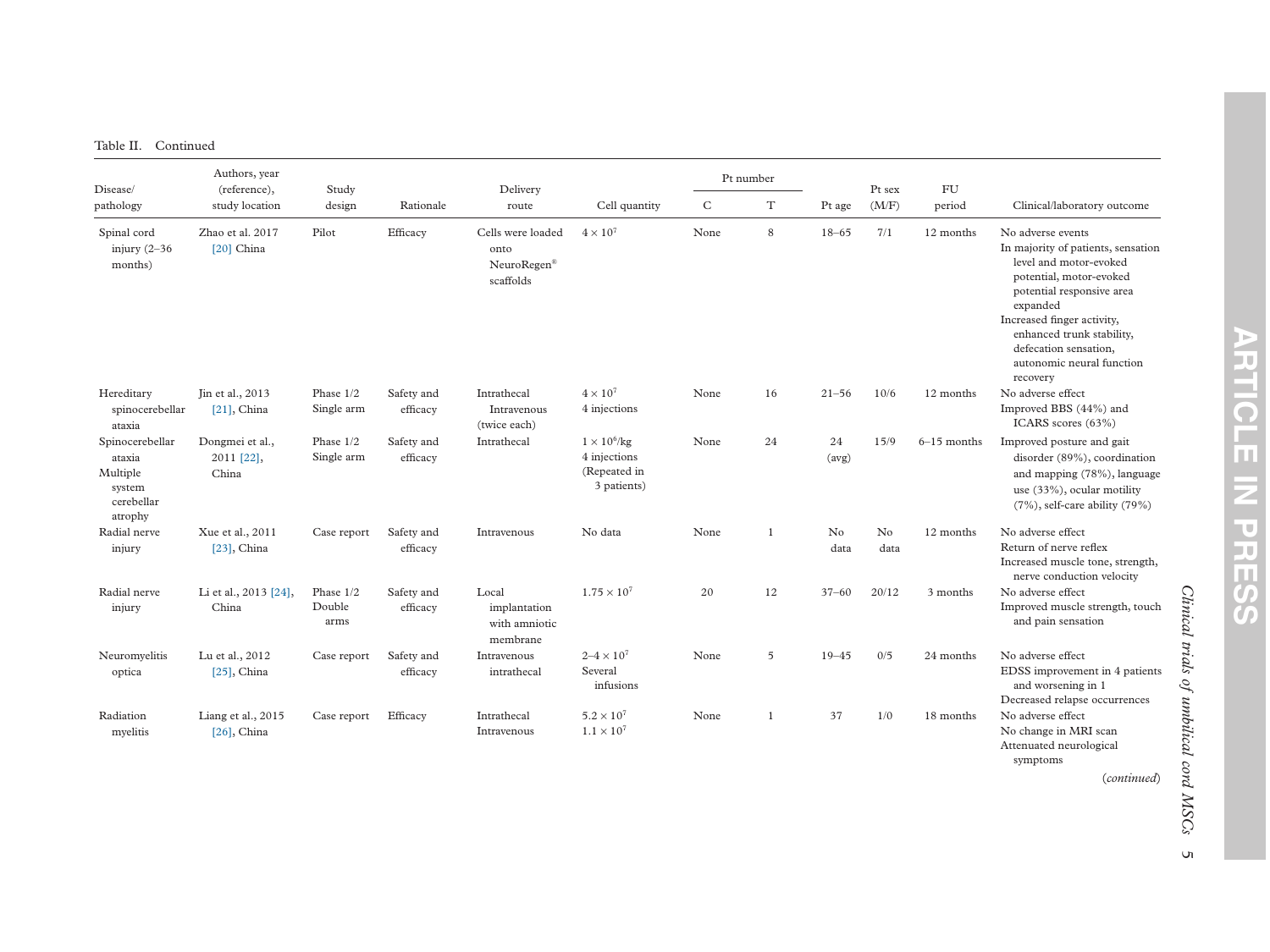#### Table II. Continued

| Disease/                                                                 | Authors, year<br>(reference),          | Study                         |                        | Delivery                                                          |                                                                    |              | Pt number    |             | Pt sex     | <b>FU</b>     |                                                                                                                                                                                                                                                                                    |
|--------------------------------------------------------------------------|----------------------------------------|-------------------------------|------------------------|-------------------------------------------------------------------|--------------------------------------------------------------------|--------------|--------------|-------------|------------|---------------|------------------------------------------------------------------------------------------------------------------------------------------------------------------------------------------------------------------------------------------------------------------------------------|
| pathology                                                                | study location                         | design                        | Rationale              | route                                                             | Cell quantity                                                      | $\mathsf{C}$ | $\mathbf T$  | Pt age      | (M/F)      | period        | Clinical/laboratory outcome                                                                                                                                                                                                                                                        |
| Spinal cord<br>injury $(2-36)$<br>months)                                | Zhao et al. 2017<br>[20] China         | Pilot                         | Efficacy               | Cells were loaded<br>onto<br>NeuroRegen <sup>®</sup><br>scaffolds | $4 \times 10^7$                                                    | None         | 8            | $18 - 65$   | 7/1        | 12 months     | No adverse events<br>In majority of patients, sensation<br>level and motor-evoked<br>potential, motor-evoked<br>potential responsive area<br>expanded<br>Increased finger activity,<br>enhanced trunk stability,<br>defecation sensation,<br>autonomic neural function<br>recovery |
| Hereditary<br>spinocerebellar<br>ataxia                                  | Jin et al., 2013<br>$[21]$ , China     | Phase 1/2<br>Single arm       | Safety and<br>efficacy | Intrathecal<br>Intravenous<br>(twice each)                        | $4 \times 10^7$<br>4 injections                                    | None         | 16           | $21 - 56$   | 10/6       | 12 months     | No adverse effect<br>Improved BBS (44%) and<br>ICARS scores (63%)                                                                                                                                                                                                                  |
| Spinocerebellar<br>ataxia<br>Multiple<br>system<br>cerebellar<br>atrophy | Dongmei et al.,<br>2011 [22],<br>China | Phase 1/2<br>Single arm       | Safety and<br>efficacy | Intrathecal                                                       | $1 \times 10^6$ /kg<br>4 injections<br>(Repeated in<br>3 patients) | None         | 24           | 24<br>(avg) | 15/9       | $6-15$ months | Improved posture and gait<br>disorder (89%), coordination<br>and mapping (78%), language<br>use (33%), ocular motility<br>$(7\%)$ , self-care ability $(79\%)$                                                                                                                     |
| Radial nerve<br>injury                                                   | Xue et al., 2011<br>$[23]$ , China     | Case report                   | Safety and<br>efficacy | Intravenous                                                       | No data                                                            | None         | $\mathbf{1}$ | No<br>data  | No<br>data | 12 months     | No adverse effect<br>Return of nerve reflex<br>Increased muscle tone, strength,<br>nerve conduction velocity                                                                                                                                                                       |
| Radial nerve<br>injury                                                   | Li et al., 2013 [24],<br>China         | Phase $1/2$<br>Double<br>arms | Safety and<br>efficacy | Local<br>implantation<br>with amniotic<br>membrane                | $1.75 \times 10^{7}$                                               | 20           | 12           | $37 - 60$   | 20/12      | 3 months      | No adverse effect<br>Improved muscle strength, touch<br>and pain sensation                                                                                                                                                                                                         |
| Neuromyelitis<br>optica                                                  | Lu et al., 2012<br>$[25]$ , China      | Case report                   | Safety and<br>efficacy | Intravenous<br>intrathecal                                        | $2 - 4 \times 10^{7}$<br>Several<br>infusions                      | None         | 5            | $19 - 45$   | 0/5        | 24 months     | No adverse effect<br>EDSS improvement in 4 patients<br>and worsening in 1<br>Decreased relapse occurrences                                                                                                                                                                         |
| Radiation<br>myelitis                                                    | Liang et al., 2015<br>$[26]$ , China   | Case report                   | Efficacy               | Intrathecal<br>Intravenous                                        | $5.2 \times 10^{7}$<br>$1.1 \times 10^{7}$                         | None         | -1           | 37          | 1/0        | 18 months     | No adverse effect<br>No change in MRI scan<br>Attenuated neurological<br>symptoms                                                                                                                                                                                                  |

ARTICLE IN PRESS **ARTICLE IN PRESS**

 $\cup$ 

(*continued*)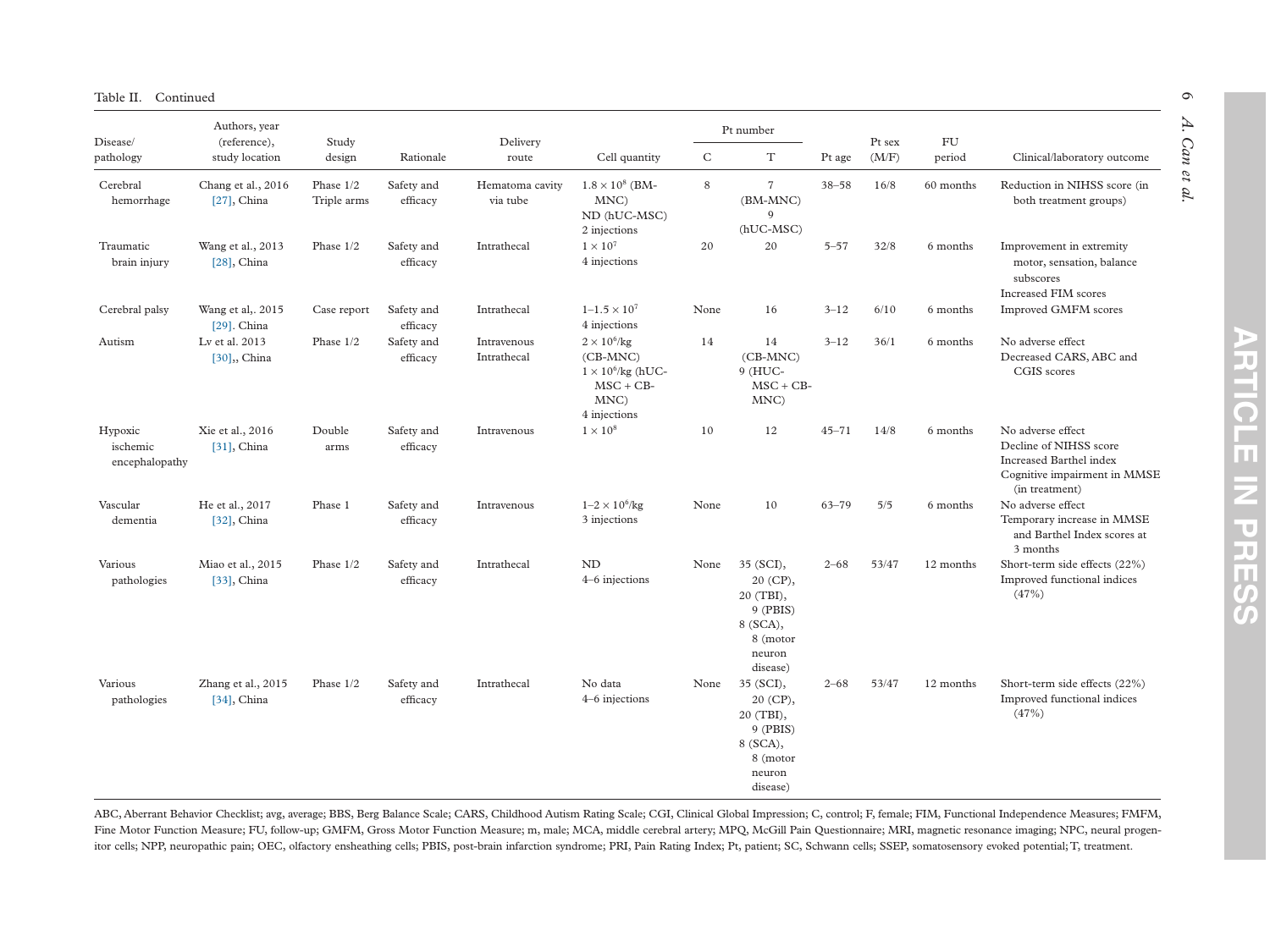| Disease/                              | Authors, year<br>(reference),        | Study                      |                        | Delivery                    |                                                                                                       |              | Pt number                                                                                      |           | Pt sex | FU        |                                                                                                                          |
|---------------------------------------|--------------------------------------|----------------------------|------------------------|-----------------------------|-------------------------------------------------------------------------------------------------------|--------------|------------------------------------------------------------------------------------------------|-----------|--------|-----------|--------------------------------------------------------------------------------------------------------------------------|
| pathology                             | study location                       | design                     | Rationale              | route                       | Cell quantity                                                                                         | $\mathsf{C}$ | $\mathbf T$                                                                                    | Pt age    | (M/F)  | period    | Clinical/laboratory outcome                                                                                              |
| Cerebral<br>hemorrhage                | Chang et al., 2016<br>$[27]$ , China | Phase $1/2$<br>Triple arms | Safety and<br>efficacy | Hematoma cavity<br>via tube | $1.8 \times 10^8$ (BM-<br>MNC)<br>ND (hUC-MSC)<br>2 injections                                        | 8            | $\overline{7}$<br>(BM-MNC)<br>9<br>$(hUC-MSC)$                                                 | $38 - 58$ | 16/8   | 60 months | Reduction in NIHSS score (in<br>both treatment groups)                                                                   |
| Traumatic<br>brain injury             | Wang et al., 2013<br>$[28]$ , China  | Phase 1/2                  | Safety and<br>efficacy | Intrathecal                 | $1 \times 10^7$<br>4 injections                                                                       | 20           | 20                                                                                             | $5 - 57$  | 32/8   | 6 months  | Improvement in extremity<br>motor, sensation, balance<br>subscores<br>Increased FIM scores                               |
| Cerebral palsy                        | Wang et al,. 2015<br>$[29]$ . China  | Case report                | Safety and<br>efficacy | Intrathecal                 | $1 - 1.5 \times 10^{7}$<br>4 injections                                                               | None         | 16                                                                                             | $3 - 12$  | 6/10   | 6 months  | Improved GMFM scores                                                                                                     |
| Autism                                | Lv et al. 2013<br>$[30]$ ,, China    | Phase 1/2                  | Safety and<br>efficacy | Intravenous<br>Intrathecal  | $2 \times 10^6$ /kg<br>$(CB-MNC)$<br>$1 \times 10^6$ /kg (hUC-<br>$MSC + CB-$<br>MNC)<br>4 injections | 14           | 14<br>$(CB-MNC)$<br>9 (HUC-<br>$MSC + CB-$<br>MNC)                                             | $3 - 12$  | 36/1   | 6 months  | No adverse effect<br>Decreased CARS, ABC and<br>CGIS scores                                                              |
| Hypoxic<br>ischemic<br>encephalopathy | Xie et al., 2016<br>$[31]$ , China   | Double<br>arms             | Safety and<br>efficacy | Intravenous                 | $1 \times 10^8$                                                                                       | 10           | 12                                                                                             | $45 - 71$ | 14/8   | 6 months  | No adverse effect<br>Decline of NIHSS score<br>Increased Barthel index<br>Cognitive impairment in MMSE<br>(in treatment) |
| Vascular<br>dementia                  | He et al., 2017<br>$[32]$ , China    | Phase 1                    | Safety and<br>efficacy | Intravenous                 | $1 - 2 \times 10^6$ /kg<br>3 injections                                                               | None         | 10                                                                                             | $63 - 79$ | 5/5    | 6 months  | No adverse effect<br>Temporary increase in MMSE<br>and Barthel Index scores at<br>3 months                               |
| Various<br>pathologies                | Miao et al., 2015<br>$[33]$ , China  | Phase 1/2                  | Safety and<br>efficacy | Intrathecal                 | ND<br>4-6 injections                                                                                  | None         | 35 (SCI),<br>20 (CP),<br>20 (TBI),<br>$9$ (PBIS)<br>8 (SCA),<br>8 (motor<br>neuron<br>disease) | $2 - 68$  | 53/47  | 12 months | Short-term side effects (22%)<br>Improved functional indices<br>(47%)                                                    |
| Various<br>pathologies                | Zhang et al., 2015<br>[34], China    | Phase 1/2                  | Safety and<br>efficacy | Intrathecal                 | No data<br>4-6 injections                                                                             | None         | 35 (SCI),<br>20 (CP),<br>20 (TBI),<br>$9$ (PBIS)<br>8 (SCA),<br>8 (motor<br>neuron<br>disease) | $2 - 68$  | 53/47  | 12 months | Short-term side effects (22%)<br>Improved functional indices<br>(47%)                                                    |

ABC, Aberrant Behavior Checklist; avg, average; BBS, Berg Balance Scale; CARS, Childhood Autism Rating Scale; CGI, Clinical Global Impression; C, control; F, female; FIM, Functional Independence Measures; FMFM, Fine Motor Function Measure; FU, follow-up; GMFM, Gross Motor Function Measure; m, male; MCA, middle cerebral artery; MPQ, McGill Pain Questionnaire; MRI, magnetic resonance imaging; NPC, neural progenitor cells; NPP, neuropathic pain; OEC, olfactory ensheathing cells; PBIS, post-brain infarction syndrome; PRI, Pain Rating Index; Pt, patient; SC, Schwann cells; SSEP, somatosensory evoked potential; T, treatment.

 $\circ$  $\boldsymbol{A}$ *A. Can et al.*Can et al.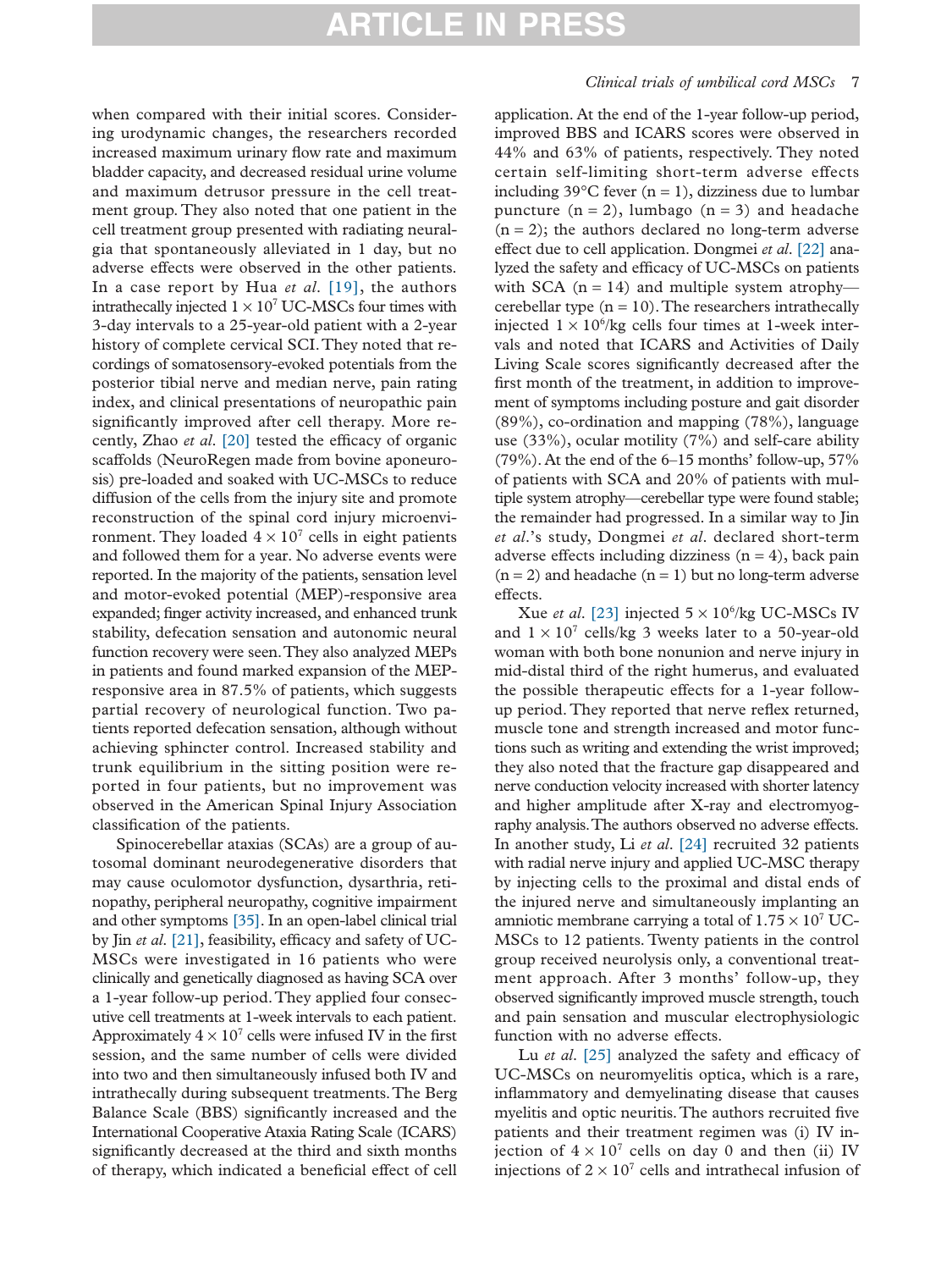when compared with their initial scores. Considering urodynamic changes, the researchers recorded increased maximum urinary flow rate and maximum bladder capacity, and decreased residual urine volume and maximum detrusor pressure in the cell treatment group. They also noted that one patient in the cell treatment group presented with radiating neuralgia that spontaneously alleviated in 1 day, but no adverse effects were observed in the other patients. In a case report by Hua *et al*. [\[19\],](#page-28-30) the authors intrathecally injected  $1 \times 10^7$  UC-MSCs four times with 3-day intervals to a 25-year-old patient with a 2-year history of complete cervical SCI.They noted that recordings of somatosensory-evoked potentials from the posterior tibial nerve and median nerve, pain rating index, and clinical presentations of neuropathic pain significantly improved after cell therapy. More recently, Zhao *et al*. [\[20\]](#page-28-31) tested the efficacy of organic scaffolds (NeuroRegen made from bovine aponeurosis) pre-loaded and soaked with UC-MSCs to reduce diffusion of the cells from the injury site and promote reconstruction of the spinal cord injury microenvironment. They loaded  $4 \times 10^7$  cells in eight patients and followed them for a year. No adverse events were reported. In the majority of the patients, sensation level and motor-evoked potential (MEP)-responsive area expanded; finger activity increased, and enhanced trunk stability, defecation sensation and autonomic neural function recovery were seen.They also analyzed MEPs in patients and found marked expansion of the MEPresponsive area in 87.5% of patients, which suggests partial recovery of neurological function. Two patients reported defecation sensation, although without achieving sphincter control. Increased stability and trunk equilibrium in the sitting position were reported in four patients, but no improvement was observed in the American Spinal Injury Association classification of the patients.

Spinocerebellar ataxias (SCAs) are a group of autosomal dominant neurodegenerative disorders that may cause oculomotor dysfunction, dysarthria, retinopathy, peripheral neuropathy, cognitive impairment and other symptoms [\[35\].](#page-28-32) In an open-label clinical trial by Jin *et al*. [\[21\],](#page-28-33) feasibility, efficacy and safety of UC-MSCs were investigated in 16 patients who were clinically and genetically diagnosed as having SCA over a 1-year follow-up period.They applied four consecutive cell treatments at 1-week intervals to each patient. Approximately  $4 \times 10^7$  cells were infused IV in the first session, and the same number of cells were divided into two and then simultaneously infused both IV and intrathecally during subsequent treatments.The Berg Balance Scale (BBS) significantly increased and the International Cooperative Ataxia Rating Scale (ICARS) significantly decreased at the third and sixth months of therapy, which indicated a beneficial effect of cell

## *Clinical trials of umbilical cord MSCs* 7

application. At the end of the 1-year follow-up period, improved BBS and ICARS scores were observed in 44% and 63% of patients, respectively. They noted certain self-limiting short-term adverse effects including 39 $^{\circ}$ C fever (n = 1), dizziness due to lumbar puncture  $(n = 2)$ , lumbago  $(n = 3)$  and headache  $(n = 2)$ ; the authors declared no long-term adverse effect due to cell application. Dongmei *et al*. [\[22\]](#page-28-34) analyzed the safety and efficacy of UC-MSCs on patients with SCA ( $n = 14$ ) and multiple system atrophycerebellar type  $(n = 10)$ . The researchers intrathecally injected  $1 \times 10^6$ /kg cells four times at 1-week intervals and noted that ICARS and Activities of Daily Living Scale scores significantly decreased after the first month of the treatment, in addition to improvement of symptoms including posture and gait disorder (89%), co-ordination and mapping (78%), language use (33%), ocular motility (7%) and self-care ability  $(79\%)$ . At the end of the 6–15 months' follow-up, 57% of patients with SCA and 20% of patients with multiple system atrophy—cerebellar type were found stable; the remainder had progressed. In a similar way to Jin *et al*.'s study, Dongmei *et al*. declared short-term adverse effects including dizziness  $(n = 4)$ , back pain  $(n = 2)$  and headache  $(n = 1)$  but no long-term adverse effects.

Xue *et al.* [\[23\]](#page-28-35) injected  $5 \times 10^6$ /kg UC-MSCs IV and  $1 \times 10^7$  cells/kg 3 weeks later to a 50-year-old woman with both bone nonunion and nerve injury in mid-distal third of the right humerus, and evaluated the possible therapeutic effects for a 1-year followup period. They reported that nerve reflex returned, muscle tone and strength increased and motor functions such as writing and extending the wrist improved; they also noted that the fracture gap disappeared and nerve conduction velocity increased with shorter latency and higher amplitude after X-ray and electromyography analysis.The authors observed no adverse effects. In another study, Li *et al*. [\[24\]](#page-28-36) recruited 32 patients with radial nerve injury and applied UC-MSC therapy by injecting cells to the proximal and distal ends of the injured nerve and simultaneously implanting an amniotic membrane carrying a total of  $1.75 \times 10^7$  UC-MSCs to 12 patients. Twenty patients in the control group received neurolysis only, a conventional treatment approach. After 3 months' follow-up, they observed significantly improved muscle strength, touch and pain sensation and muscular electrophysiologic function with no adverse effects.

Lu *et al*. [\[25\]](#page-28-37) analyzed the safety and efficacy of UC-MSCs on neuromyelitis optica, which is a rare, inflammatory and demyelinating disease that causes myelitis and optic neuritis.The authors recruited five patients and their treatment regimen was (i) IV injection of  $4 \times 10^7$  cells on day 0 and then (ii) IV injections of  $2 \times 10^7$  cells and intrathecal infusion of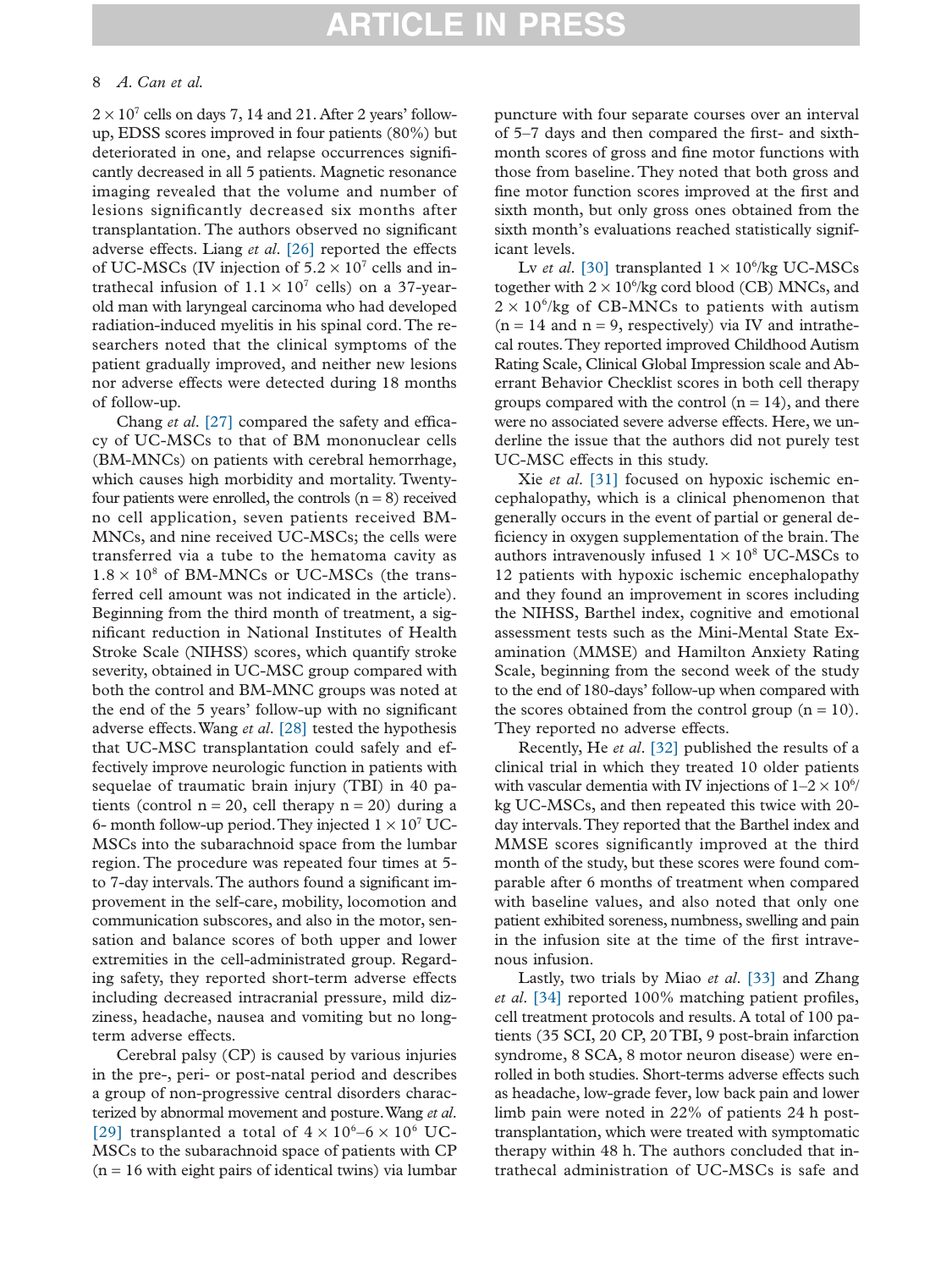## 8 *A. Can et al.*

 $2 \times 10^7$  cells on days 7, 14 and 21. After 2 years' followup, EDSS scores improved in four patients (80%) but deteriorated in one, and relapse occurrences significantly decreased in all 5 patients. Magnetic resonance imaging revealed that the volume and number of lesions significantly decreased six months after transplantation. The authors observed no significant adverse effects. Liang *et al*. [\[26\]](#page-28-38) reported the effects of UC-MSCs (IV injection of  $5.2 \times 10^7$  cells and intrathecal infusion of  $1.1 \times 10^7$  cells) on a 37-yearold man with laryngeal carcinoma who had developed radiation-induced myelitis in his spinal cord.The researchers noted that the clinical symptoms of the patient gradually improved, and neither new lesions nor adverse effects were detected during 18 months of follow-up.

Chang *et al*. [\[27\]](#page-28-39) compared the safety and efficacy of UC-MSCs to that of BM mononuclear cells (BM-MNCs) on patients with cerebral hemorrhage, which causes high morbidity and mortality. Twentyfour patients were enrolled, the controls  $(n = 8)$  received no cell application, seven patients received BM-MNCs, and nine received UC-MSCs; the cells were transferred via a tube to the hematoma cavity as  $1.8 \times 10^8$  of BM-MNCs or UC-MSCs (the transferred cell amount was not indicated in the article). Beginning from the third month of treatment, a significant reduction in National Institutes of Health Stroke Scale (NIHSS) scores, which quantify stroke severity, obtained in UC-MSC group compared with both the control and BM-MNC groups was noted at the end of the 5 years' follow-up with no significant adverse effects.Wang *et al*. [\[28\]](#page-28-40) tested the hypothesis that UC-MSC transplantation could safely and effectively improve neurologic function in patients with sequelae of traumatic brain injury (TBI) in 40 patients (control  $n = 20$ , cell therapy  $n = 20$ ) during a 6- month follow-up period. They injected  $1 \times 10^7$  UC-MSCs into the subarachnoid space from the lumbar region. The procedure was repeated four times at 5 to 7-day intervals.The authors found a significant improvement in the self-care, mobility, locomotion and communication subscores, and also in the motor, sensation and balance scores of both upper and lower extremities in the cell-administrated group. Regarding safety, they reported short-term adverse effects including decreased intracranial pressure, mild dizziness, headache, nausea and vomiting but no longterm adverse effects.

Cerebral palsy (CP) is caused by various injuries in the pre-, peri- or post-natal period and describes a group of non-progressive central disorders characterized by abnormal movement and posture.Wang *et al*. [\[29\]](#page-28-41) transplanted a total of  $4 \times 10^{6} - 6 \times 10^{6}$  UC-MSCs to the subarachnoid space of patients with CP  $(n = 16$  with eight pairs of identical twins) via lumbar puncture with four separate courses over an interval of 5–7 days and then compared the first- and sixthmonth scores of gross and fine motor functions with those from baseline. They noted that both gross and fine motor function scores improved at the first and sixth month, but only gross ones obtained from the sixth month's evaluations reached statistically significant levels.

Lv *et al.* [\[30\]](#page-28-42) transplanted  $1 \times 10^6$ /kg UC-MSCs together with  $2 \times 10^6$ /kg cord blood (CB) MNCs, and  $2 \times 10^6$ /kg of CB-MNCs to patients with autism  $(n = 14$  and  $n = 9$ , respectively) via IV and intrathecal routes.They reported improved Childhood Autism Rating Scale, Clinical Global Impression scale and Aberrant Behavior Checklist scores in both cell therapy groups compared with the control  $(n = 14)$ , and there were no associated severe adverse effects. Here, we underline the issue that the authors did not purely test UC-MSC effects in this study.

Xie *et al*. [\[31\]](#page-28-43) focused on hypoxic ischemic encephalopathy, which is a clinical phenomenon that generally occurs in the event of partial or general deficiency in oxygen supplementation of the brain.The authors intravenously infused  $1 \times 10^8$  UC-MSCs to 12 patients with hypoxic ischemic encephalopathy and they found an improvement in scores including the NIHSS, Barthel index, cognitive and emotional assessment tests such as the Mini-Mental State Examination (MMSE) and Hamilton Anxiety Rating Scale, beginning from the second week of the study to the end of 180-days' follow-up when compared with the scores obtained from the control group  $(n = 10)$ . They reported no adverse effects.

Recently, He *et al*. [\[32\]](#page-28-44) published the results of a clinical trial in which they treated 10 older patients with vascular dementia with IV injections of  $1-2 \times 10^6$ / kg UC-MSCs, and then repeated this twice with 20 day intervals.They reported that the Barthel index and MMSE scores significantly improved at the third month of the study, but these scores were found comparable after 6 months of treatment when compared with baseline values, and also noted that only one patient exhibited soreness, numbness, swelling and pain in the infusion site at the time of the first intravenous infusion.

Lastly, two trials by Miao *et al*. [\[33\]](#page-28-45) and Zhang *et al*. [\[34\]](#page-28-46) reported 100% matching patient profiles, cell treatment protocols and results. A total of 100 patients (35 SCI, 20 CP, 20TBI, 9 post-brain infarction syndrome, 8 SCA, 8 motor neuron disease) were enrolled in both studies. Short-terms adverse effects such as headache, low-grade fever, low back pain and lower limb pain were noted in 22% of patients 24 h posttransplantation, which were treated with symptomatic therapy within 48 h. The authors concluded that intrathecal administration of UC-MSCs is safe and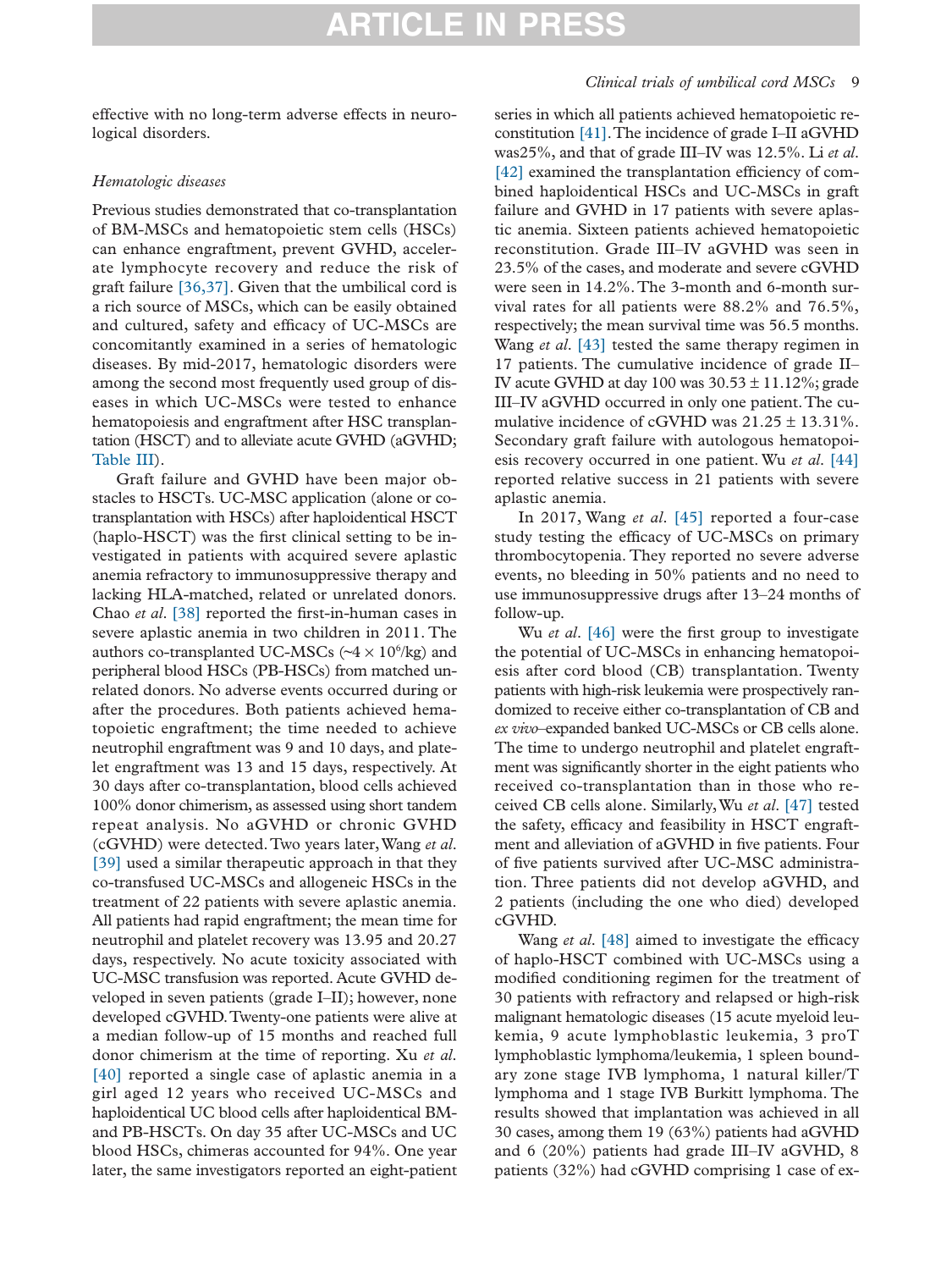## *Clinical trials of umbilical cord MSCs* 9

effective with no long-term adverse effects in neurological disorders.

## *Hematologic diseases*

Previous studies demonstrated that co-transplantation of BM-MSCs and hematopoietic stem cells (HSCs) can enhance engraftment, prevent GVHD, accelerate lymphocyte recovery and reduce the risk of graft failure [\[36,37\].](#page-28-47) Given that the umbilical cord is a rich source of MSCs, which can be easily obtained and cultured, safety and efficacy of UC-MSCs are concomitantly examined in a series of hematologic diseases. By mid-2017, hematologic disorders were among the second most frequently used group of diseases in which UC-MSCs were tested to enhance hematopoiesis and engraftment after HSC transplantation (HSCT) and to alleviate acute GVHD (aGVHD; [Table III\)](#page-9-0).

Graft failure and GVHD have been major obstacles to HSCTs. UC-MSC application (alone or cotransplantation with HSCs) after haploidentical HSCT (haplo-HSCT) was the first clinical setting to be investigated in patients with acquired severe aplastic anemia refractory to immunosuppressive therapy and lacking HLA-matched, related or unrelated donors. Chao *et al*. [\[38\]](#page-28-48) reported the first-in-human cases in severe aplastic anemia in two children in 2011. The authors co-transplanted UC-MSCs ( $\sim$ 4  $\times$  10<sup>6</sup>/kg) and peripheral blood HSCs (PB-HSCs) from matched unrelated donors. No adverse events occurred during or after the procedures. Both patients achieved hematopoietic engraftment; the time needed to achieve neutrophil engraftment was 9 and 10 days, and platelet engraftment was 13 and 15 days, respectively. At 30 days after co-transplantation, blood cells achieved 100% donor chimerism, as assessed using short tandem repeat analysis. No aGVHD or chronic GVHD (cGVHD) were detected.Two years later,Wang *et al*. [\[39\]](#page-28-49) used a similar therapeutic approach in that they co-transfused UC-MSCs and allogeneic HSCs in the treatment of 22 patients with severe aplastic anemia. All patients had rapid engraftment; the mean time for neutrophil and platelet recovery was 13.95 and 20.27 days, respectively. No acute toxicity associated with UC-MSC transfusion was reported. Acute GVHD developed in seven patients (grade I–II); however, none developed cGVHD.Twenty-one patients were alive at a median follow-up of 15 months and reached full donor chimerism at the time of reporting. Xu *et al*. [\[40\]](#page-28-50) reported a single case of aplastic anemia in a girl aged 12 years who received UC-MSCs and haploidentical UC blood cells after haploidentical BMand PB-HSCTs. On day 35 after UC-MSCs and UC blood HSCs, chimeras accounted for 94%. One year later, the same investigators reported an eight-patient

series in which all patients achieved hematopoietic reconstitution [\[41\].](#page-28-51)The incidence of grade I–II aGVHD was25%, and that of grade III–IV was 12.5%. Li *et al*. [\[42\]](#page-29-0) examined the transplantation efficiency of combined haploidentical HSCs and UC-MSCs in graft failure and GVHD in 17 patients with severe aplastic anemia. Sixteen patients achieved hematopoietic reconstitution. Grade III–IV aGVHD was seen in 23.5% of the cases, and moderate and severe cGVHD were seen in 14.2%.The 3-month and 6-month survival rates for all patients were 88.2% and 76.5%, respectively; the mean survival time was 56.5 months. Wang *et al*. [\[43\]](#page-29-1) tested the same therapy regimen in 17 patients. The cumulative incidence of grade II– IV acute GVHD at day 100 was  $30.53 \pm 11.12\%$ ; grade III–IV aGVHD occurred in only one patient.The cumulative incidence of cGVHD was  $21.25 \pm 13.31\%$ . Secondary graft failure with autologous hematopoiesis recovery occurred in one patient. Wu *et al*. [\[44\]](#page-29-2) reported relative success in 21 patients with severe aplastic anemia.

In 2017, Wang *et al*. [\[45\]](#page-29-3) reported a four-case study testing the efficacy of UC-MSCs on primary thrombocytopenia. They reported no severe adverse events, no bleeding in 50% patients and no need to use immunosuppressive drugs after 13–24 months of follow-up.

Wu *et al*. [\[46\]](#page-29-4) were the first group to investigate the potential of UC-MSCs in enhancing hematopoiesis after cord blood (CB) transplantation. Twenty patients with high-risk leukemia were prospectively randomized to receive either co-transplantation of CB and *ex vivo*–expanded banked UC-MSCs or CB cells alone. The time to undergo neutrophil and platelet engraftment was significantly shorter in the eight patients who received co-transplantation than in those who received CB cells alone. Similarly,Wu *et al*. [\[47\]](#page-29-5) tested the safety, efficacy and feasibility in HSCT engraftment and alleviation of aGVHD in five patients. Four of five patients survived after UC-MSC administration. Three patients did not develop aGVHD, and 2 patients (including the one who died) developed cGVHD.

Wang *et al*. [\[48\]](#page-29-6) aimed to investigate the efficacy of haplo-HSCT combined with UC-MSCs using a modified conditioning regimen for the treatment of 30 patients with refractory and relapsed or high-risk malignant hematologic diseases (15 acute myeloid leukemia, 9 acute lymphoblastic leukemia, 3 proT lymphoblastic lymphoma/leukemia, 1 spleen boundary zone stage IVB lymphoma, 1 natural killer/T lymphoma and 1 stage IVB Burkitt lymphoma. The results showed that implantation was achieved in all 30 cases, among them 19 (63%) patients had aGVHD and 6 (20%) patients had grade III–IV aGVHD, 8 patients (32%) had cGVHD comprising 1 case of ex-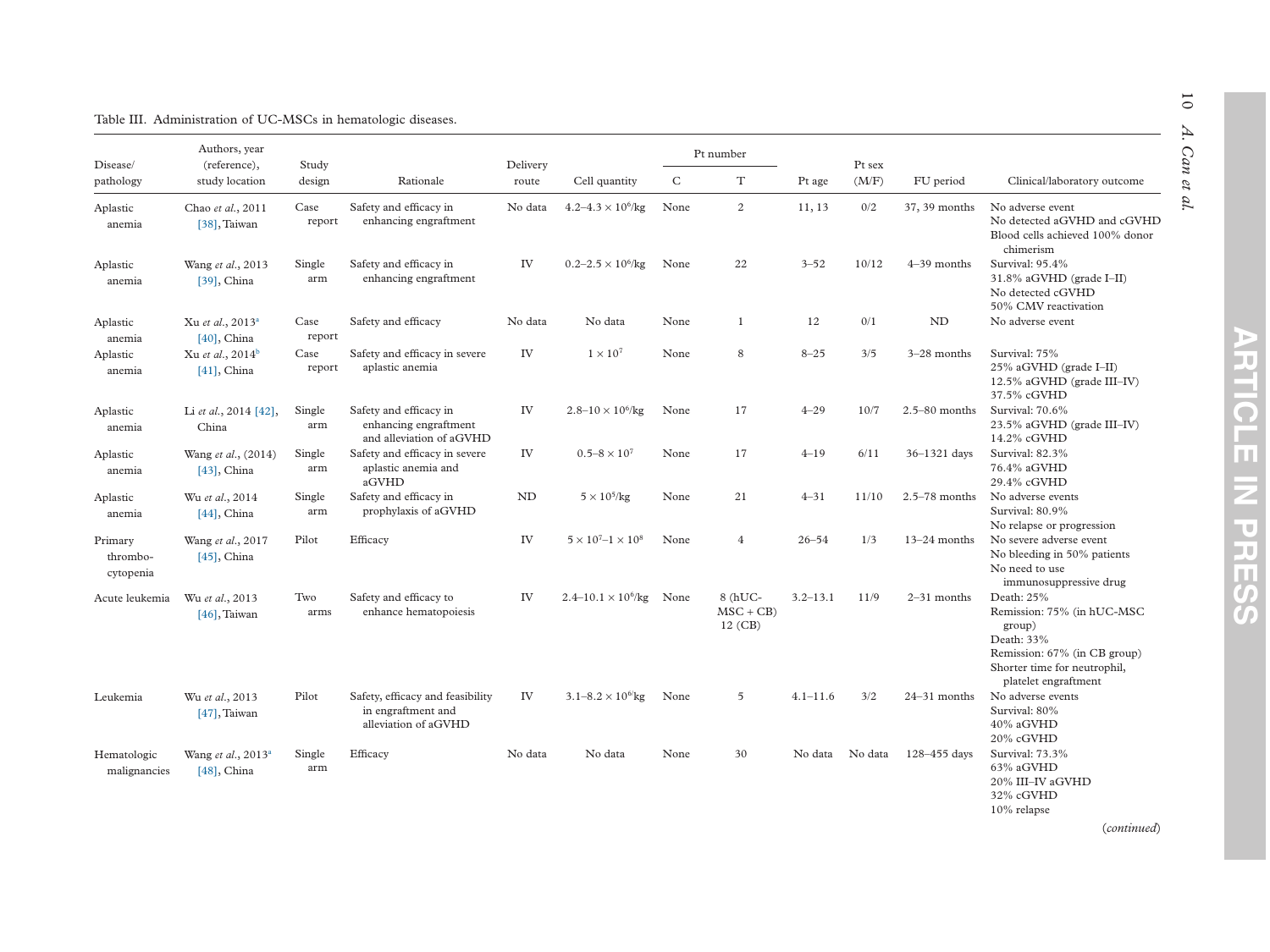<span id="page-9-0"></span>

| Disease/                         | Authors, year<br>(reference),                    | Study          |                                                                                | Delivery |                                     |              | Pt number                          |              | Pt sex  |                   |                                                                                                                                                          |
|----------------------------------|--------------------------------------------------|----------------|--------------------------------------------------------------------------------|----------|-------------------------------------|--------------|------------------------------------|--------------|---------|-------------------|----------------------------------------------------------------------------------------------------------------------------------------------------------|
| pathology                        | study location                                   | design         | Rationale                                                                      | route    | Cell quantity                       | $\mathsf{C}$ | $\mathbf T$                        | Pt age       | (M/F)   | FU period         | Clinical/laboratory outcome                                                                                                                              |
| Aplastic<br>anemia               | Chao et al., 2011<br>[38], Taiwan                | Case<br>report | Safety and efficacy in<br>enhancing engraftment                                | No data  | $4.2 - 4.3 \times 10^6$ /kg         | None         | $\overline{c}$                     | 11, 13       | 0/2     | 37, 39 months     | No adverse event<br>No detected aGVHD and cGVHD<br>Blood cells achieved 100% donor<br>chimerism                                                          |
| Aplastic<br>anemia               | Wang et al., 2013<br>$[39]$ , China              | Single<br>arm  | Safety and efficacy in<br>enhancing engraftment                                | IV       | $0.2 - 2.5 \times 10^6$ /kg         | None         | 22                                 | $3 - 52$     | 10/12   | 4-39 months       | Survival: 95.4%<br>31.8% aGVHD (grade I-II)<br>No detected cGVHD<br>50% CMV reactivation                                                                 |
| Aplastic<br>anemia               | Xu et al., 2013 <sup>a</sup><br>$[40]$ , China   | Case<br>report | Safety and efficacy                                                            | No data  | No data                             | None         | 1                                  | 12           | 0/1     | ND                | No adverse event                                                                                                                                         |
| Aplastic<br>anemia               | Xu et al., 2014 <sup>b</sup><br>$[41]$ , China   | Case<br>report | Safety and efficacy in severe<br>aplastic anemia                               | IV       | $1 \times 10^7$                     | None         | 8                                  | $8 - 25$     | 3/5     | $3-28$ months     | Survival: 75%<br>25% aGVHD (grade I-II)<br>12.5% aGVHD (grade III-IV)<br>37.5% cGVHD                                                                     |
| Aplastic<br>anemia               | Li et al., 2014 [42],<br>China                   | Single<br>arm  | Safety and efficacy in<br>enhancing engraftment<br>and alleviation of aGVHD    | IV       | $2.8 - 10 \times 10^6$ /kg          | None         | 17                                 | $4 - 29$     | 10/7    | $2.5 - 80$ months | Survival: 70.6%<br>23.5% aGVHD (grade III-IV)<br>14.2% cGVHD                                                                                             |
| Aplastic<br>anemia               | Wang et al., (2014)<br>$[43]$ , China            | Single<br>arm  | Safety and efficacy in severe<br>aplastic anemia and<br>aGVHD                  | IV       | $0.5 - 8 \times 10^{7}$             | None         | 17                                 | $4 - 19$     | 6/11    | 36-1321 days      | Survival: 82.3%<br>76.4% aGVHD<br>29.4% cGVHD                                                                                                            |
| Aplastic<br>anemia               | Wu et al., 2014<br>$[44]$ , China                | Single<br>arm  | Safety and efficacy in<br>prophylaxis of aGVHD                                 | $\rm ND$ | $5 \times 10^5$ /kg                 | None         | 21                                 | $4 - 31$     | 11/10   | $2.5 - 78$ months | No adverse events<br>Survival: 80.9%<br>No relapse or progression                                                                                        |
| Primary<br>thrombo-<br>cytopenia | Wang et al., 2017<br>$[45]$ , China              | Pilot          | Efficacy                                                                       | IV       | $5 \times 10^{7} - 1 \times 10^{8}$ | None         | $\overline{4}$                     | $26 - 54$    | 1/3     | $13-24$ months    | No severe adverse event<br>No bleeding in 50% patients<br>No need to use<br>immunosuppressive drug                                                       |
| Acute leukemia                   | Wu et al., 2013<br>$[46]$ , Taiwan               | Two<br>arms    | Safety and efficacy to<br>enhance hematopoiesis                                | IV       | $2.4 - 10.1 \times 10^6$ /kg        | None         | 8 (hUC-<br>$MSC + CB$<br>$12$ (CB) | $3.2 - 13.1$ | 11/9    | $2-31$ months     | Death: 25%<br>Remission: 75% (in hUC-MSC<br>group)<br>Death: 33%<br>Remission: 67% (in CB group)<br>Shorter time for neutrophil,<br>platelet engraftment |
| Leukemia                         | Wu et al., 2013<br>[47], Taiwan                  | Pilot          | Safety, efficacy and feasibility<br>in engraftment and<br>alleviation of aGVHD | IV       | $3.1 - 8.2 \times 10^{6}$ kg        | None         | $\overline{5}$                     | $4.1 - 11.6$ | 3/2     | $24-31$ months    | No adverse events<br>Survival: 80%<br>40% aGVHD<br>20% cGVHD                                                                                             |
| Hematologic<br>malignancies      | Wang et al., 2013 <sup>a</sup><br>$[48]$ , China | Single<br>arm  | Efficacy                                                                       | No data  | No data                             | None         | 30                                 | No data      | No data | 128-455 days      | Survival: 73.3%<br>63% aGVHD<br>20% III-IV aGVHD<br>32% cGVHD<br>10% relapse<br>(continued)                                                              |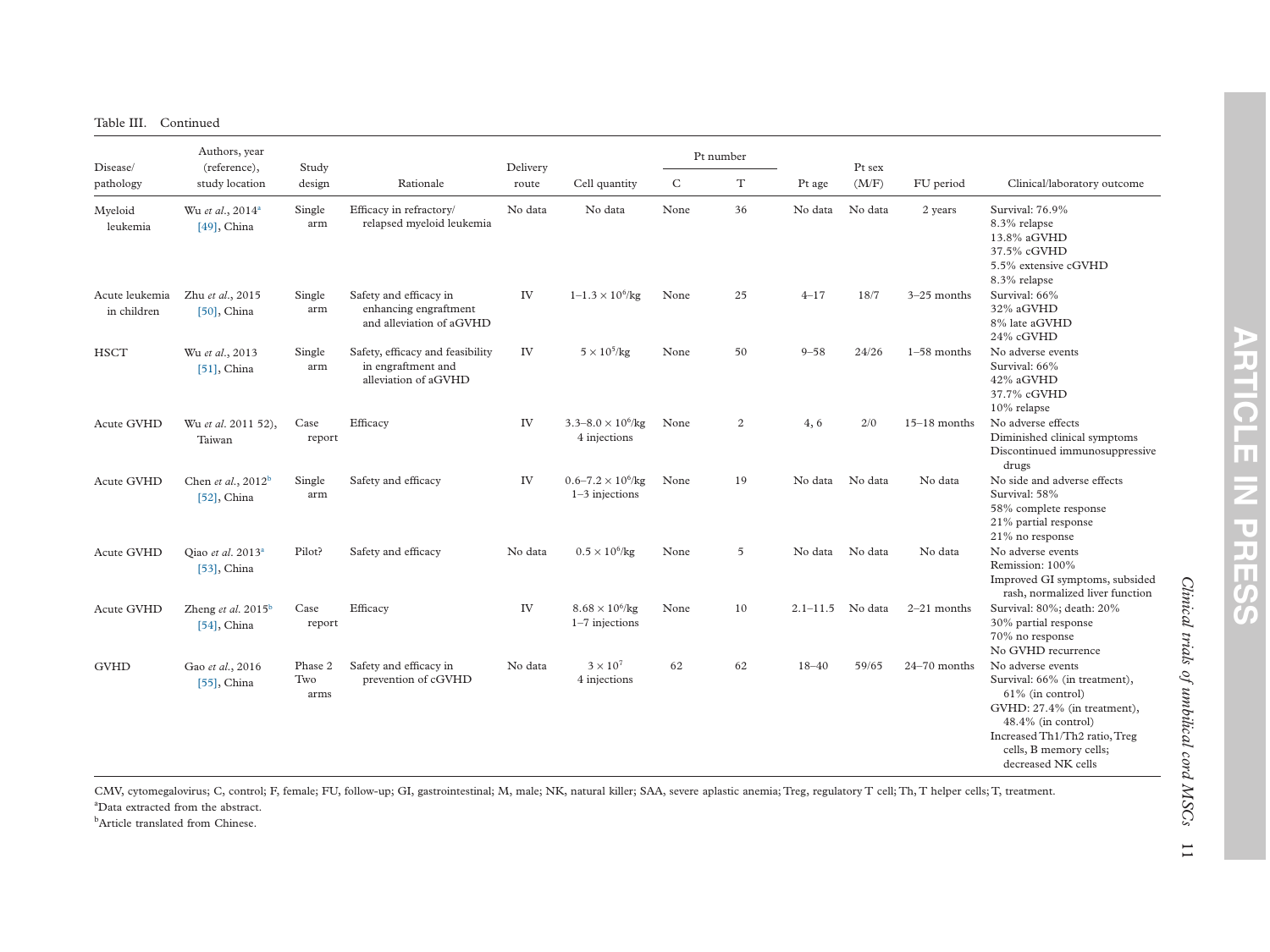<span id="page-10-1"></span><span id="page-10-0"></span>

| Disease/                      | Authors, year<br>(reference),                   | Study                  |                                                                                | Delivery |                                                 |             | Pt number      |           | Pt sex               |                |                                                                                                                                                                                                              |
|-------------------------------|-------------------------------------------------|------------------------|--------------------------------------------------------------------------------|----------|-------------------------------------------------|-------------|----------------|-----------|----------------------|----------------|--------------------------------------------------------------------------------------------------------------------------------------------------------------------------------------------------------------|
| pathology                     | study location                                  | design                 | Rationale                                                                      | route    | Cell quantity                                   | $\mathsf C$ | $\rm T$        | Pt age    | (M/F)                | FU period      | Clinical/laboratory outcome                                                                                                                                                                                  |
| Myeloid<br>leukemia           | Wu et al., 2014 <sup>a</sup><br>$[49]$ , China  | Single<br>arm          | Efficacy in refractory/<br>relapsed myeloid leukemia                           | No data  | No data                                         | None        | 36             | No data   | No data              | 2 years        | Survival: 76.9%<br>8.3% relapse<br>13.8% aGVHD<br>37.5% cGVHD<br>5.5% extensive cGVHD<br>8.3% relapse                                                                                                        |
| Acute leukemia<br>in children | Zhu et al., 2015<br>$[50]$ , China              | Single<br>arm          | Safety and efficacy in<br>enhancing engraftment<br>and alleviation of aGVHD    | IV       | $1 - 1.3 \times 10^6$ /kg                       | None        | 25             | $4 - 17$  | 18/7                 | $3-25$ months  | Survival: 66%<br>32% aGVHD<br>8% late aGVHD<br>24% cGVHD                                                                                                                                                     |
| <b>HSCT</b>                   | Wu et al., 2013<br>$[51]$ , China               | Single<br>arm          | Safety, efficacy and feasibility<br>in engraftment and<br>alleviation of aGVHD | IV       | $5 \times 10^5$ /kg                             | None        | 50             | $9 - 58$  | 24/26                | $1-58$ months  | No adverse events<br>Survival: 66%<br>42% aGVHD<br>37.7% cGVHD<br>10% relapse                                                                                                                                |
| <b>Acute GVHD</b>             | Wu et al. 2011 52),<br>Taiwan                   | Case<br>report         | Efficacy                                                                       | IV       | $3.3 - 8.0 \times 10^6$ /kg<br>4 injections     | None        | $\overline{c}$ | 4,6       | 2/0                  | $15-18$ months | No adverse effects<br>Diminished clinical symptoms<br>Discontinued immunosuppressive<br>drugs                                                                                                                |
| Acute GVHD                    | Chen et al., $2012^b$<br>$[52]$ , China         | Single<br>arm          | Safety and efficacy                                                            | IV       | $0.6 - 7.2 \times 10^6$ /kg<br>$1-3$ injections | None        | 19             | No data   | No data              | No data        | No side and adverse effects<br>Survival: 58%<br>58% complete response<br>21% partial response<br>21% no response                                                                                             |
| Acute GVHD                    | Qiao et al. 2013 <sup>a</sup><br>$[53]$ , China | Pilot?                 | Safety and efficacy                                                            | No data  | $0.5 \times 10^{6}$ /kg                         | None        | 5              | No data   | No data              | No data        | No adverse events<br>Remission: 100%<br>Improved GI symptoms, subsided<br>rash, normalized liver function                                                                                                    |
| Acute GVHD                    | Zheng et al. $2015b$<br>$[54]$ , China          | Case<br>report         | Efficacy                                                                       | IV       | $8.68 \times 10^6$ /kg<br>1-7 injections        | None        | 10             |           | $2.1 - 11.5$ No data | $2-21$ months  | Survival: 80%; death: 20%<br>30% partial response<br>70% no response<br>No GVHD recurrence                                                                                                                   |
| <b>GVHD</b>                   | Gao et al., 2016<br>$[55]$ , China              | Phase 2<br>Two<br>arms | Safety and efficacy in<br>prevention of cGVHD                                  | No data  | $3 \times 10^7$<br>4 injections                 | 62          | 62             | $18 - 40$ | 59/65                | 24-70 months   | No adverse events<br>Survival: 66% (in treatment),<br>61% (in control)<br>GVHD: 27.4% (in treatment),<br>48.4% (in control)<br>Increased Th1/Th2 ratio, Treg<br>cells, B memory cells;<br>decreased NK cells |

CMV, cytomegalovirus; C, control; F, female; FU, follow-up; GI, gastrointestinal; M, male; NK, natural killer; SAA, severe aplastic anemia; Treg, regulatory T cell; Th, T helper cells; T, treatment.

aData extracted from the abstract.

<sup>b</sup>Article translated from Chinese.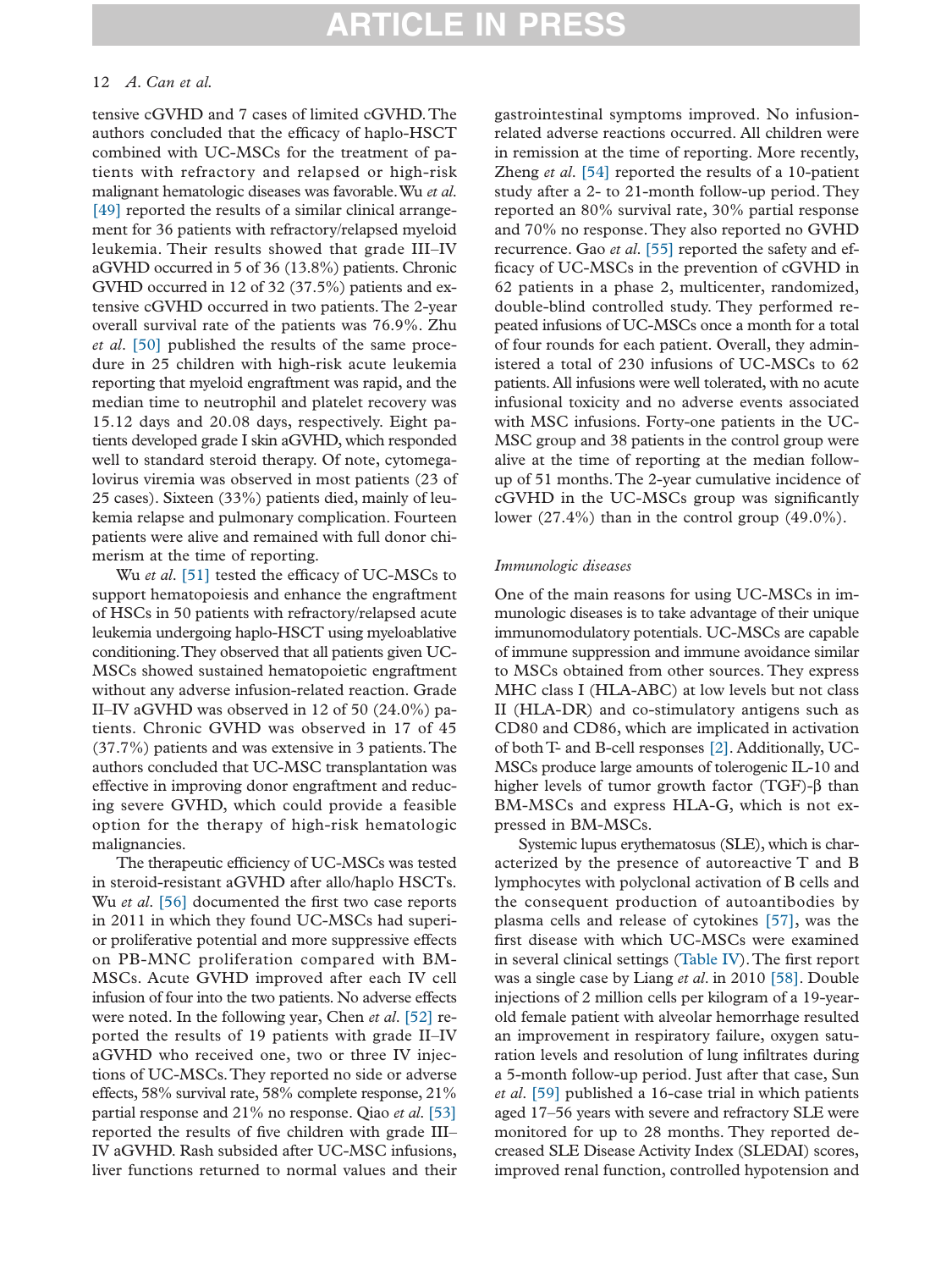## 12 *A. Can et al.*

tensive cGVHD and 7 cases of limited cGVHD.The authors concluded that the efficacy of haplo-HSCT combined with UC-MSCs for the treatment of patients with refractory and relapsed or high-risk malignant hematologic diseases was favorable.Wu *et al*. [\[49\]](#page-29-21) reported the results of a similar clinical arrangement for 36 patients with refractory/relapsed myeloid leukemia. Their results showed that grade III–IV aGVHD occurred in 5 of 36 (13.8%) patients. Chronic GVHD occurred in 12 of 32 (37.5%) patients and extensive cGVHD occurred in two patients.The 2-year overall survival rate of the patients was 76.9%. Zhu *et al*. [\[50\]](#page-29-22) published the results of the same procedure in 25 children with high-risk acute leukemia reporting that myeloid engraftment was rapid, and the median time to neutrophil and platelet recovery was 15.12 days and 20.08 days, respectively. Eight patients developed grade I skin aGVHD, which responded well to standard steroid therapy. Of note, cytomegalovirus viremia was observed in most patients (23 of 25 cases). Sixteen (33%) patients died, mainly of leukemia relapse and pulmonary complication. Fourteen patients were alive and remained with full donor chimerism at the time of reporting.

Wu *et al*. [\[51\]](#page-29-23) tested the efficacy of UC-MSCs to support hematopoiesis and enhance the engraftment of HSCs in 50 patients with refractory/relapsed acute leukemia undergoing haplo-HSCT using myeloablative conditioning.They observed that all patients given UC-MSCs showed sustained hematopoietic engraftment without any adverse infusion-related reaction. Grade II–IV aGVHD was observed in 12 of 50 (24.0%) patients. Chronic GVHD was observed in 17 of 45 (37.7%) patients and was extensive in 3 patients.The authors concluded that UC-MSC transplantation was effective in improving donor engraftment and reducing severe GVHD, which could provide a feasible option for the therapy of high-risk hematologic malignancies.

The therapeutic efficiency of UC-MSCs was tested in steroid-resistant aGVHD after allo/haplo HSCTs. Wu *et al*. [\[56\]](#page-29-24) documented the first two case reports in 2011 in which they found UC-MSCs had superior proliferative potential and more suppressive effects on PB-MNC proliferation compared with BM-MSCs. Acute GVHD improved after each IV cell infusion of four into the two patients. No adverse effects were noted. In the following year, Chen *et al*. [\[52\]](#page-29-25) reported the results of 19 patients with grade II–IV aGVHD who received one, two or three IV injections of UC-MSCs.They reported no side or adverse effects, 58% survival rate, 58% complete response, 21% partial response and 21% no response. Qiao *et al*. [\[53\]](#page-29-26) reported the results of five children with grade III– IV aGVHD. Rash subsided after UC-MSC infusions, liver functions returned to normal values and their

gastrointestinal symptoms improved. No infusionrelated adverse reactions occurred. All children were in remission at the time of reporting. More recently, Zheng *et al*. [\[54\]](#page-29-27) reported the results of a 10-patient study after a 2- to 21-month follow-up period. They reported an 80% survival rate, 30% partial response and 70% no response.They also reported no GVHD recurrence. Gao *et al*. [\[55\]](#page-29-28) reported the safety and efficacy of UC-MSCs in the prevention of cGVHD in 62 patients in a phase 2, multicenter, randomized, double-blind controlled study. They performed repeated infusions of UC-MSCs once a month for a total of four rounds for each patient. Overall, they administered a total of 230 infusions of UC-MSCs to 62 patients. All infusions were well tolerated, with no acute infusional toxicity and no adverse events associated with MSC infusions. Forty-one patients in the UC-MSC group and 38 patients in the control group were alive at the time of reporting at the median followup of 51 months.The 2-year cumulative incidence of cGVHD in the UC-MSCs group was significantly lower (27.4%) than in the control group (49.0%).

## *Immunologic diseases*

One of the main reasons for using UC-MSCs in immunologic diseases is to take advantage of their unique immunomodulatory potentials. UC-MSCs are capable of immune suppression and immune avoidance similar to MSCs obtained from other sources. They express MHC class I (HLA-ABC) at low levels but not class II (HLA-DR) and co-stimulatory antigens such as CD80 and CD86, which are implicated in activation of both T- and B-cell responses [\[2\].](#page-27-2) Additionally, UC-MSCs produce large amounts of tolerogenic IL-10 and higher levels of tumor growth factor (TGF)-β than BM-MSCs and express HLA-G, which is not expressed in BM-MSCs.

Systemic lupus erythematosus (SLE), which is characterized by the presence of autoreactive T and B lymphocytes with polyclonal activation of B cells and the consequent production of autoantibodies by plasma cells and release of cytokines [\[57\],](#page-29-29) was the first disease with which UC-MSCs were examined in several clinical settings [\(Table IV\)](#page-12-0).The first report was a single case by Liang *et al*. in 2010 [\[58\].](#page-29-30) Double injections of 2 million cells per kilogram of a 19-yearold female patient with alveolar hemorrhage resulted an improvement in respiratory failure, oxygen saturation levels and resolution of lung infiltrates during a 5-month follow-up period. Just after that case, Sun *et al*. [\[59\]](#page-29-31) published a 16-case trial in which patients aged 17–56 years with severe and refractory SLE were monitored for up to 28 months. They reported decreased SLE Disease Activity Index (SLEDAI) scores, improved renal function, controlled hypotension and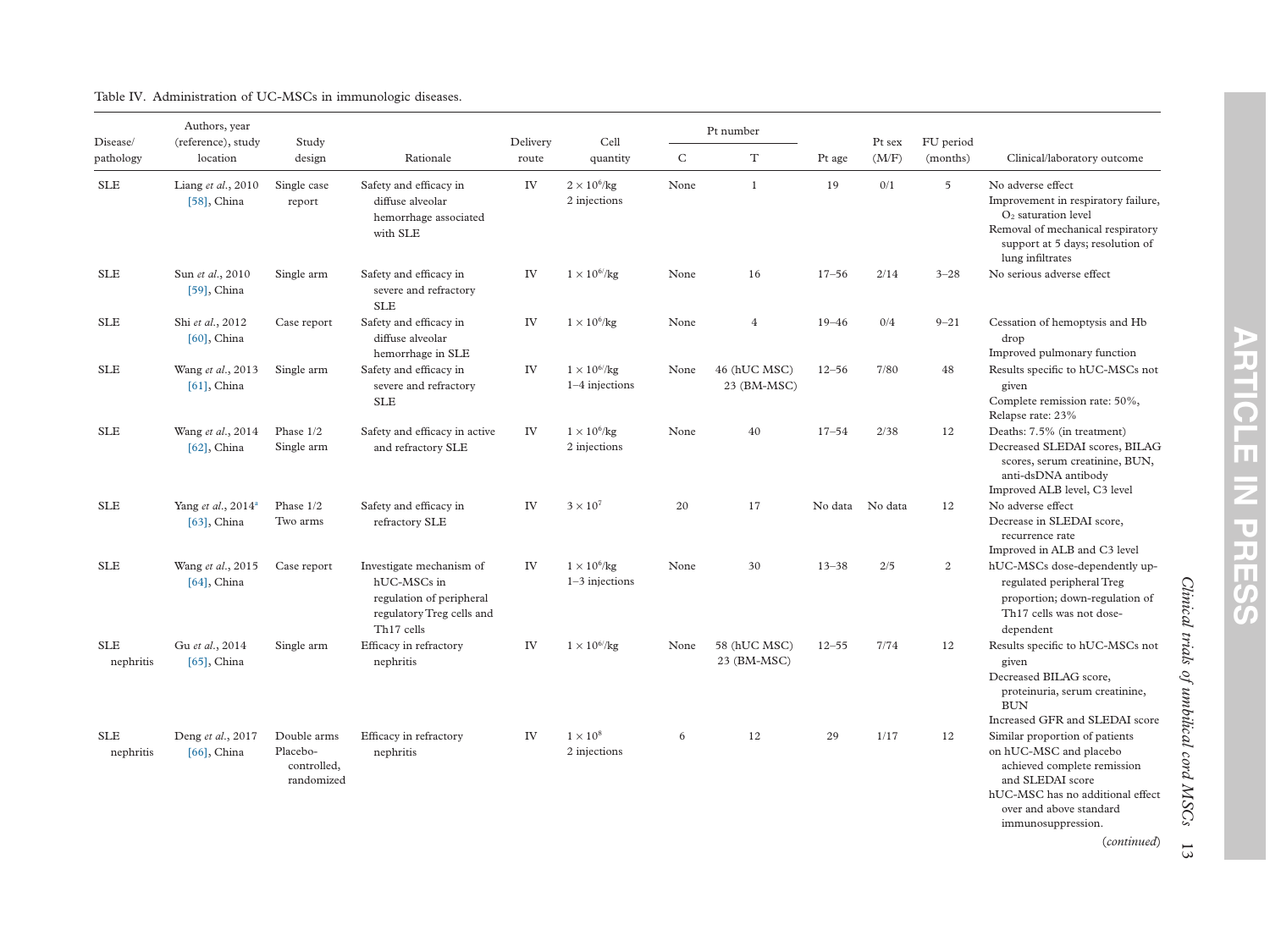| Disease/                | Authors, year<br>(reference), study              | Study                                                |                                                                                                                            | Delivery | Cell                                          |      | Pt number                   |           | Pt sex  | FU period      |                                                                                                                                                                                                                                            |
|-------------------------|--------------------------------------------------|------------------------------------------------------|----------------------------------------------------------------------------------------------------------------------------|----------|-----------------------------------------------|------|-----------------------------|-----------|---------|----------------|--------------------------------------------------------------------------------------------------------------------------------------------------------------------------------------------------------------------------------------------|
| pathology               | location                                         | design                                               | Rationale                                                                                                                  | route    | quantity                                      | C    | T                           | Pt age    | (M/F)   | (months)       | Clinical/laboratory outcome                                                                                                                                                                                                                |
| <b>SLE</b>              | Liang et al., 2010<br>$[58]$ , China             | Single case<br>report                                | Safety and efficacy in<br>diffuse alveolar<br>hemorrhage associated<br>with SLE                                            | IV       | $2 \times 10^6$ /kg<br>2 injections           | None | $\mathbf{1}$                | 19        | 0/1     | 5              | No adverse effect<br>Improvement in respiratory failure,<br>$O2$ saturation level<br>Removal of mechanical respiratory<br>support at 5 days; resolution of<br>lung infiltrates                                                             |
| <b>SLE</b>              | Sun et al., 2010<br>$[59]$ , China               | Single arm                                           | Safety and efficacy in<br>severe and refractory<br><b>SLE</b>                                                              | IV       | $1 \times 10^{6}/\text{kg}$                   | None | 16                          | $17 - 56$ | 2/14    | $3 - 28$       | No serious adverse effect                                                                                                                                                                                                                  |
| <b>SLE</b>              | Shi et al., 2012<br>$[60]$ , China               | Case report                                          | Safety and efficacy in<br>diffuse alveolar<br>hemorrhage in SLE                                                            | IV       | $1 \times 10^6$ /kg                           | None | $\overline{4}$              | $19 - 46$ | 0/4     | $9 - 21$       | Cessation of hemoptysis and Hb<br>drop<br>Improved pulmonary function                                                                                                                                                                      |
| <b>SLE</b>              | Wang et al., 2013<br>$[61]$ , China              | Single arm                                           | Safety and efficacy in<br>severe and refractory<br><b>SLE</b>                                                              | IV       | $1 \times 10^{6}/\text{kg}$<br>1-4 injections | None | 46 (hUC MSC)<br>23 (BM-MSC) | $12 - 56$ | 7/80    | 48             | Results specific to hUC-MSCs not<br>given<br>Complete remission rate: 50%,<br>Relapse rate: 23%                                                                                                                                            |
| <b>SLE</b>              | Wang et al., 2014<br>$[62]$ , China              | Phase $1/2$<br>Single arm                            | Safety and efficacy in active<br>and refractory SLE                                                                        | IV       | $1 \times 10^6$ /kg<br>2 injections           | None | 40                          | $17 - 54$ | 2/38    | 12             | Deaths: 7.5% (in treatment)<br>Decreased SLEDAI scores, BILAG<br>scores, serum creatinine, BUN,<br>anti-dsDNA antibody<br>Improved ALB level, C3 level                                                                                     |
| <b>SLE</b>              | Yang et al., 2014 <sup>a</sup><br>$[63]$ , China | Phase $1/2$<br>Two arms                              | Safety and efficacy in<br>refractory SLE                                                                                   | IV       | $3 \times 10^7$                               | 20   | 17                          | No data   | No data | 12             | No adverse effect<br>Decrease in SLEDAI score,<br>recurrence rate<br>Improved in ALB and C3 level                                                                                                                                          |
| <b>SLE</b>              | Wang et al., 2015<br>$[64]$ , China              | Case report                                          | Investigate mechanism of<br>hUC-MSCs in<br>regulation of peripheral<br>regulatory Treg cells and<br>Th <sub>17</sub> cells | IV       | $1 \times 10^6$ /kg<br>$1-3$ injections       | None | 30                          | $13 - 38$ | 2/5     | $\overline{c}$ | hUC-MSCs dose-dependently up-<br>regulated peripheral Treg<br>proportion; down-regulation of<br>Th17 cells was not dose-<br>dependent                                                                                                      |
| <b>SLE</b><br>nephritis | Gu et al., 2014<br>$[65]$ , China                | Single arm                                           | Efficacy in refractory<br>nephritis                                                                                        | IV       | $1 \times 10^{6}/\text{kg}$                   | None | 58 (hUC MSC)<br>23 (BM-MSC) | $12 - 55$ | 7/74    | 12             | Results specific to hUC-MSCs not<br>given<br>Decreased BILAG score,<br>proteinuria, serum creatinine,<br><b>BUN</b><br>Increased GFR and SLEDAI score                                                                                      |
| <b>SLE</b><br>nephritis | Deng et al., 2017<br>$[66]$ , China              | Double arms<br>Placebo-<br>controlled,<br>randomized | Efficacy in refractory<br>nephritis                                                                                        | IV       | $1 \times 10^8$<br>2 injections               | 6    | 12                          | 29        | 1/17    | 12             | Clinical trials of umbilical cord MSCs<br>Similar proportion of patients<br>on hUC-MSC and placebo<br>achieved complete remission<br>and SLEDAI score<br>hUC-MSC has no additional effect<br>over and above standard<br>immunosuppression. |

## <span id="page-12-0"></span>Table IV. Administration of UC-MSCs in immunologic diseases.

ARTICLE IN PRESS **ARTICLE IN PRESS**

(*continued*) 13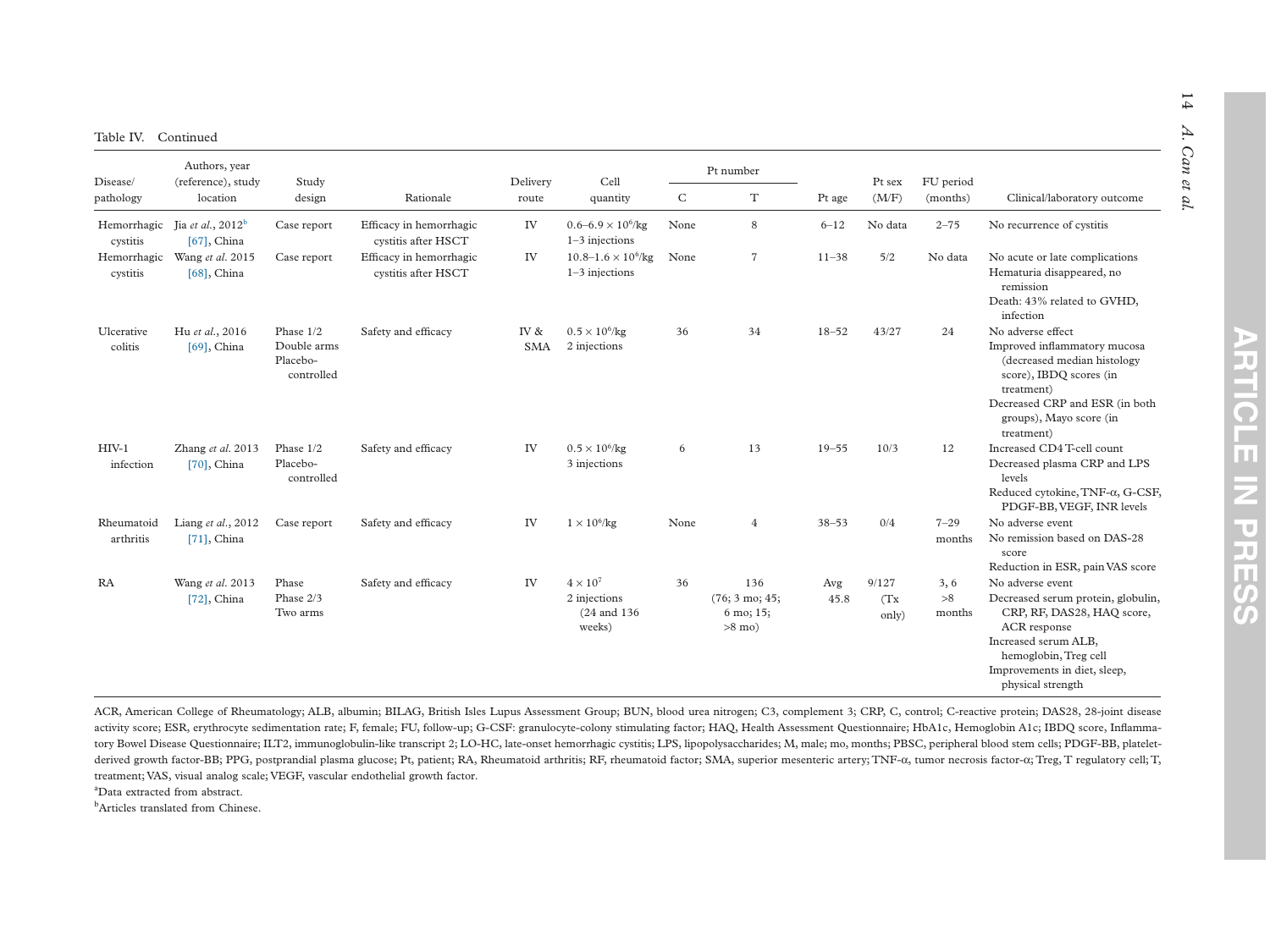<span id="page-13-1"></span><span id="page-13-0"></span>

|                         | Authors, year                          |                                                    |                                                |                    |                                                           |      | Pt number                                                |             |                        |                       |                                                                                                                                                                                                            |
|-------------------------|----------------------------------------|----------------------------------------------------|------------------------------------------------|--------------------|-----------------------------------------------------------|------|----------------------------------------------------------|-------------|------------------------|-----------------------|------------------------------------------------------------------------------------------------------------------------------------------------------------------------------------------------------------|
| Disease/                | (reference), study<br>location         | Study<br>design                                    | Rationale                                      | Delivery           | Cell                                                      |      | $\mathbf T$                                              |             | Pt sex<br>(M/F)        | FU period<br>(months) | Clinical/laboratory outcome                                                                                                                                                                                |
| pathology               |                                        |                                                    |                                                | route              | quantity                                                  | C    |                                                          | Pt age      |                        |                       |                                                                                                                                                                                                            |
| Hemorrhagic<br>cystitis | Jia et al., $2012^b$<br>$[67]$ , China | Case report                                        | Efficacy in hemorrhagic<br>cystitis after HSCT | IV                 | $0.6 - 6.9 \times 10^6$ /kg<br>$1-3$ injections           | None | 8                                                        | $6 - 12$    | No data                | $2 - 75$              | No recurrence of cystitis                                                                                                                                                                                  |
| Hemorrhagic<br>cystitis | Wang et al. 2015<br>$[68]$ , China     | Case report                                        | Efficacy in hemorrhagic<br>cystitis after HSCT | IV                 | $10.8 - 1.6 \times 10^6$ /kg<br>$1-3$ injections          | None | $\overline{7}$                                           | $11 - 38$   | 5/2                    | No data               | No acute or late complications<br>Hematuria disappeared, no<br>remission<br>Death: 43% related to GVHD,<br>infection                                                                                       |
| Ulcerative<br>colitis   | Hu et al., 2016<br>$[69]$ , China      | Phase 1/2<br>Double arms<br>Placebo-<br>controlled | Safety and efficacy                            | IV &<br><b>SMA</b> | $0.5 \times 10^6$ /kg<br>2 injections                     | 36   | 34                                                       | $18 - 52$   | 43/27                  | 24                    | No adverse effect<br>Improved inflammatory mucosa<br>(decreased median histology<br>score), IBDQ scores (in<br>treatment)<br>Decreased CRP and ESR (in both<br>groups), Mayo score (in<br>treatment)       |
| $HIV-1$<br>infection    | Zhang et al. 2013<br>$[70]$ , China    | Phase $1/2$<br>Placebo-<br>controlled              | Safety and efficacy                            | IV                 | $0.5 \times 10^{6}$ /kg<br>3 injections                   | 6    | 13                                                       | $19 - 55$   | 10/3                   | 12                    | Increased CD4 T-cell count<br>Decreased plasma CRP and LPS<br>levels<br>Reduced cytokine, TNF-a, G-CSF,<br>PDGF-BB, VEGF, INR levels                                                                       |
| Rheumatoid<br>arthritis | Liang et al., 2012<br>$[71]$ , China   | Case report                                        | Safety and efficacy                            | IV                 | $1 \times 10^6$ /kg                                       | None | $\overline{4}$                                           | $38 - 53$   | 0/4                    | $7 - 29$<br>months    | No adverse event<br>No remission based on DAS-28<br>score<br>Reduction in ESR, pain VAS score                                                                                                              |
| RA                      | Wang et al. 2013<br>$[72]$ , China     | Phase<br>Phase 2/3<br>Two arms                     | Safety and efficacy                            | IV                 | $4 \times 10^7$<br>2 injections<br>(24 and 136)<br>weeks) | 36   | 136<br>$(76; 3 \text{ mo}; 45;$<br>6 mo; 15;<br>$>8$ mo) | Avg<br>45.8 | 9/127<br>(Tx)<br>only) | 3, 6<br>>8<br>months  | No adverse event<br>Decreased serum protein, globulin,<br>CRP, RF, DAS28, HAQ score,<br>ACR response<br>Increased serum ALB,<br>hemoglobin, Treg cell<br>Improvements in diet, sleep,<br>physical strength |

ACR, American College of Rheumatology; ALB, albumin; BILAG, British Isles Lupus Assessment Group; BUN, blood urea nitrogen; C3, complement 3; CRP, C, control; C-reactive protein; DAS28, 28-joint disease activity score; ESR, erythrocyte sedimentation rate; F, female; FU, follow-up; G-CSF: granulocyte-colony stimulating factor; HAQ, Health Assessment Questionnaire; HbA1c, Hemoglobin A1c; IBDQ score, Inflammatory Bowel Disease Questionnaire; ILT2, immunoglobulin-like transcript 2; LO-HC, late-onset hemorrhagic cystitis; LPS, lipopolysaccharides; M, male; mo, months; PBSC, peripheral blood stem cells; PDGF-BB, plateletderived growth factor-BB; PPG, postprandial plasma glucose; Pt, patient; RA, Rheumatoid arthritis; RF, rheumatoid factor; SMA, superior mesenteric artery; TNF-α, tumor necrosis factor-α; Treg, T regulatory cell; T, treatment; VAS, visual analog scale; VEGF, vascular endothelial growth factor.

aData extracted from abstract.

**b**Articles translated from Chinese.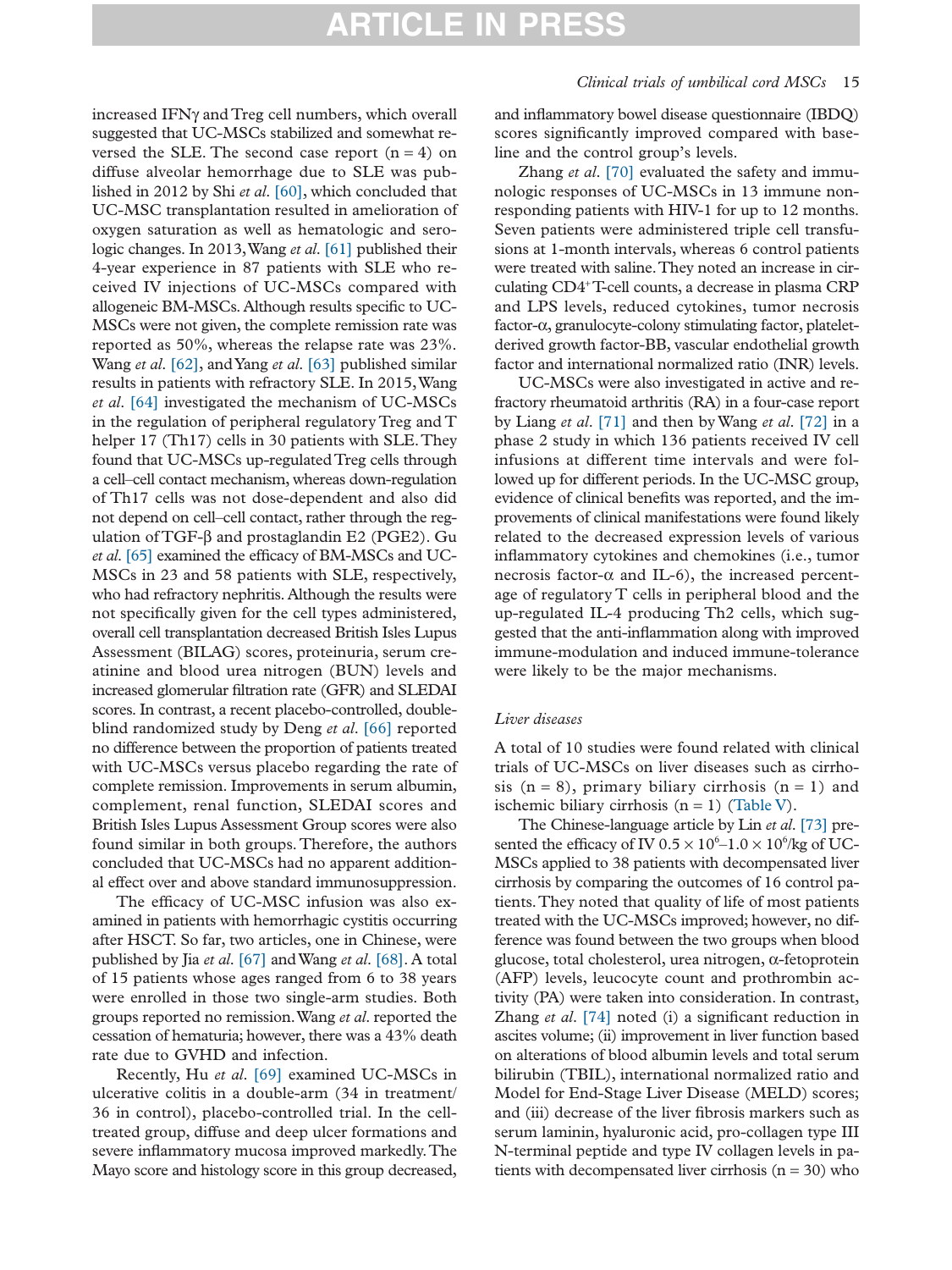## *Clinical trials of umbilical cord MSCs* 15

increased IFNγ and Treg cell numbers, which overall suggested that UC-MSCs stabilized and somewhat reversed the SLE. The second case report  $(n = 4)$  on diffuse alveolar hemorrhage due to SLE was published in 2012 by Shi *et al*. [\[60\],](#page-29-46) which concluded that UC-MSC transplantation resulted in amelioration of oxygen saturation as well as hematologic and serologic changes. In 2013,Wang *et al*. [\[61\]](#page-29-47) published their 4-year experience in 87 patients with SLE who received IV injections of UC-MSCs compared with allogeneic BM-MSCs. Although results specific to UC-MSCs were not given, the complete remission rate was reported as 50%, whereas the relapse rate was 23%. Wang *et al*. [\[62\],](#page-29-48) andYang *et al*. [\[63\]](#page-29-49) published similar results in patients with refractory SLE. In 2015,Wang *et al*. [\[64\]](#page-29-50) investigated the mechanism of UC-MSCs in the regulation of peripheral regulatory Treg and T helper 17 (Th17) cells in 30 patients with SLE. They found that UC-MSCs up-regulated Treg cells through a cell–cell contact mechanism, whereas down-regulation of Th17 cells was not dose-dependent and also did not depend on cell–cell contact, rather through the regulation of TGF- $β$  and prostaglandin E2 (PGE2). Gu *et al*.[\[65\]](#page-29-51) examined the efficacy of BM-MSCs and UC-MSCs in 23 and 58 patients with SLE, respectively, who had refractory nephritis. Although the results were not specifically given for the cell types administered, overall cell transplantation decreased British Isles Lupus Assessment (BILAG) scores, proteinuria, serum creatinine and blood urea nitrogen (BUN) levels and increased glomerular filtration rate (GFR) and SLEDAI scores. In contrast, a recent placebo-controlled, doubleblind randomized study by Deng *et al*. [\[66\]](#page-29-52) reported no difference between the proportion of patients treated with UC-MSCs versus placebo regarding the rate of complete remission. Improvements in serum albumin, complement, renal function, SLEDAI scores and British Isles Lupus Assessment Group scores were also found similar in both groups. Therefore, the authors concluded that UC-MSCs had no apparent additional effect over and above standard immunosuppression.

The efficacy of UC-MSC infusion was also examined in patients with hemorrhagic cystitis occurring after HSCT. So far, two articles, one in Chinese, were published by Jia *et al*. [\[67\]](#page-29-53) andWang *et al*. [\[68\].](#page-29-54) A total of 15 patients whose ages ranged from 6 to 38 years were enrolled in those two single-arm studies. Both groups reported no remission.Wang *et al*. reported the cessation of hematuria; however, there was a 43% death rate due to GVHD and infection.

Recently, Hu *et al*. [\[69\]](#page-29-55) examined UC-MSCs in ulcerative colitis in a double-arm (34 in treatment/ 36 in control), placebo-controlled trial. In the celltreated group, diffuse and deep ulcer formations and severe inflammatory mucosa improved markedly.The Mayo score and histology score in this group decreased,

and inflammatory bowel disease questionnaire (IBDQ) scores significantly improved compared with baseline and the control group's levels.

Zhang *et al*. [\[70\]](#page-29-56) evaluated the safety and immunologic responses of UC-MSCs in 13 immune nonresponding patients with HIV-1 for up to 12 months. Seven patients were administered triple cell transfusions at 1-month intervals, whereas 6 control patients were treated with saline.They noted an increase in circulating CD4<sup>+</sup>T-cell counts, a decrease in plasma CRP and LPS levels, reduced cytokines, tumor necrosis factor-α, granulocyte-colony stimulating factor, plateletderived growth factor-BB, vascular endothelial growth factor and international normalized ratio (INR) levels.

UC-MSCs were also investigated in active and refractory rheumatoid arthritis (RA) in a four-case report by Liang *et al*. [\[71\]](#page-29-57) and then by Wang *et al*. [\[72\]](#page-30-1) in a phase 2 study in which 136 patients received IV cell infusions at different time intervals and were followed up for different periods. In the UC-MSC group, evidence of clinical benefits was reported, and the improvements of clinical manifestations were found likely related to the decreased expression levels of various inflammatory cytokines and chemokines (i.e., tumor necrosis factor- $α$  and IL-6), the increased percentage of regulatory T cells in peripheral blood and the up-regulated IL-4 producing Th2 cells, which suggested that the anti-inflammation along with improved immune-modulation and induced immune-tolerance were likely to be the major mechanisms.

## *Liver diseases*

A total of 10 studies were found related with clinical trials of UC-MSCs on liver diseases such as cirrhosis  $(n = 8)$ , primary biliary cirrhosis  $(n = 1)$  and ischemic biliary cirrhosis  $(n = 1)$  [\(Table V\)](#page-15-0).

The Chinese-language article by Lin *et al*. [\[73\]](#page-30-2) presented the efficacy of IV  $0.5 \times 10^{6}$ – $1.0 \times 10^{6}$ /kg of UC-MSCs applied to 38 patients with decompensated liver cirrhosis by comparing the outcomes of 16 control patients.They noted that quality of life of most patients treated with the UC-MSCs improved; however, no difference was found between the two groups when blood glucose, total cholesterol, urea nitrogen, α-fetoprotein (AFP) levels, leucocyte count and prothrombin activity (PA) were taken into consideration. In contrast, Zhang *et al*. [\[74\]](#page-30-3) noted (i) a significant reduction in ascites volume; (ii) improvement in liver function based on alterations of blood albumin levels and total serum bilirubin (TBIL), international normalized ratio and Model for End-Stage Liver Disease (MELD) scores; and (iii) decrease of the liver fibrosis markers such as serum laminin, hyaluronic acid, pro-collagen type III N-terminal peptide and type IV collagen levels in patients with decompensated liver cirrhosis  $(n = 30)$  who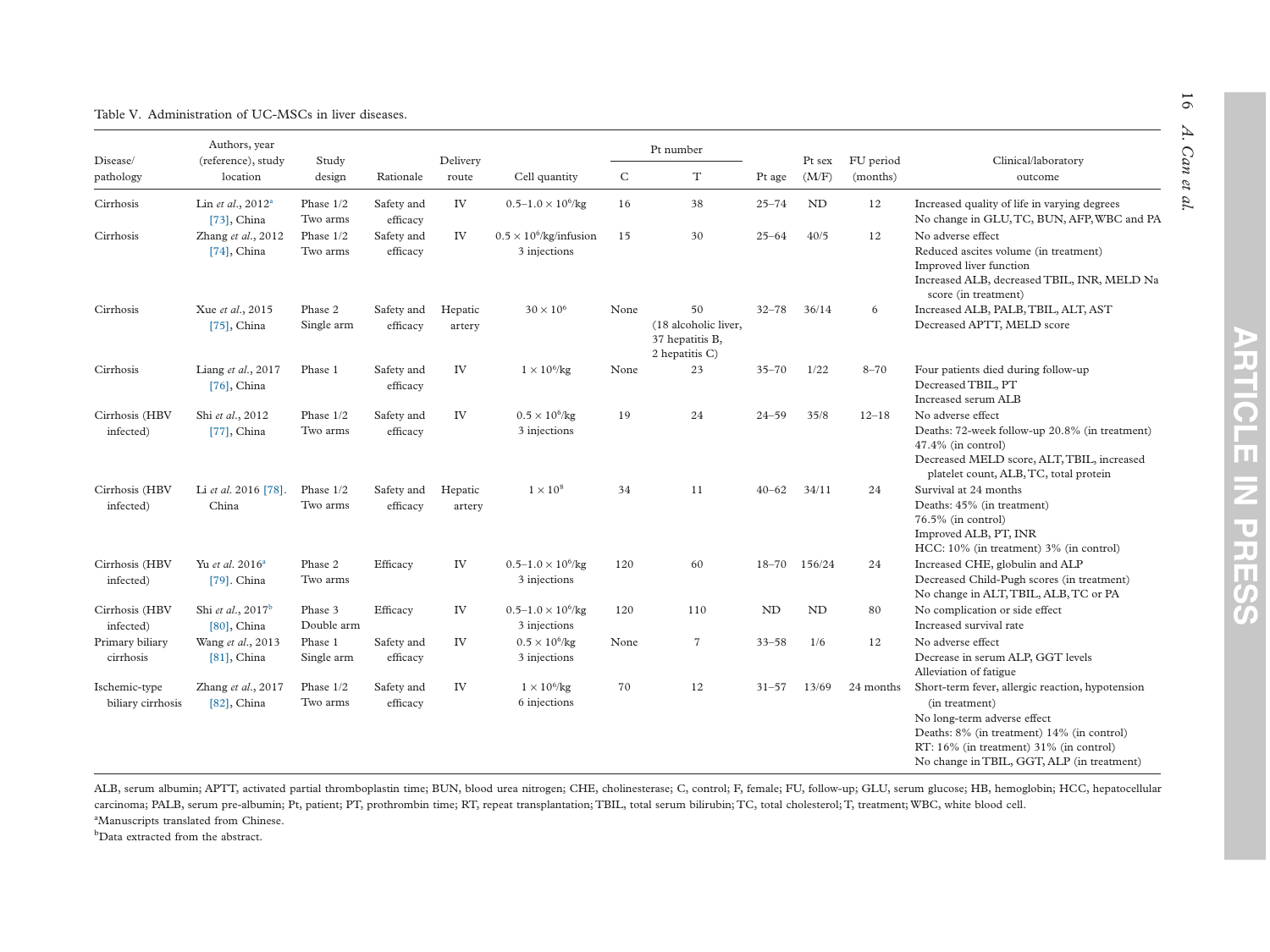<span id="page-15-2"></span><span id="page-15-1"></span><span id="page-15-0"></span>

| Disease/                           | Authors, year<br>(reference), study             | Study                   |                        | Delivery          |                                                |      | Pt number                                                       |           | Pt sex       | FU period | Clinical/laboratory                                                                                                                                                                                                                      |
|------------------------------------|-------------------------------------------------|-------------------------|------------------------|-------------------|------------------------------------------------|------|-----------------------------------------------------------------|-----------|--------------|-----------|------------------------------------------------------------------------------------------------------------------------------------------------------------------------------------------------------------------------------------------|
| pathology                          | location                                        | design                  | Rationale              | route             | Cell quantity                                  | C    | $\mathbf T$                                                     | Pt age    | (M/F)        | (months)  | outcome                                                                                                                                                                                                                                  |
| Cirrhosis                          | Lin et al., 2012 <sup>a</sup><br>$[73]$ , China | Phase 1/2<br>Two arms   | Safety and<br>efficacy | IV                | $0.5 - 1.0 \times 10^6$ /kg                    | 16   | 38                                                              | $25 - 74$ | <b>ND</b>    | 12        | Increased quality of life in varying degrees<br>No change in GLU, TC, BUN, AFP, WBC and PA                                                                                                                                               |
| Cirrhosis                          | Zhang et al., 2012<br>$[74]$ , China            | Phase 1/2<br>Two arms   | Safety and<br>efficacy | IV                | $0.5 \times 10^6$ /kg/infusion<br>3 injections | 15   | 30                                                              | $25 - 64$ | 40/5         | 12        | No adverse effect<br>Reduced ascites volume (in treatment)<br>Improved liver function<br>Increased ALB, decreased TBIL, INR, MELD Na<br>score (in treatment)                                                                             |
| Cirrhosis                          | Xue et al., 2015<br>$[75]$ , China              | Phase 2<br>Single arm   | Safety and<br>efficacy | Hepatic<br>artery | $30 \times 10^6$                               | None | 50<br>(18 alcoholic liver,<br>37 hepatitis B,<br>2 hepatitis C) | $32 - 78$ | 36/14        | 6         | Increased ALB, PALB, TBIL, ALT, AST<br>Decreased APTT, MELD score                                                                                                                                                                        |
| Cirrhosis                          | Liang et al., 2017<br>$[76]$ , China            | Phase 1                 | Safety and<br>efficacy | IV                | $1 \times 10^6$ /kg                            | None | 23                                                              | $35 - 70$ | 1/22         | $8 - 70$  | Four patients died during follow-up<br>Decreased TBIL, PT<br>Increased serum ALB                                                                                                                                                         |
| Cirrhosis (HBV<br>infected)        | Shi et al., 2012<br>$[77]$ , China              | Phase 1/2<br>Two arms   | Safety and<br>efficacy | IV                | $0.5 \times 10^{6}$ /kg<br>3 injections        | 19   | 24                                                              | $24 - 59$ | 35/8         | $12 - 18$ | No adverse effect<br>Deaths: 72-week follow-up 20.8% (in treatment)<br>47.4% (in control)<br>Decreased MELD score, ALT, TBIL, increased<br>platelet count, ALB, TC, total protein                                                        |
| Cirrhosis (HBV<br>infected)        | Li et al. 2016 [78].<br>China                   | Phase $1/2$<br>Two arms | Safety and<br>efficacy | Hepatic<br>artery | $1 \times 10^8$                                | 34   | 11                                                              | $40 - 62$ | 34/11        | 24        | Survival at 24 months<br>Deaths: 45% (in treatment)<br>$76.5\%$ (in control)<br>Improved ALB, PT, INR<br>HCC: 10% (in treatment) 3% (in control)                                                                                         |
| Cirrhosis (HBV<br>infected)        | Yu et al. 2016 <sup>a</sup><br>$[79]$ . China   | Phase 2<br>Two arms     | Efficacy               | IV                | $0.5 - 1.0 \times 10^6$ /kg<br>3 injections    | 120  | 60                                                              |           | 18-70 156/24 | 24        | Increased CHE, globulin and ALP<br>Decreased Child-Pugh scores (in treatment)<br>No change in ALT, TBIL, ALB, TC or PA                                                                                                                   |
| Cirrhosis (HBV<br>infected)        | Shi et al., 2017 <sup>b</sup><br>$[80]$ , China | Phase 3<br>Double arm   | Efficacy               | IV                | $0.5 - 1.0 \times 10^6$ /kg<br>3 injections    | 120  | 110                                                             | <b>ND</b> | ND           | 80        | No complication or side effect<br>Increased survival rate                                                                                                                                                                                |
| Primary biliary<br>cirrhosis       | Wang et al., 2013<br>$[81]$ , China             | Phase 1<br>Single arm   | Safety and<br>efficacy | IV                | $0.5 \times 10^6$ /kg<br>3 injections          | None | $\overline{7}$                                                  | $33 - 58$ | 1/6          | 12        | No adverse effect<br>Decrease in serum ALP, GGT levels<br>Alleviation of fatigue                                                                                                                                                         |
| Ischemic-type<br>biliary cirrhosis | Zhang et al., 2017<br>$[82]$ , China            | Phase 1/2<br>Two arms   | Safety and<br>efficacy | IV                | $1 \times 10^6$ /kg<br>6 injections            | 70   | 12                                                              | $31 - 57$ | 13/69        | 24 months | Short-term fever, allergic reaction, hypotension<br>(in treatment)<br>No long-term adverse effect<br>Deaths: 8% (in treatment) 14% (in control)<br>RT: 16% (in treatment) 31% (in control)<br>No change in TBIL, GGT, ALP (in treatment) |

ALB, serum albumin; APTT, activated partial thromboplastin time; BUN, blood urea nitrogen; CHE, cholinesterase; C, control; F, female; FU, follow-up; GLU, serum glucose; HB, hemoglobin; HCC, hepatocellular carcinoma; PALB, serum pre-albumin; Pt, patient; PT, prothrombin time; RT, repeat transplantation; TBIL, total serum bilirubin; TC, total cholesterol; T, treatment; WBC, white blood cell. <sup>a</sup>Manuscripts translated from Chinese.

<sup>b</sup>Data extracted from the abstract.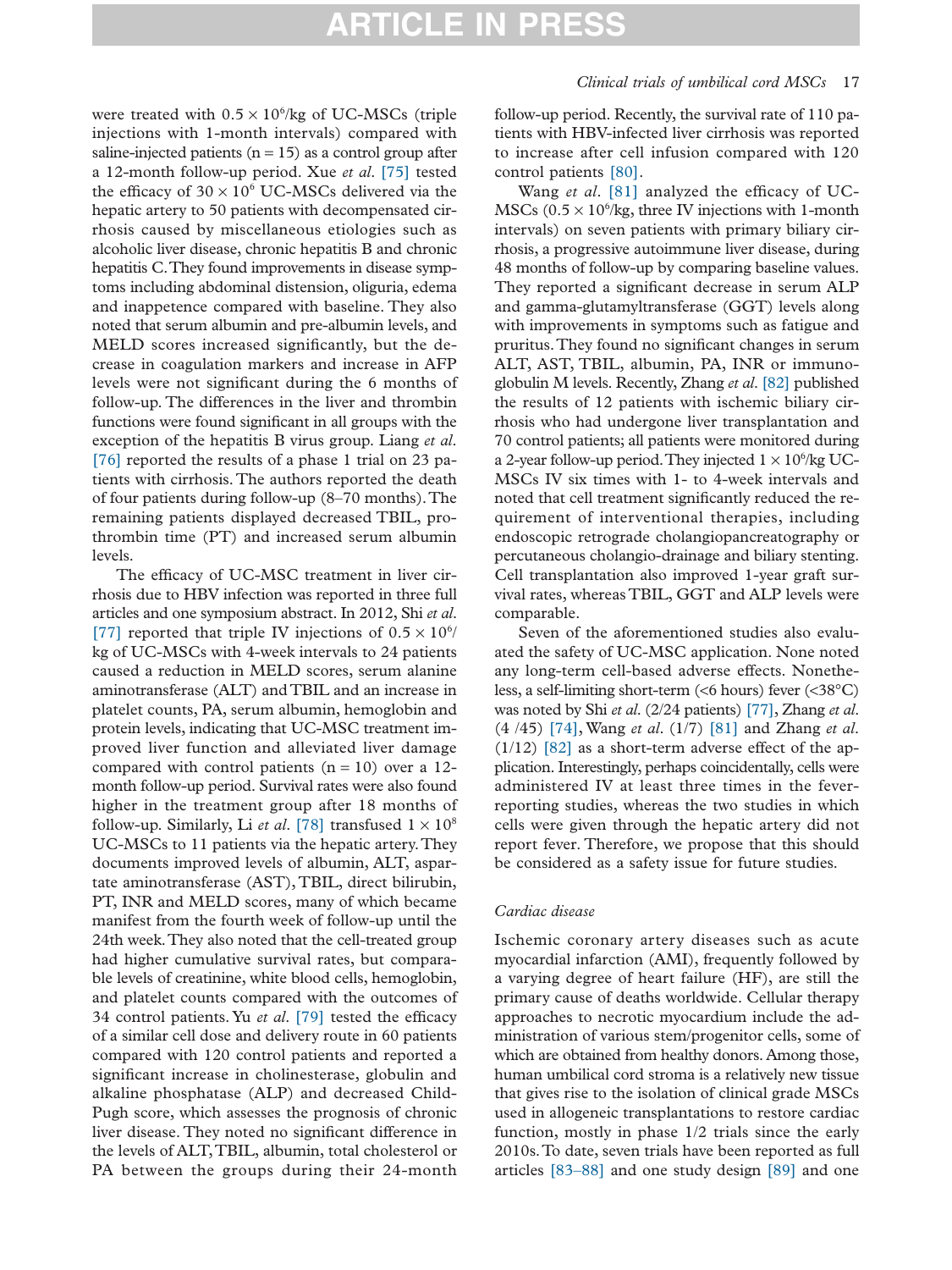## *Clinical trials of umbilical cord MSCs* 17

were treated with  $0.5 \times 10^6$ /kg of UC-MSCs (triple injections with 1-month intervals) compared with saline-injected patients ( $n = 15$ ) as a control group after a 12-month follow-up period. Xue *et al*. [\[75\]](#page-30-14) tested the efficacy of  $30 \times 10^6$  UC-MSCs delivered via the hepatic artery to 50 patients with decompensated cirrhosis caused by miscellaneous etiologies such as alcoholic liver disease, chronic hepatitis B and chronic hepatitis C.They found improvements in disease symptoms including abdominal distension, oliguria, edema and inappetence compared with baseline. They also noted that serum albumin and pre-albumin levels, and MELD scores increased significantly, but the decrease in coagulation markers and increase in AFP levels were not significant during the 6 months of follow-up. The differences in the liver and thrombin functions were found significant in all groups with the exception of the hepatitis B virus group. Liang *et al*. [\[76\]](#page-30-15) reported the results of a phase 1 trial on 23 patients with cirrhosis. The authors reported the death of four patients during follow-up (8–70 months).The remaining patients displayed decreased TBIL, prothrombin time (PT) and increased serum albumin levels.

The efficacy of UC-MSC treatment in liver cirrhosis due to HBV infection was reported in three full articles and one symposium abstract. In 2012, Shi *et al*. [\[77\]](#page-30-16) reported that triple IV injections of  $0.5 \times 10^6$ / kg of UC-MSCs with 4-week intervals to 24 patients caused a reduction in MELD scores, serum alanine aminotransferase (ALT) and TBIL and an increase in platelet counts, PA, serum albumin, hemoglobin and protein levels, indicating that UC-MSC treatment improved liver function and alleviated liver damage compared with control patients  $(n = 10)$  over a 12month follow-up period. Survival rates were also found higher in the treatment group after 18 months of follow-up. Similarly, Li *et al.* [\[78\]](#page-30-17) transfused  $1 \times 10^8$ UC-MSCs to 11 patients via the hepatic artery.They documents improved levels of albumin, ALT, aspartate aminotransferase (AST), TBIL, direct bilirubin, PT, INR and MELD scores, many of which became manifest from the fourth week of follow-up until the 24th week.They also noted that the cell-treated group had higher cumulative survival rates, but comparable levels of creatinine, white blood cells, hemoglobin, and platelet counts compared with the outcomes of 34 control patients. Yu *et al*. [\[79\]](#page-30-18) tested the efficacy of a similar cell dose and delivery route in 60 patients compared with 120 control patients and reported a significant increase in cholinesterase, globulin and alkaline phosphatase (ALP) and decreased Child-Pugh score, which assesses the prognosis of chronic liver disease. They noted no significant difference in the levels of ALT,TBIL, albumin, total cholesterol or PA between the groups during their 24-month

follow-up period. Recently, the survival rate of 110 patients with HBV-infected liver cirrhosis was reported to increase after cell infusion compared with 120 control patients [\[80\].](#page-30-19)

Wang *et al*. [\[81\]](#page-30-20) analyzed the efficacy of UC-MSCs  $(0.5 \times 10^6$ /kg, three IV injections with 1-month intervals) on seven patients with primary biliary cirrhosis, a progressive autoimmune liver disease, during 48 months of follow-up by comparing baseline values. They reported a significant decrease in serum ALP and gamma-glutamyltransferase (GGT) levels along with improvements in symptoms such as fatigue and pruritus.They found no significant changes in serum ALT, AST, TBIL, albumin, PA, INR or immunoglobulin M levels. Recently, Zhang *et al*. [\[82\]](#page-30-21) published the results of 12 patients with ischemic biliary cirrhosis who had undergone liver transplantation and 70 control patients; all patients were monitored during a 2-year follow-up period. They injected  $1 \times 10^6$ /kg UC-MSCs IV six times with 1- to 4-week intervals and noted that cell treatment significantly reduced the requirement of interventional therapies, including endoscopic retrograde cholangiopancreatography or percutaneous cholangio-drainage and biliary stenting. Cell transplantation also improved 1-year graft survival rates, whereas TBIL, GGT and ALP levels were comparable.

Seven of the aforementioned studies also evaluated the safety of UC-MSC application. None noted any long-term cell-based adverse effects. Nonetheless, a self-limiting short-term (<6 hours) fever (<38°C) was noted by Shi *et al*. (2/24 patients) [\[77\],](#page-30-16) Zhang *et al*. (4 /45) [\[74\],](#page-30-3) Wang *et al*. (1/7) [\[81\]](#page-30-20) and Zhang *et al*.  $(1/12)$  [\[82\]](#page-30-21) as a short-term adverse effect of the application. Interestingly, perhaps coincidentally, cells were administered IV at least three times in the feverreporting studies, whereas the two studies in which cells were given through the hepatic artery did not report fever. Therefore, we propose that this should be considered as a safety issue for future studies.

## *Cardiac disease*

Ischemic coronary artery diseases such as acute myocardial infarction (AMI), frequently followed by a varying degree of heart failure (HF), are still the primary cause of deaths worldwide. Cellular therapy approaches to necrotic myocardium include the administration of various stem/progenitor cells, some of which are obtained from healthy donors. Among those, human umbilical cord stroma is a relatively new tissue that gives rise to the isolation of clinical grade MSCs used in allogeneic transplantations to restore cardiac function, mostly in phase 1/2 trials since the early 2010s.To date, seven trials have been reported as full articles [\[83–88\]](#page-30-22) and one study design [\[89\]](#page-30-23) and one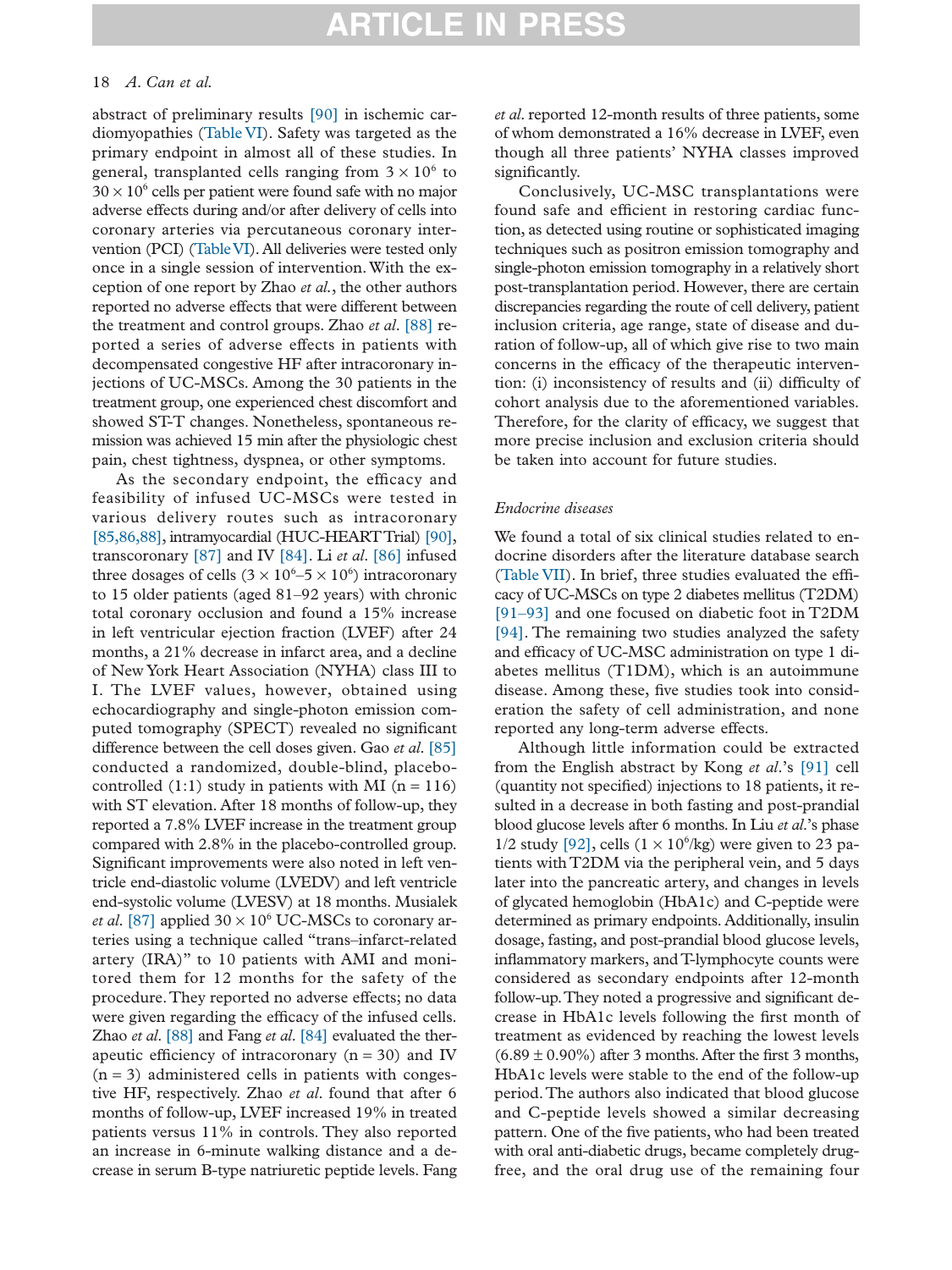## 18 *A. Can et al.*

abstract of preliminary results [\[90\]](#page-30-24) in ischemic cardiomyopathies [\(Table VI\)](#page-18-0). Safety was targeted as the primary endpoint in almost all of these studies. In general, transplanted cells ranging from  $3 \times 10^6$  to  $30 \times 10^6$  cells per patient were found safe with no major adverse effects during and/or after delivery of cells into coronary arteries via percutaneous coronary intervention (PCI) (Table VI). All deliveries were tested only once in a single session of intervention. With the exception of one report by Zhao *et al.*, the other authors reported no adverse effects that were different between the treatment and control groups. Zhao *et al*. [\[88\]](#page-30-25) reported a series of adverse effects in patients with decompensated congestive HF after intracoronary injections of UC-MSCs. Among the 30 patients in the treatment group, one experienced chest discomfort and showed ST-T changes. Nonetheless, spontaneous remission was achieved 15 min after the physiologic chest pain, chest tightness, dyspnea, or other symptoms.

As the secondary endpoint, the efficacy and feasibility of infused UC-MSCs were tested in various delivery routes such as intracoronary [\[85,86,88\],](#page-30-26) intramyocardial (HUC-HEARTTrial) [\[90\],](#page-30-24) transcoronary [\[87\]](#page-30-27) and IV [\[84\].](#page-30-28) Li *et al*. [\[86\]](#page-30-29) infused three dosages of cells  $(3 \times 10^{6} - 5 \times 10^{6})$  intracoronary to 15 older patients (aged 81–92 years) with chronic total coronary occlusion and found a 15% increase in left ventricular ejection fraction (LVEF) after 24 months, a 21% decrease in infarct area, and a decline of New York Heart Association (NYHA) class III to I. The LVEF values, however, obtained using echocardiography and single-photon emission computed tomography (SPECT) revealed no significant difference between the cell doses given. Gao *et al*. [\[85\]](#page-30-26) conducted a randomized, double-blind, placebocontrolled  $(1:1)$  study in patients with MI  $(n = 116)$ with ST elevation. After 18 months of follow-up, they reported a 7.8% LVEF increase in the treatment group compared with 2.8% in the placebo-controlled group. Significant improvements were also noted in left ventricle end-diastolic volume (LVEDV) and left ventricle end-systolic volume (LVESV) at 18 months. Musialek *et al.* [\[87\]](#page-30-27) applied  $30 \times 10^6$  UC-MSCs to coronary arteries using a technique called "trans–infarct-related artery (IRA)" to 10 patients with AMI and monitored them for 12 months for the safety of the procedure.They reported no adverse effects; no data were given regarding the efficacy of the infused cells. Zhao *et al*. [\[88\]](#page-30-25) and Fang *et al*. [\[84\]](#page-30-28) evaluated the therapeutic efficiency of intracoronary  $(n = 30)$  and IV  $(n = 3)$  administered cells in patients with congestive HF, respectively. Zhao *et al*. found that after 6 months of follow-up, LVEF increased 19% in treated patients versus 11% in controls. They also reported an increase in 6-minute walking distance and a decrease in serum B-type natriuretic peptide levels. Fang *et al*. reported 12-month results of three patients, some of whom demonstrated a 16% decrease in LVEF, even though all three patients' NYHA classes improved significantly.

Conclusively, UC-MSC transplantations were found safe and efficient in restoring cardiac function, as detected using routine or sophisticated imaging techniques such as positron emission tomography and single-photon emission tomography in a relatively short post-transplantation period. However, there are certain discrepancies regarding the route of cell delivery, patient inclusion criteria, age range, state of disease and duration of follow-up, all of which give rise to two main concerns in the efficacy of the therapeutic intervention: (i) inconsistency of results and (ii) difficulty of cohort analysis due to the aforementioned variables. Therefore, for the clarity of efficacy, we suggest that more precise inclusion and exclusion criteria should be taken into account for future studies.

## *Endocrine diseases*

We found a total of six clinical studies related to endocrine disorders after the literature database search [\(Table VII\)](#page-19-0). In brief, three studies evaluated the efficacy of UC-MSCs on type 2 diabetes mellitus (T2DM) [\[91–93\]](#page-30-30) and one focused on diabetic foot in T2DM [\[94\].](#page-30-31) The remaining two studies analyzed the safety and efficacy of UC-MSC administration on type 1 diabetes mellitus (T1DM), which is an autoimmune disease. Among these, five studies took into consideration the safety of cell administration, and none reported any long-term adverse effects.

Although little information could be extracted from the English abstract by Kong *et al*.'s [\[91\]](#page-30-30) cell (quantity not specified) injections to 18 patients, it resulted in a decrease in both fasting and post-prandial blood glucose levels after 6 months. In Liu *et al*.'s phase 1/2 study [\[92\],](#page-30-32) cells  $(1 \times 10^6$ /kg) were given to 23 patients with T2DM via the peripheral vein, and 5 days later into the pancreatic artery, and changes in levels of glycated hemoglobin (HbA1c) and C-peptide were determined as primary endpoints. Additionally, insulin dosage, fasting, and post-prandial blood glucose levels, inflammatory markers, andT-lymphocyte counts were considered as secondary endpoints after 12-month follow-up.They noted a progressive and significant decrease in HbA1c levels following the first month of treatment as evidenced by reaching the lowest levels  $(6.89 \pm 0.90\%)$  after 3 months. After the first 3 months, HbA1c levels were stable to the end of the follow-up period.The authors also indicated that blood glucose and C-peptide levels showed a similar decreasing pattern. One of the five patients, who had been treated with oral anti-diabetic drugs, became completely drugfree, and the oral drug use of the remaining four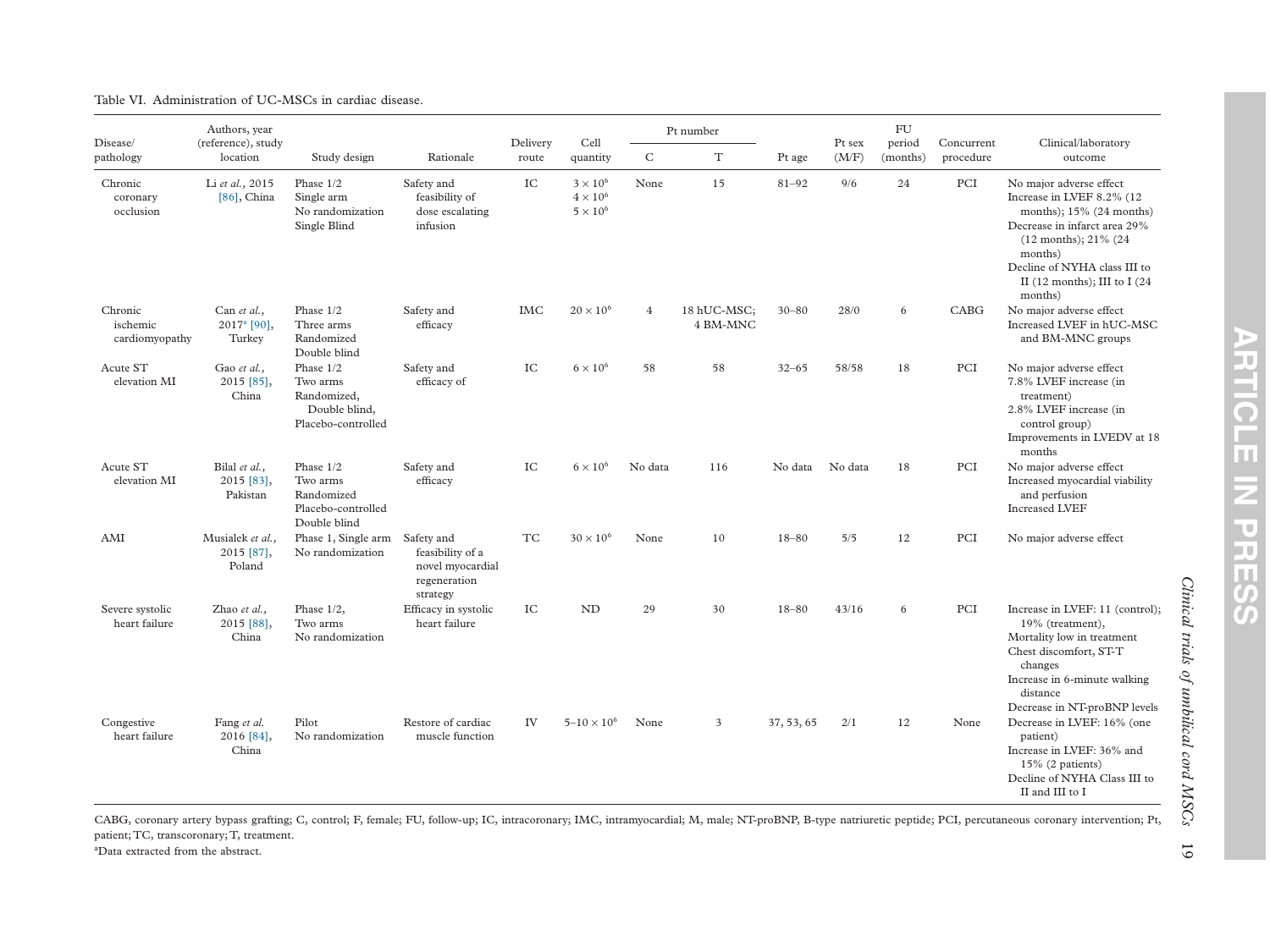<span id="page-18-1"></span>

|                                       | Authors, year                                    |                                                                             |                                                                                |                   |                                                       |                | Pt number               |            |                 | FU                 |                         |                                                                                                                                                                                                                                           |
|---------------------------------------|--------------------------------------------------|-----------------------------------------------------------------------------|--------------------------------------------------------------------------------|-------------------|-------------------------------------------------------|----------------|-------------------------|------------|-----------------|--------------------|-------------------------|-------------------------------------------------------------------------------------------------------------------------------------------------------------------------------------------------------------------------------------------|
| Disease/<br>pathology                 | (reference), study<br>location                   | Study design                                                                | Rationale                                                                      | Delivery<br>route | Cell<br>quantity                                      | $\mathsf{C}$   | $\mathbf T$             | Pt age     | Pt sex<br>(M/F) | period<br>(months) | Concurrent<br>procedure | Clinical/laboratory<br>outcome                                                                                                                                                                                                            |
| Chronic<br>coronary<br>occlusion      | Li et al., 2015<br>$[86]$ , China                | Phase $1/2$<br>Single arm<br>No randomization<br>Single Blind               | Safety and<br>feasibility of<br>dose escalating<br>infusion                    | IC                | $3 \times 10^6$<br>$4 \times 10^6$<br>$5 \times 10^6$ | None           | 15                      | 81-92      | 9/6             | 24                 | PCI                     | No major adverse effect<br>Increase in LVEF 8.2% (12<br>months); $15\%$ (24 months)<br>Decrease in infarct area 29%<br>$(12$ months); $21\%$ $(24)$<br>months)<br>Decline of NYHA class III to<br>II (12 months); III to I (24<br>months) |
| Chronic<br>ischemic<br>cardiomyopathy | Can et al.,<br>2017 <sup>ª</sup> [90],<br>Turkey | Phase 1/2<br>Three arms<br>Randomized<br>Double blind                       | Safety and<br>efficacy                                                         | <b>IMC</b>        | $20 \times 10^6$                                      | $\overline{4}$ | 18 hUC-MSC;<br>4 BM-MNC | $30 - 80$  | 28/0            | 6                  | CABG                    | No major adverse effect<br>Increased LVEF in hUC-MSC<br>and BM-MNC groups                                                                                                                                                                 |
| Acute ST<br>elevation MI              | Gao et al.,<br>2015 [85],<br>China               | Phase 1/2<br>Two arms<br>Randomized,<br>Double blind,<br>Placebo-controlled | Safety and<br>efficacy of                                                      | IC                | $6 \times 10^6$                                       | 58             | 58                      | $32 - 65$  | 58/58           | 18                 | PCI                     | No major adverse effect<br>7.8% LVEF increase (in<br>treatment)<br>2.8% LVEF increase (in<br>control group)<br>Improvements in LVEDV at 18<br>months                                                                                      |
| Acute ST<br>elevation MI              | Bilal et al.,<br>2015 [83],<br>Pakistan          | Phase $1/2$<br>Two arms<br>Randomized<br>Placebo-controlled<br>Double blind | Safety and<br>efficacy                                                         | IC                | $6 \times 10^6$                                       | No data        | 116                     | No data    | No data         | 18                 | PCI                     | No major adverse effect<br>Increased myocardial viability<br>and perfusion<br><b>Increased LVEF</b>                                                                                                                                       |
| AMI                                   | Musialek et al.,<br>2015 [87],<br>Poland         | Phase 1, Single arm<br>No randomization                                     | Safety and<br>feasibility of a<br>novel myocardial<br>regeneration<br>strategy | TC                | $30 \times 10^6$                                      | None           | 10                      | $18 - 80$  | 5/5             | 12                 | PCI                     | No major adverse effect                                                                                                                                                                                                                   |
| Severe systolic<br>heart failure      | Zhao et al.,<br>2015 [88],<br>China              | Phase $1/2$ ,<br>Two arms<br>No randomization                               | Efficacy in systolic<br>heart failure                                          | IC                | $\rm ND$                                              | 29             | 30                      | $18 - 80$  | 43/16           | 6                  | PCI                     | Increase in LVEF: 11 (control);<br>19% (treatment),<br>Mortality low in treatment<br>Chest discomfort, ST-T<br>changes<br>Increase in 6-minute walking<br>distance<br>Decrease in NT-proBNP levels                                        |
| Congestive<br>heart failure           | Fang et al.<br>2016 [84],<br>China               | Pilot<br>No randomization                                                   | Restore of cardiac<br>muscle function                                          | IV                | $5 - 10 \times 10^{6}$                                | None           | 3                       | 37, 53, 65 | 2/1             | 12                 | None                    | Decrease in LVEF: 16% (one<br>patient)<br>Increase in LVEF: 36% and<br>$15\%$ (2 patients)<br>Decline of NYHA Class III to<br>II and III to I                                                                                             |

#### <span id="page-18-0"></span>Table VI. Administration of UC-MSCs in cardiac disease.

CABG, coronary artery bypass grafting; C, control; F, female; FU, follow-up; IC, intracoronary; IMC, intramyocardial; M, male; NT-proBNP, B-type natriuretic peptide; PCI, percutaneous coronary intervention; Pt, patient; TC, transcoronary; T, treatment.

aData extracted from the abstract.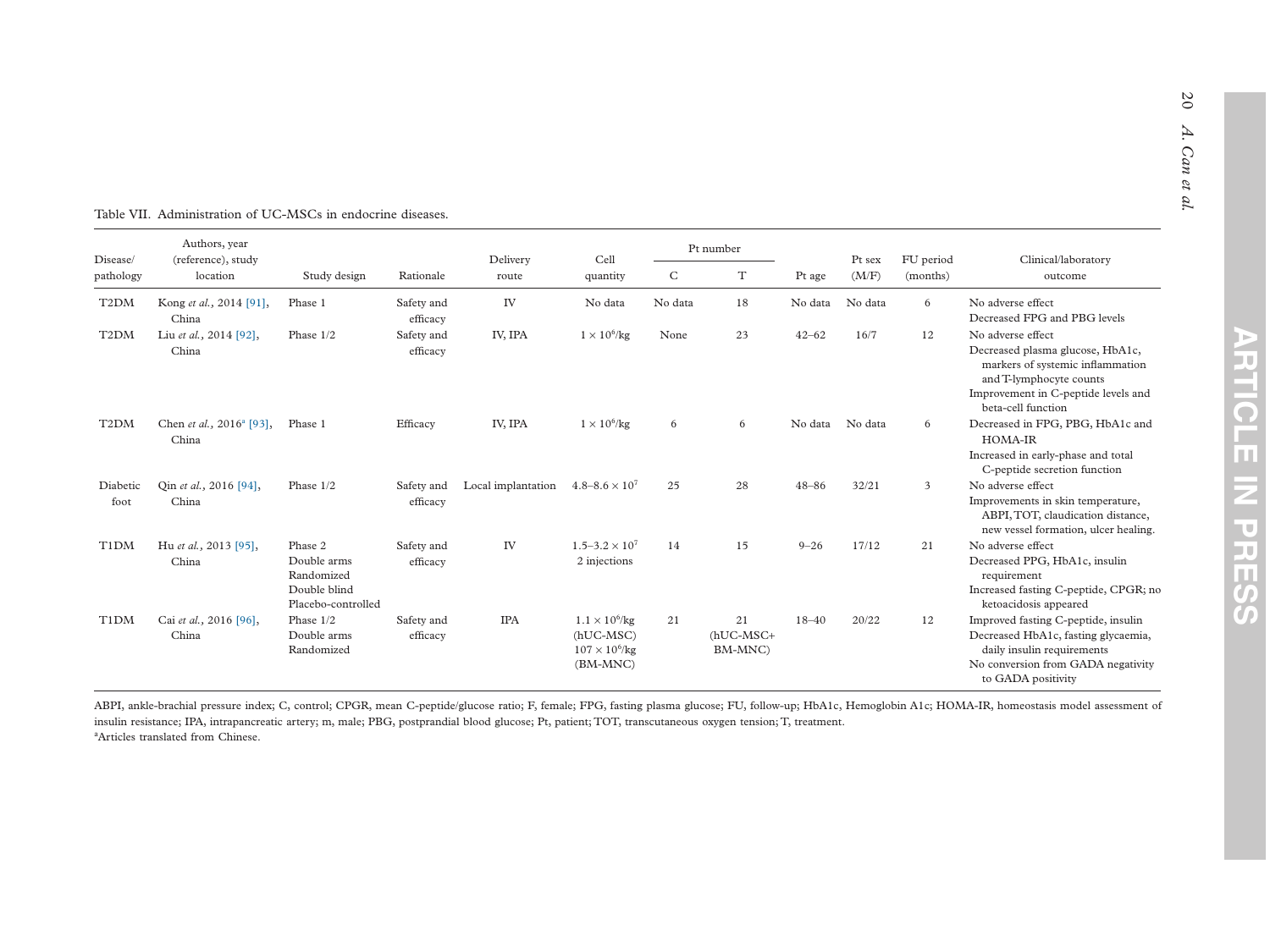<span id="page-19-1"></span>

| Disease/                      | Authors, year<br>(reference), study           |                                                                            |                        | Delivery           | Cell                                                                        |         | Pt number                    |           | Pt sex  | FU period      | Clinical/laboratory                                                                                                                                                               |
|-------------------------------|-----------------------------------------------|----------------------------------------------------------------------------|------------------------|--------------------|-----------------------------------------------------------------------------|---------|------------------------------|-----------|---------|----------------|-----------------------------------------------------------------------------------------------------------------------------------------------------------------------------------|
| pathology                     | location                                      | Study design                                                               | Rationale              | route              | quantity                                                                    | C       | $\mathbf T$                  | Pt age    | (M/F)   | (months)       | outcome                                                                                                                                                                           |
| T <sub>2</sub> DM             | Kong et al., 2014 [91],<br>China              | Phase 1                                                                    | Safety and<br>efficacy | IV                 | No data                                                                     | No data | 18                           | No data   | No data | 6              | No adverse effect<br>Decreased FPG and PBG levels                                                                                                                                 |
| T <sub>2</sub> DM             | Liu et al., 2014 [92],<br>China               | Phase 1/2                                                                  | Safety and<br>efficacy | IV, IPA            | $1 \times 10^6$ /kg                                                         | None    | 23                           | $42 - 62$ | 16/7    | 12             | No adverse effect<br>Decreased plasma glucose, HbA1c,<br>markers of systemic inflammation<br>and T-lymphocyte counts<br>Improvement in C-peptide levels and<br>beta-cell function |
| T <sub>2</sub> DM             | Chen et al., 2016 <sup>a</sup> [93],<br>China | Phase 1                                                                    | Efficacy               | IV, IPA            | $1 \times 10^6$ /kg                                                         | 6       | 6                            | No data   | No data | 6              | Decreased in FPG, PBG, HbA1c and<br>HOMA-IR<br>Increased in early-phase and total<br>C-peptide secretion function                                                                 |
| Diabetic<br>foot              | Qin et al., 2016 [94],<br>China               | Phase 1/2                                                                  | Safety and<br>efficacy | Local implantation | $4.8 - 8.6 \times 10^7$                                                     | 25      | 28                           | $48 - 86$ | 32/21   | $\overline{3}$ | No adverse effect<br>Improvements in skin temperature,<br>ABPI, TOT, claudication distance,<br>new vessel formation, ulcer healing.                                               |
| T <sub>1</sub> D <sub>M</sub> | Hu et al., 2013 [95],<br>China                | Phase 2<br>Double arms<br>Randomized<br>Double blind<br>Placebo-controlled | Safety and<br>efficacy | IV                 | $1.5 - 3.2 \times 10^7$<br>2 injections                                     | 14      | 15                           | $9 - 26$  | 17/12   | 21             | No adverse effect<br>Decreased PPG, HbA1c, insulin<br>requirement<br>Increased fasting C-peptide, CPGR; no<br>ketoacidosis appeared                                               |
| T1DM                          | Cai et al., 2016 [96],<br>China               | Phase 1/2<br>Double arms<br>Randomized                                     | Safety and<br>efficacy | <b>IPA</b>         | $1.1 \times 10^{6}$ /kg<br>$(hUC-MSC)$<br>$107 \times 10^6$ /kg<br>(BM-MNC) | 21      | 21<br>$(hUC-MSC+$<br>BM-MNC) | $18 - 40$ | 20/22   | 12             | Improved fasting C-peptide, insulin<br>Decreased HbA1c, fasting glycaemia,<br>daily insulin requirements<br>No conversion from GADA negativity<br>to GADA positivity              |

#### <span id="page-19-0"></span>Table VII. Administration of UC-MSCs in endocrine diseases.

ABPI, ankle-brachial pressure index; C, control; CPGR, mean C-peptide/glucose ratio; F, female; FPG, fasting plasma glucose; FU, follow-up; HbA1c, Hemoglobin A1c; HOMA-IR, homeostasis model assessment of insulin resistance; IPA, intrapancreatic artery; m, male; PBG, postprandial blood glucose; Pt, patient; TOT, transcutaneous oxygen tension; T, treatment. aArticles translated from Chinese.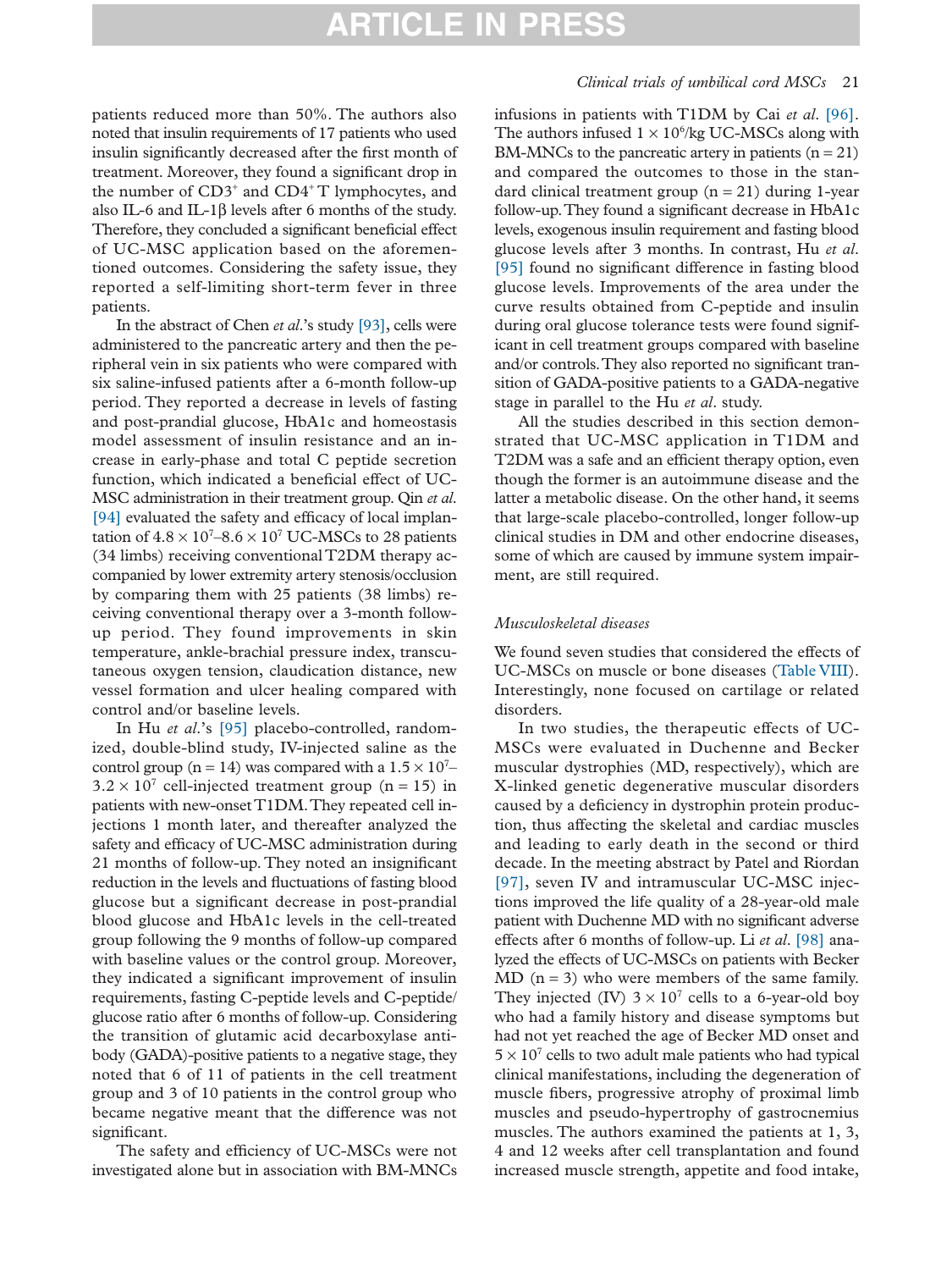## *Clinical trials of umbilical cord MSCs* 21

patients reduced more than 50%. The authors also noted that insulin requirements of 17 patients who used insulin significantly decreased after the first month of treatment. Moreover, they found a significant drop in the number of  $CD3^+$  and  $CD4^+$  T lymphocytes, and also IL-6 and IL-1β levels after 6 months of the study. Therefore, they concluded a significant beneficial effect of UC-MSC application based on the aforementioned outcomes. Considering the safety issue, they reported a self-limiting short-term fever in three patients.

In the abstract of Chen *et al*.'s study [\[93\],](#page-30-46) cells were administered to the pancreatic artery and then the peripheral vein in six patients who were compared with six saline-infused patients after a 6-month follow-up period. They reported a decrease in levels of fasting and post-prandial glucose, HbA1c and homeostasis model assessment of insulin resistance and an increase in early-phase and total C peptide secretion function, which indicated a beneficial effect of UC-MSC administration in their treatment group. Qin *et al*. [\[94\]](#page-30-31) evaluated the safety and efficacy of local implantation of  $4.8 \times 10^7 - 8.6 \times 10^7$  UC-MSCs to 28 patients (34 limbs) receiving conventional T2DM therapy accompanied by lower extremity artery stenosis/occlusion by comparing them with 25 patients (38 limbs) receiving conventional therapy over a 3-month followup period. They found improvements in skin temperature, ankle-brachial pressure index, transcutaneous oxygen tension, claudication distance, new vessel formation and ulcer healing compared with control and/or baseline levels.

In Hu *et al*.'s [\[95\]](#page-30-47) placebo-controlled, randomized, double-blind study, IV-injected saline as the control group (n = 14) was compared with a  $1.5 \times 10^{7}$  $3.2 \times 10^{7}$  cell-injected treatment group (n = 15) in patients with new-onset T1DM. They repeated cell injections 1 month later, and thereafter analyzed the safety and efficacy of UC-MSC administration during 21 months of follow-up. They noted an insignificant reduction in the levels and fluctuations of fasting blood glucose but a significant decrease in post-prandial blood glucose and HbA1c levels in the cell-treated group following the 9 months of follow-up compared with baseline values or the control group. Moreover, they indicated a significant improvement of insulin requirements, fasting C-peptide levels and C-peptide/ glucose ratio after 6 months of follow-up. Considering the transition of glutamic acid decarboxylase antibody (GADA)-positive patients to a negative stage, they noted that 6 of 11 of patients in the cell treatment group and 3 of 10 patients in the control group who became negative meant that the difference was not significant.

The safety and efficiency of UC-MSCs were not investigated alone but in association with BM-MNCs

infusions in patients with T1DM by Cai *et al*. [\[96\].](#page-30-48) The authors infused  $1 \times 10^6$ /kg UC-MSCs along with BM-MNCs to the pancreatic artery in patients  $(n = 21)$ and compared the outcomes to those in the standard clinical treatment group  $(n = 21)$  during 1-year follow-up.They found a significant decrease in HbA1c levels, exogenous insulin requirement and fasting blood glucose levels after 3 months. In contrast, Hu *et al*. [\[95\]](#page-30-47) found no significant difference in fasting blood glucose levels. Improvements of the area under the curve results obtained from C-peptide and insulin during oral glucose tolerance tests were found significant in cell treatment groups compared with baseline and/or controls.They also reported no significant transition of GADA-positive patients to a GADA-negative stage in parallel to the Hu *et al*. study.

All the studies described in this section demonstrated that UC-MSC application in T1DM and T2DM was a safe and an efficient therapy option, even though the former is an autoimmune disease and the latter a metabolic disease. On the other hand, it seems that large-scale placebo-controlled, longer follow-up clinical studies in DM and other endocrine diseases, some of which are caused by immune system impairment, are still required.

## *Musculoskeletal diseases*

We found seven studies that considered the effects of UC-MSCs on muscle or bone diseases [\(Table VIII\)](#page-21-0). Interestingly, none focused on cartilage or related disorders.

In two studies, the therapeutic effects of UC-MSCs were evaluated in Duchenne and Becker muscular dystrophies (MD, respectively), which are X-linked genetic degenerative muscular disorders caused by a deficiency in dystrophin protein production, thus affecting the skeletal and cardiac muscles and leading to early death in the second or third decade. In the meeting abstract by Patel and Riordan [\[97\],](#page-30-49) seven IV and intramuscular UC-MSC injections improved the life quality of a 28-year-old male patient with Duchenne MD with no significant adverse effects after 6 months of follow-up. Li *et al*. [\[98\]](#page-30-50) analyzed the effects of UC-MSCs on patients with Becker  $MD (n = 3)$  who were members of the same family. They injected (IV)  $3 \times 10^7$  cells to a 6-year-old boy who had a family history and disease symptoms but had not yet reached the age of Becker MD onset and  $5 \times 10^7$  cells to two adult male patients who had typical clinical manifestations, including the degeneration of muscle fibers, progressive atrophy of proximal limb muscles and pseudo-hypertrophy of gastrocnemius muscles. The authors examined the patients at 1, 3, 4 and 12 weeks after cell transplantation and found increased muscle strength, appetite and food intake,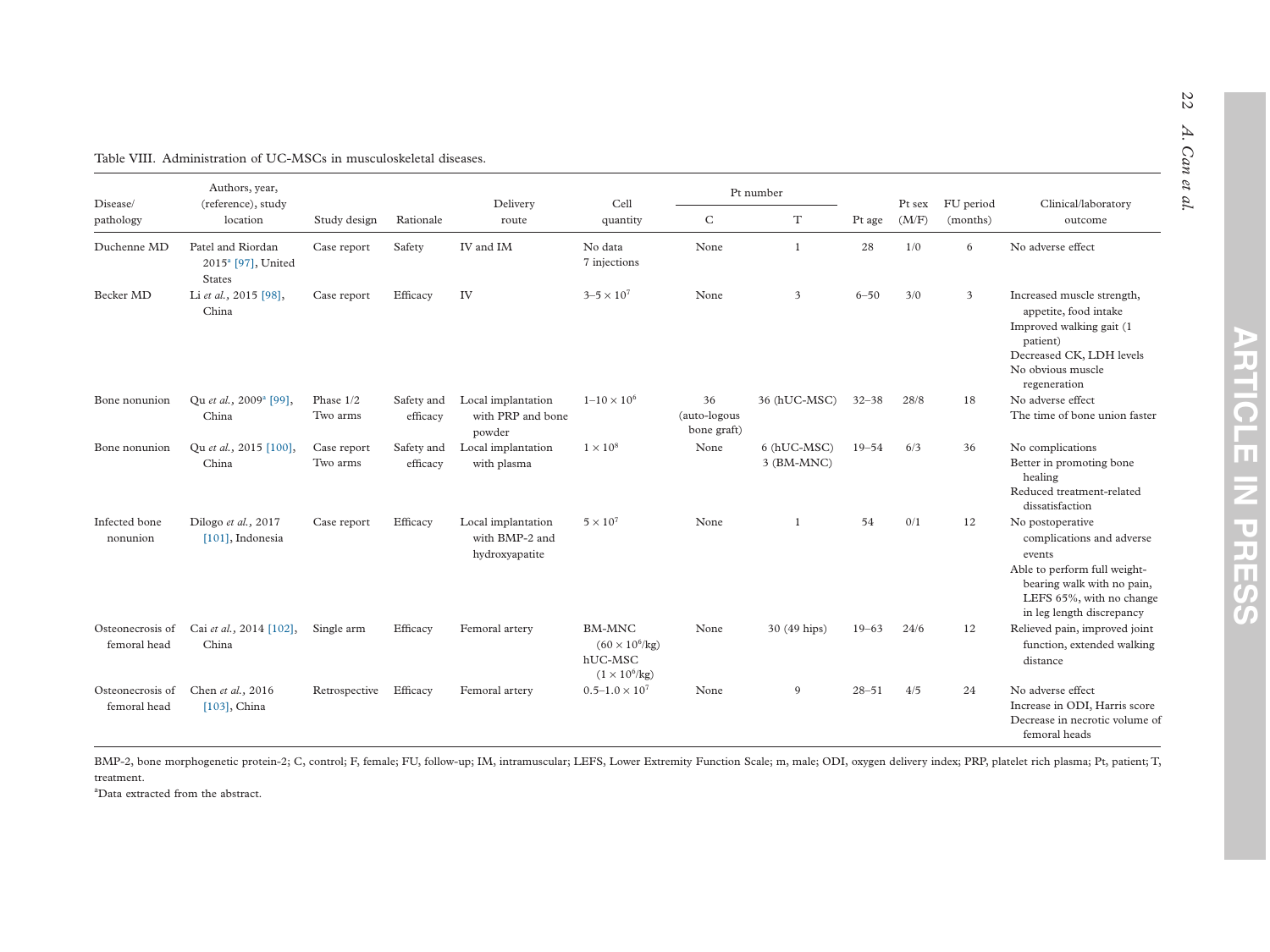<span id="page-21-1"></span>

| Disease/                         | Authors, year,<br>(reference), study                                 |                         |                        | Delivery                                               | Cell                                                                        |                                   | Pt number                    |           | Pt sex | FU period      | Clinical/laboratory                                                                                                                                                            |
|----------------------------------|----------------------------------------------------------------------|-------------------------|------------------------|--------------------------------------------------------|-----------------------------------------------------------------------------|-----------------------------------|------------------------------|-----------|--------|----------------|--------------------------------------------------------------------------------------------------------------------------------------------------------------------------------|
| pathology                        | location                                                             | Study design            | Rationale              | route                                                  | quantity                                                                    | $\mathsf{C}$                      | $\mathbf T$                  | Pt age    | (M/F)  | (months)       | outcome                                                                                                                                                                        |
| Duchenne MD                      | Patel and Riordan<br>2015 <sup>a</sup> [97], United<br><b>States</b> | Case report             | Safety                 | IV and IM                                              | No data<br>7 injections                                                     | None                              | -1                           | 28        | 1/0    | 6              | No adverse effect                                                                                                                                                              |
| Becker MD                        | Li et al., 2015 [98],<br>China                                       | Case report             | Efficacy               | IV                                                     | $3 - 5 \times 10^{7}$                                                       | None                              | 3                            | $6 - 50$  | 3/0    | $\overline{3}$ | Increased muscle strength,<br>appetite, food intake<br>Improved walking gait (1)<br>patient)<br>Decreased CK, LDH levels<br>No obvious muscle<br>regeneration                  |
| Bone nonunion                    | Qu et al., 2009 <sup>ª</sup> [99],<br>China                          | Phase $1/2$<br>Two arms | Safety and<br>efficacy | Local implantation<br>with PRP and bone<br>powder      | $1 - 10 \times 10^{6}$                                                      | 36<br>(auto-logous<br>bone graft) | 36 (hUC-MSC)                 | $32 - 38$ | 28/8   | 18             | No adverse effect<br>The time of bone union faster                                                                                                                             |
| Bone nonunion                    | Qu et al., 2015 [100],<br>China                                      | Case report<br>Two arms | Safety and<br>efficacy | Local implantation<br>with plasma                      | $1 \times 10^8$                                                             | None                              | $6(hUC-MSC)$<br>$3$ (BM-MNC) | $19 - 54$ | 6/3    | 36             | No complications<br>Better in promoting bone<br>healing<br>Reduced treatment-related<br>dissatisfaction                                                                        |
| Infected bone<br>nonunion        | Dilogo et al., 2017<br>[101], Indonesia                              | Case report             | Efficacy               | Local implantation<br>with BMP-2 and<br>hydroxyapatite | $5 \times 10^7$                                                             | None                              | 1                            | 54        | 0/1    | 12             | No postoperative<br>complications and adverse<br>events<br>Able to perform full weight-<br>bearing walk with no pain,<br>LEFS 65%, with no change<br>in leg length discrepancy |
| Osteonecrosis of<br>femoral head | Cai et al., 2014 [102],<br>China                                     | Single arm              | Efficacy               | Femoral artery                                         | <b>BM-MNC</b><br>$(60 \times 10^6$ /kg)<br>hUC-MSC<br>$(1 \times 10^6$ /kg) | None                              | 30 (49 hips)                 | $19 - 63$ | 24/6   | 12             | Relieved pain, improved joint<br>function, extended walking<br>distance                                                                                                        |
| Osteonecrosis of<br>femoral head | Chen et al., 2016<br>$[103]$ , China                                 | Retrospective           | Efficacy               | Femoral artery                                         | $0.5 - 1.0 \times 10^7$                                                     | None                              | $\mathbf Q$                  | $28 - 51$ | 4/5    | 24             | No adverse effect<br>Increase in ODI, Harris score<br>Decrease in necrotic volume of<br>femoral heads                                                                          |

<span id="page-21-0"></span>Table VIII. Administration of UC-MSCs in musculoskeletal diseases.

BMP-2, bone morphogenetic protein-2; C, control; F, female; FU, follow-up; IM, intramuscular; LEFS, Lower Extremity Function Scale; m, male; ODI, oxygen delivery index; PRP, platelet rich plasma; Pt, patient; T, treatment.

aData extracted from the abstract.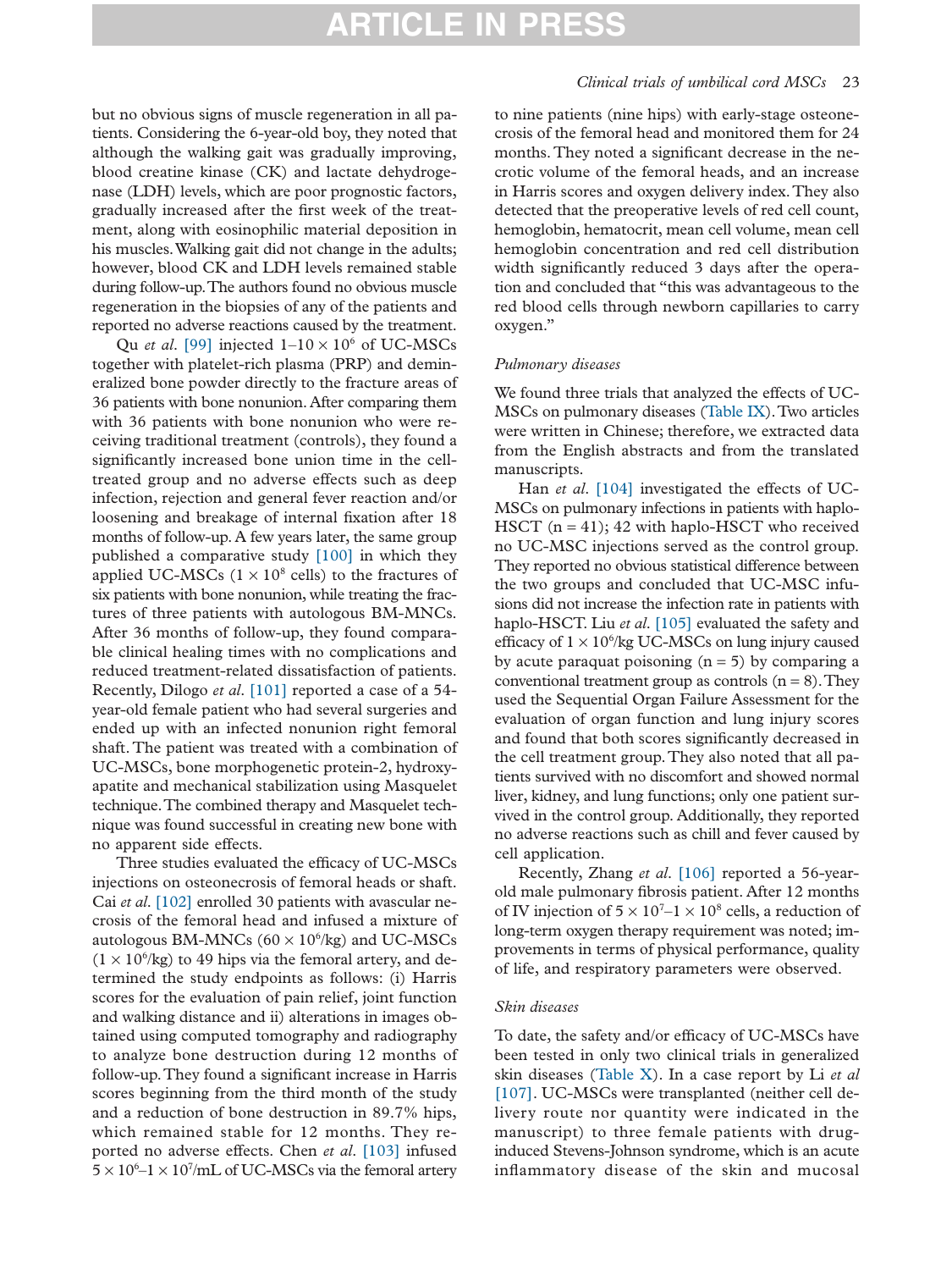## *Clinical trials of umbilical cord MSCs* 23

but no obvious signs of muscle regeneration in all patients. Considering the 6-year-old boy, they noted that although the walking gait was gradually improving, blood creatine kinase (CK) and lactate dehydrogenase (LDH) levels, which are poor prognostic factors, gradually increased after the first week of the treatment, along with eosinophilic material deposition in his muscles.Walking gait did not change in the adults; however, blood CK and LDH levels remained stable during follow-up.The authors found no obvious muscle regeneration in the biopsies of any of the patients and reported no adverse reactions caused by the treatment.

Qu *et al.* [\[99\]](#page-30-56) injected  $1-10 \times 10^6$  of UC-MSCs together with platelet-rich plasma (PRP) and demineralized bone powder directly to the fracture areas of 36 patients with bone nonunion. After comparing them with 36 patients with bone nonunion who were receiving traditional treatment (controls), they found a significantly increased bone union time in the celltreated group and no adverse effects such as deep infection, rejection and general fever reaction and/or loosening and breakage of internal fixation after 18 months of follow-up. A few years later, the same group published a comparative study [\[100\]](#page-30-57) in which they applied UC-MSCs  $(1 \times 10^8 \text{ cells})$  to the fractures of six patients with bone nonunion, while treating the fractures of three patients with autologous BM-MNCs. After 36 months of follow-up, they found comparable clinical healing times with no complications and reduced treatment-related dissatisfaction of patients. Recently, Dilogo *et al*. [\[101\]](#page-30-58) reported a case of a 54 year-old female patient who had several surgeries and ended up with an infected nonunion right femoral shaft. The patient was treated with a combination of UC-MSCs, bone morphogenetic protein-2, hydroxyapatite and mechanical stabilization using Masquelet technique.The combined therapy and Masquelet technique was found successful in creating new bone with no apparent side effects.

Three studies evaluated the efficacy of UC-MSCs injections on osteonecrosis of femoral heads or shaft. Cai *et al*. [\[102\]](#page-31-2) enrolled 30 patients with avascular necrosis of the femoral head and infused a mixture of autologous BM-MNCs  $(60 \times 10^6/\text{kg})$  and UC-MSCs  $(1 \times 10^6$ /kg) to 49 hips via the femoral artery, and determined the study endpoints as follows: (i) Harris scores for the evaluation of pain relief, joint function and walking distance and ii) alterations in images obtained using computed tomography and radiography to analyze bone destruction during 12 months of follow-up.They found a significant increase in Harris scores beginning from the third month of the study and a reduction of bone destruction in 89.7% hips, which remained stable for 12 months. They reported no adverse effects. Chen *et al*. [\[103\]](#page-31-3) infused  $5 \times 10^{6}$ – $1 \times 10^{7}$ /mL of UC-MSCs via the femoral artery

to nine patients (nine hips) with early-stage osteonecrosis of the femoral head and monitored them for 24 months. They noted a significant decrease in the necrotic volume of the femoral heads, and an increase in Harris scores and oxygen delivery index.They also detected that the preoperative levels of red cell count, hemoglobin, hematocrit, mean cell volume, mean cell hemoglobin concentration and red cell distribution width significantly reduced 3 days after the operation and concluded that "this was advantageous to the red blood cells through newborn capillaries to carry oxygen."

## *Pulmonary diseases*

We found three trials that analyzed the effects of UC-MSCs on pulmonary diseases [\(Table IX\)](#page-23-0).Two articles were written in Chinese; therefore, we extracted data from the English abstracts and from the translated manuscripts.

Han *et al*. [\[104\]](#page-31-4) investigated the effects of UC-MSCs on pulmonary infections in patients with haplo-HSCT  $(n = 41)$ ; 42 with haplo-HSCT who received no UC-MSC injections served as the control group. They reported no obvious statistical difference between the two groups and concluded that UC-MSC infusions did not increase the infection rate in patients with haplo-HSCT. Liu *et al*. [\[105\]](#page-31-5) evaluated the safety and efficacy of  $1 \times 10^6$ /kg UC-MSCs on lung injury caused by acute paraquat poisoning  $(n = 5)$  by comparing a conventional treatment group as controls  $(n = 8)$ . They used the Sequential Organ Failure Assessment for the evaluation of organ function and lung injury scores and found that both scores significantly decreased in the cell treatment group.They also noted that all patients survived with no discomfort and showed normal liver, kidney, and lung functions; only one patient survived in the control group. Additionally, they reported no adverse reactions such as chill and fever caused by cell application.

Recently, Zhang *et al*. [\[106\]](#page-31-6) reported a 56-yearold male pulmonary fibrosis patient. After 12 months of IV injection of  $5 \times 10^{7}$ – $1 \times 10^{8}$  cells, a reduction of long-term oxygen therapy requirement was noted; improvements in terms of physical performance, quality of life, and respiratory parameters were observed.

## *Skin diseases*

To date, the safety and/or efficacy of UC-MSCs have been tested in only two clinical trials in generalized skin diseases [\(Table X\)](#page-23-0). In a case report by Li *et al* [\[107\].](#page-31-7) UC-MSCs were transplanted (neither cell delivery route nor quantity were indicated in the manuscript) to three female patients with druginduced Stevens-Johnson syndrome, which is an acute inflammatory disease of the skin and mucosal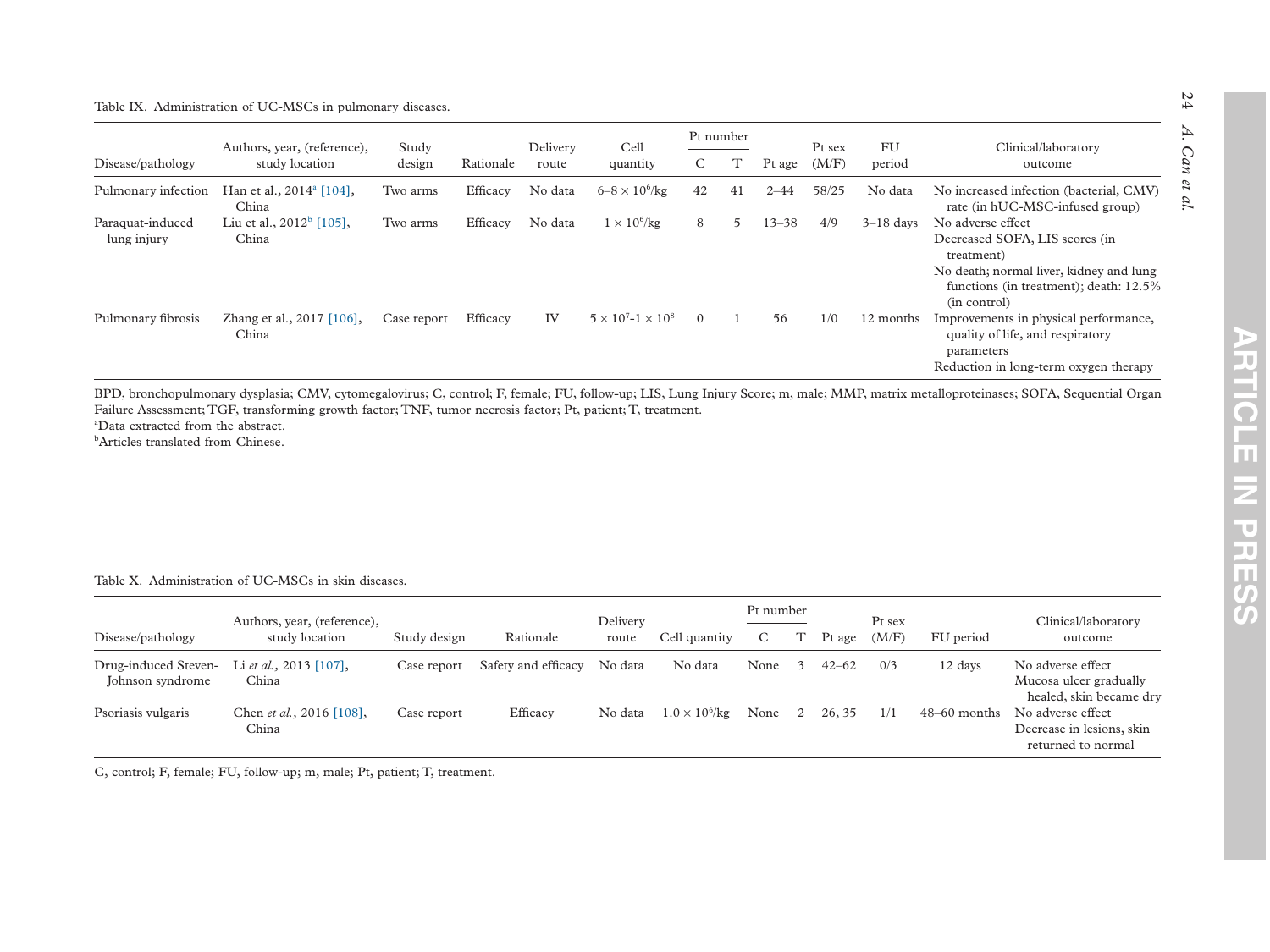<span id="page-23-2"></span><span id="page-23-1"></span><span id="page-23-0"></span>

|                                 | Authors, year, (reference),                   | Study       |           | Delivery | Cell                                | Pt number |    |           | Pt sex | FU          | Clinical/laboratory                                                                                                                                                    |                     |
|---------------------------------|-----------------------------------------------|-------------|-----------|----------|-------------------------------------|-----------|----|-----------|--------|-------------|------------------------------------------------------------------------------------------------------------------------------------------------------------------------|---------------------|
| Disease/pathology               | study location                                | design      | Rationale | route    | quantity                            | C         |    | Pt age    | (M/F)  | period      | outcome                                                                                                                                                                | Can                 |
| Pulmonary infection             | Han et al., 2014 <sup>a</sup> [104],<br>China | Two arms    | Efficacy  | No data  | $6 - 8 \times 10^{6}$ /kg           | 42        | 41 | $2 - 44$  | 58/25  | No data     | No increased infection (bacterial, CMV)<br>rate (in hUC-MSC-infused group)                                                                                             | $\mathcal{Z}$<br>n, |
| Paraquat-induced<br>lung injury | Liu et al., $2012^b$ [105],<br>China          | Two arms    | Efficacy  | No data  | $1 \times 10^6$ /kg                 | 8         |    | $13 - 38$ | 4/9    | $3-18$ days | No adverse effect<br>Decreased SOFA, LIS scores (in<br>treatment)<br>No death; normal liver, kidney and lung<br>functions (in treatment); death: 12.5%<br>(in control) |                     |
| Pulmonary fibrosis              | Zhang et al., 2017 [106],<br>China            | Case report | Efficacy  | IV       | $5 \times 10^{7} - 1 \times 10^{8}$ | $\Omega$  |    | 56        | 1/0    | 12 months   | Improvements in physical performance,<br>quality of life, and respiratory<br>parameters<br>Reduction in long-term oxygen therapy                                       |                     |

BPD, bronchopulmonary dysplasia; CMV, cytomegalovirus; C, control; F, female; FU, follow-up; LIS, Lung Injury Score; m, male; MMP, matrix metalloproteinases; SOFA, Sequential Organ Failure Assessment; TGF, transforming growth factor; TNF, tumor necrosis factor; Pt, patient; T, treatment. aData extracted from the abstract.

bArticles translated from Chinese.

### Table X. Administration of UC-MSCs in skin diseases.

|                                          | Authors, year, (reference),       |              |                     | Delivery |                       | Pt number |   |           | Pt sex |                  | Clinical/laboratory                                                    |
|------------------------------------------|-----------------------------------|--------------|---------------------|----------|-----------------------|-----------|---|-----------|--------|------------------|------------------------------------------------------------------------|
| Disease/pathology                        | study location                    | Study design | Rationale           | route    | Cell quantity         | C.        |   | Pt age    | (M/F)  | FU period        | outcome                                                                |
| Drug-induced Steven-<br>Johnson syndrome | Li et al., 2013 [107],<br>China   | Case report  | Safety and efficacy | No data  | No data               | None      |   | $42 - 62$ | 0/3    | 12 days          | No adverse effect<br>Mucosa ulcer gradually<br>healed, skin became dry |
| Psoriasis vulgaris                       | Chen et al., 2016 [108],<br>China | Case report  | Efficacy            | No data  | $1.0 \times 10^6$ /kg | None      | 2 | 26, 35    | 1/1    | $48 - 60$ months | No adverse effect<br>Decrease in lesions, skin<br>returned to normal   |

C, control; F, female; FU, follow-up; m, male; Pt, patient; T, treatment.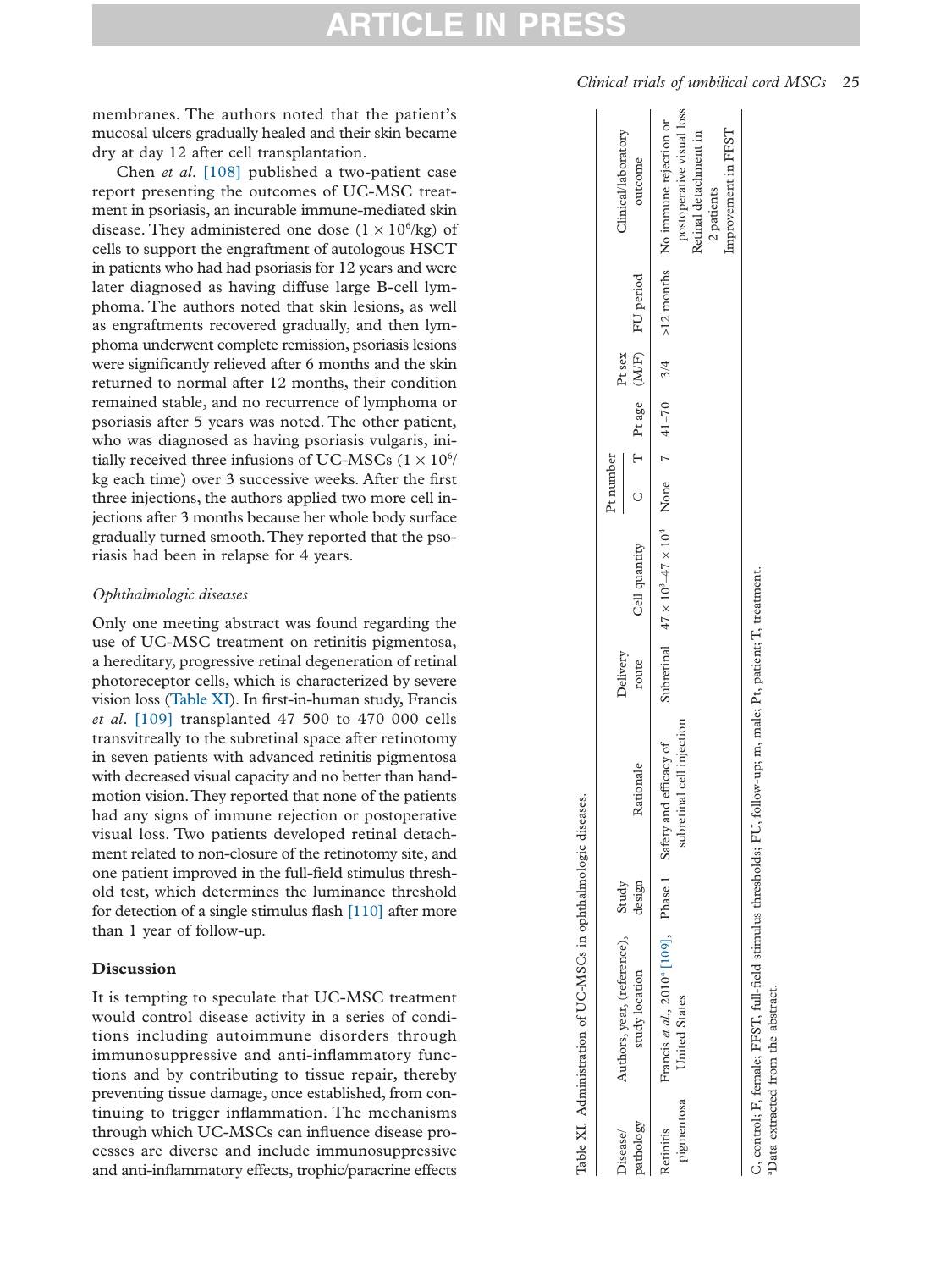## *Clinical trials of umbilical cord MSCs* 25

membranes. The authors noted that the patient's mucosal ulcers gradually healed and their skin became dry at day 12 after cell transplantation.

Chen *et al*. [\[108\]](#page-31-13) published a two-patient case report presenting the outcomes of UC-MSC treatment in psoriasis, an incurable immune-mediated skin disease. They administered one dose  $(1 \times 10^6/\text{kg})$  of cells to support the engraftment of autologous HSCT in patients who had had psoriasis for 12 years and were later diagnosed as having diffuse large B-cell lymphoma. The authors noted that skin lesions, as well as engraftments recovered gradually, and then lymphoma underwent complete remission, psoriasis lesions were significantly relieved after 6 months and the skin returned to normal after 12 months, their condition remained stable, and no recurrence of lymphoma or psoriasis after 5 years was noted. The other patient, who was diagnosed as having psoriasis vulgaris, initially received three infusions of UC-MSCs  $(1 \times 10^6)$ kg each time) over 3 successive weeks. After the first three injections, the authors applied two more cell injections after 3 months because her whole body surface gradually turned smooth.They reported that the psoriasis had been in relapse for 4 years.

## *Ophthalmologic diseases*

Only one meeting abstract was found regarding the use of UC-MSC treatment on retinitis pigmentosa, a hereditary, progressive retinal degeneration of retinal photoreceptor cells, which is characterized by severe vision loss (Table XI). In first-in-human study, Francis *et al*. [\[109\]](#page-31-14) transplanted 47 500 to 470 000 cells transvitreally to the subretinal space after retinotomy in seven patients with advanced retinitis pigmentosa with decreased visual capacity and no better than handmotion vision.They reported that none of the patients had any signs of immune rejection or postoperative visual loss. Two patients developed retinal detachment related to non-closure of the retinotomy site, and one patient improved in the full-field stimulus threshold test, which determines the luminance threshold for detection of a single stimulus flash [\[110\]](#page-31-15) after more than 1 year of follow-up.

## **Discussion**

<span id="page-24-0"></span>It is tempting to speculate that UC-MSC treatment would control disease activity in a series of conditions including autoimmune disorders through immunosuppressive and anti-inflammatory functions and by contributing to tissue repair, thereby preventing tissue damage, once established, from continuing to trigger inflammation. The mechanisms through which UC-MSCs can influence disease processes are diverse and include immunosuppressive and anti-inflammatory effects, trophic/paracrine effects

|            | Table XI. Administration of UC-MSCs in ophthalmologic diseases. |                 |                                                                                                                                                              |          |                                          |           |  |        |                                                    |
|------------|-----------------------------------------------------------------|-----------------|--------------------------------------------------------------------------------------------------------------------------------------------------------------|----------|------------------------------------------|-----------|--|--------|----------------------------------------------------|
| isease/    | Authors, year, (reference),                                     |                 |                                                                                                                                                              | Delivery |                                          | Pt number |  | Pt sex | Clinical/laboratory                                |
| yathology  | study location                                                  | Study<br>design | Rationale                                                                                                                                                    | route    | Cell quantity C T Pt age (M/F) FU period |           |  |        | outcome                                            |
| Retinitis  |                                                                 |                 | Francis et al., 2010 [109], Phase 1 Safety and efficacy of Subretinal $47 \times 10^4$ $47 \times 10^4$ None 7 $41-70$ 3/4 >12 months No immune rejection or |          |                                          |           |  |        |                                                    |
| oigmentosa | <b>United States</b>                                            |                 | subretinal cell injection                                                                                                                                    |          |                                          |           |  |        | postoperative visual loss<br>Retinal detachment in |
|            |                                                                 |                 |                                                                                                                                                              |          |                                          |           |  |        | 2 patients                                         |
|            |                                                                 |                 |                                                                                                                                                              |          |                                          |           |  |        | Improvement in FFST                                |

C, control; F, female; FFST, full-field stimulus thresholds; FU, follow-up; m, male; Pt, patient; T, treatment. C, control; F, female; FFST, full-field stimulus thresholds; FU, follow-up; m, male; Pt, patient; T, treatment Data extracted from the abstract. aData extracted from the abstract.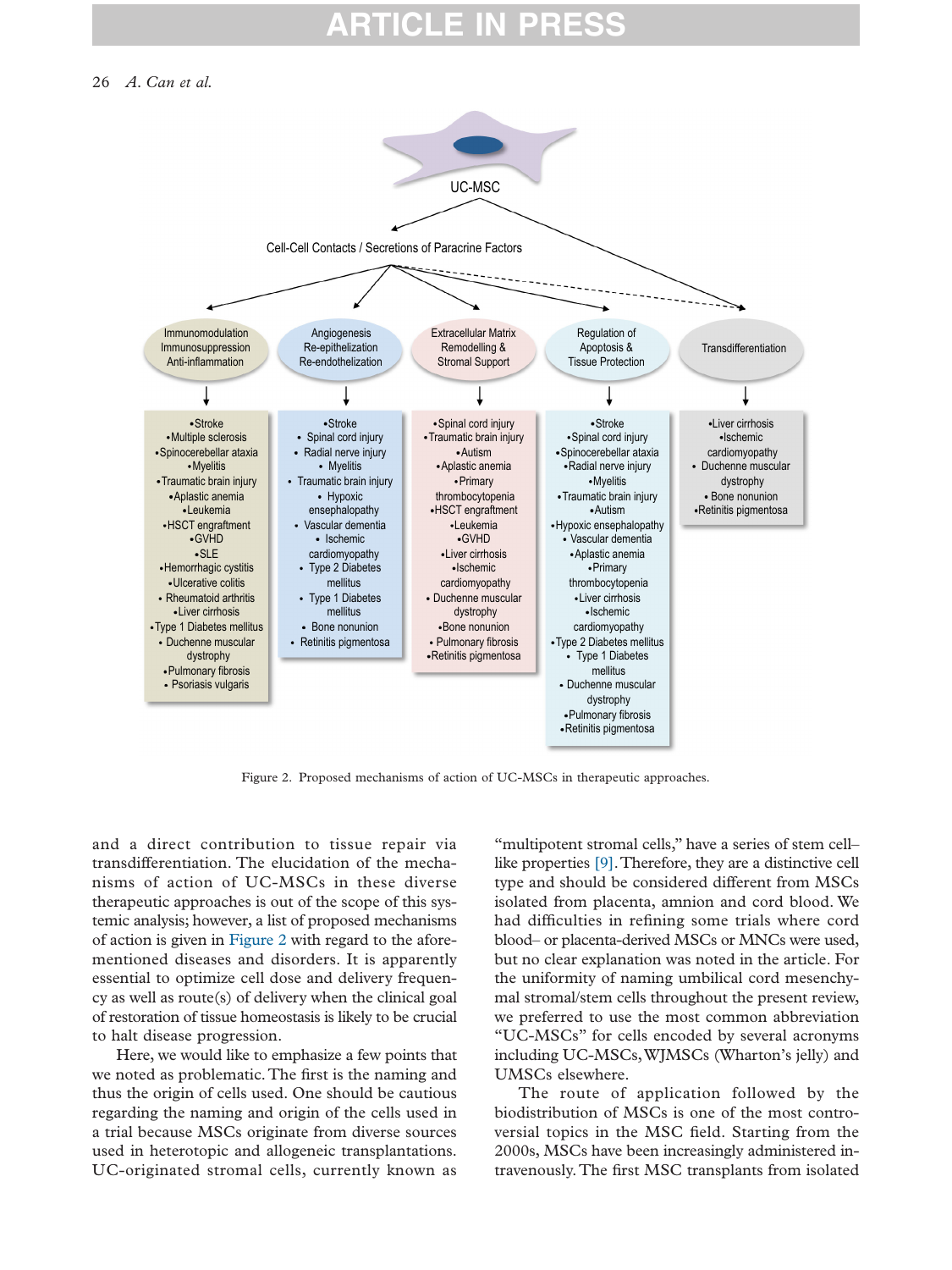

Figure 2. Proposed mechanisms of action of UC-MSCs in therapeutic approaches.

and a direct contribution to tissue repair via transdifferentiation. The elucidation of the mechanisms of action of UC-MSCs in these diverse therapeutic approaches is out of the scope of this systemic analysis; however, a list of proposed mechanisms of action is given in Figure 2 with regard to the aforementioned diseases and disorders. It is apparently essential to optimize cell dose and delivery frequency as well as route(s) of delivery when the clinical goal of restoration of tissue homeostasis is likely to be crucial to halt disease progression.

Here, we would like to emphasize a few points that we noted as problematic.The first is the naming and thus the origin of cells used. One should be cautious regarding the naming and origin of the cells used in a trial because MSCs originate from diverse sources used in heterotopic and allogeneic transplantations. UC-originated stromal cells, currently known as

"multipotent stromal cells," have a series of stem cell– like properties [\[9\].](#page-28-56)Therefore, they are a distinctive cell type and should be considered different from MSCs isolated from placenta, amnion and cord blood. We had difficulties in refining some trials where cord blood– or placenta-derived MSCs or MNCs were used, but no clear explanation was noted in the article. For the uniformity of naming umbilical cord mesenchymal stromal/stem cells throughout the present review, we preferred to use the most common abbreviation "UC-MSCs" for cells encoded by several acronyms including UC-MSCs,WJMSCs (Wharton's jelly) and UMSCs elsewhere.

The route of application followed by the biodistribution of MSCs is one of the most controversial topics in the MSC field. Starting from the 2000s, MSCs have been increasingly administered intravenously.The first MSC transplants from isolated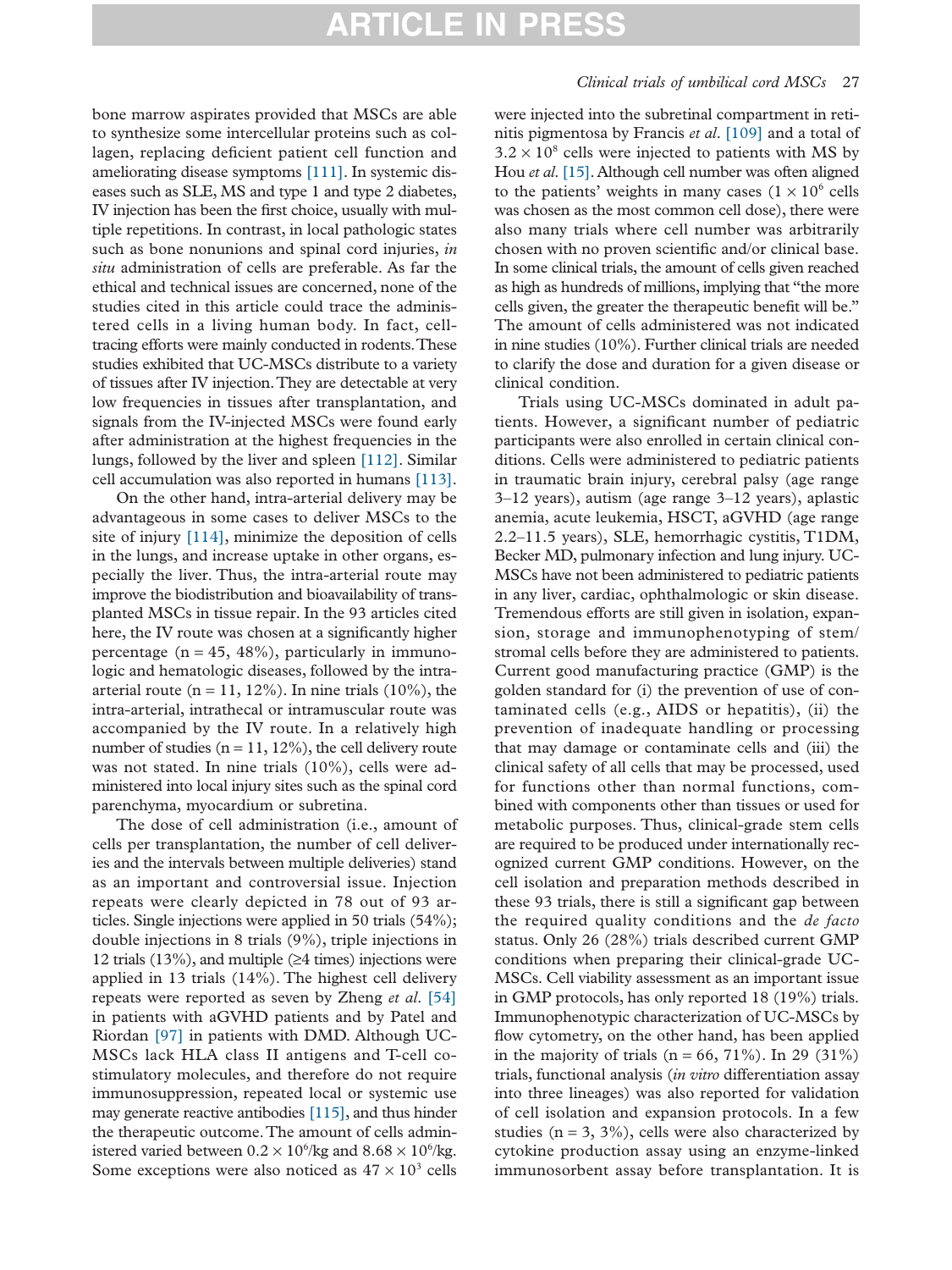bone marrow aspirates provided that MSCs are able to synthesize some intercellular proteins such as collagen, replacing deficient patient cell function and ameliorating disease symptoms [\[111\].](#page-31-16) In systemic diseases such as SLE, MS and type 1 and type 2 diabetes, IV injection has been the first choice, usually with multiple repetitions. In contrast, in local pathologic states such as bone nonunions and spinal cord injuries, *in situ* administration of cells are preferable. As far the ethical and technical issues are concerned, none of the studies cited in this article could trace the administered cells in a living human body. In fact, celltracing efforts were mainly conducted in rodents.These studies exhibited that UC-MSCs distribute to a variety of tissues after IV injection.They are detectable at very low frequencies in tissues after transplantation, and signals from the IV-injected MSCs were found early after administration at the highest frequencies in the lungs, followed by the liver and spleen [\[112\].](#page-31-17) Similar cell accumulation was also reported in humans [\[113\].](#page-31-18)

On the other hand, intra-arterial delivery may be advantageous in some cases to deliver MSCs to the site of injury [\[114\],](#page-31-19) minimize the deposition of cells in the lungs, and increase uptake in other organs, especially the liver. Thus, the intra-arterial route may improve the biodistribution and bioavailability of transplanted MSCs in tissue repair. In the 93 articles cited here, the IV route was chosen at a significantly higher percentage  $(n = 45, 48\%)$ , particularly in immunologic and hematologic diseases, followed by the intraarterial route ( $n = 11$ , 12%). In nine trials (10%), the intra-arterial, intrathecal or intramuscular route was accompanied by the IV route. In a relatively high number of studies ( $n = 11, 12\%$ ), the cell delivery route was not stated. In nine trials (10%), cells were administered into local injury sites such as the spinal cord parenchyma, myocardium or subretina.

The dose of cell administration (i.e., amount of cells per transplantation, the number of cell deliveries and the intervals between multiple deliveries) stand as an important and controversial issue. Injection repeats were clearly depicted in 78 out of 93 articles. Single injections were applied in 50 trials (54%); double injections in 8 trials (9%), triple injections in 12 trials (13%), and multiple ( $\geq$ 4 times) injections were applied in 13 trials (14%). The highest cell delivery repeats were reported as seven by Zheng *et al*. [\[54\]](#page-29-27) in patients with aGVHD patients and by Patel and Riordan [\[97\]](#page-30-49) in patients with DMD. Although UC-MSCs lack HLA class II antigens and T-cell costimulatory molecules, and therefore do not require immunosuppression, repeated local or systemic use may generate reactive antibodies [\[115\],](#page-31-20) and thus hinder the therapeutic outcome.The amount of cells administered varied between  $0.2 \times 10^6$ /kg and  $8.68 \times 10^6$ /kg. Some exceptions were also noticed as  $47 \times 10^3$  cells

## *Clinical trials of umbilical cord MSCs* 27

were injected into the subretinal compartment in retinitis pigmentosa by Francis *et al*. [\[109\]](#page-31-14) and a total of  $3.2 \times 10^8$  cells were injected to patients with MS by Hou *et al*. [\[15\].](#page-28-3) Although cell number was often aligned to the patients' weights in many cases  $(1 \times 10^6 \text{ cells})$ was chosen as the most common cell dose), there were also many trials where cell number was arbitrarily chosen with no proven scientific and/or clinical base. In some clinical trials, the amount of cells given reached as high as hundreds of millions, implying that "the more cells given, the greater the therapeutic benefit will be." The amount of cells administered was not indicated in nine studies (10%). Further clinical trials are needed to clarify the dose and duration for a given disease or clinical condition.

Trials using UC-MSCs dominated in adult patients. However, a significant number of pediatric participants were also enrolled in certain clinical conditions. Cells were administered to pediatric patients in traumatic brain injury, cerebral palsy (age range 3–12 years), autism (age range 3–12 years), aplastic anemia, acute leukemia, HSCT, aGVHD (age range 2.2–11.5 years), SLE, hemorrhagic cystitis, T1DM, Becker MD, pulmonary infection and lung injury. UC-MSCs have not been administered to pediatric patients in any liver, cardiac, ophthalmologic or skin disease. Tremendous efforts are still given in isolation, expansion, storage and immunophenotyping of stem/ stromal cells before they are administered to patients. Current good manufacturing practice (GMP) is the golden standard for (i) the prevention of use of contaminated cells (e.g., AIDS or hepatitis), (ii) the prevention of inadequate handling or processing that may damage or contaminate cells and (iii) the clinical safety of all cells that may be processed, used for functions other than normal functions, combined with components other than tissues or used for metabolic purposes. Thus, clinical-grade stem cells are required to be produced under internationally recognized current GMP conditions. However, on the cell isolation and preparation methods described in these 93 trials, there is still a significant gap between the required quality conditions and the *de facto* status. Only 26 (28%) trials described current GMP conditions when preparing their clinical-grade UC-MSCs. Cell viability assessment as an important issue in GMP protocols, has only reported 18 (19%) trials. Immunophenotypic characterization of UC-MSCs by flow cytometry, on the other hand, has been applied in the majority of trials  $(n = 66, 71\%)$ . In 29 (31%) trials, functional analysis (*in vitro* differentiation assay into three lineages) was also reported for validation of cell isolation and expansion protocols. In a few studies  $(n = 3, 3\%)$ , cells were also characterized by cytokine production assay using an enzyme-linked immunosorbent assay before transplantation. It is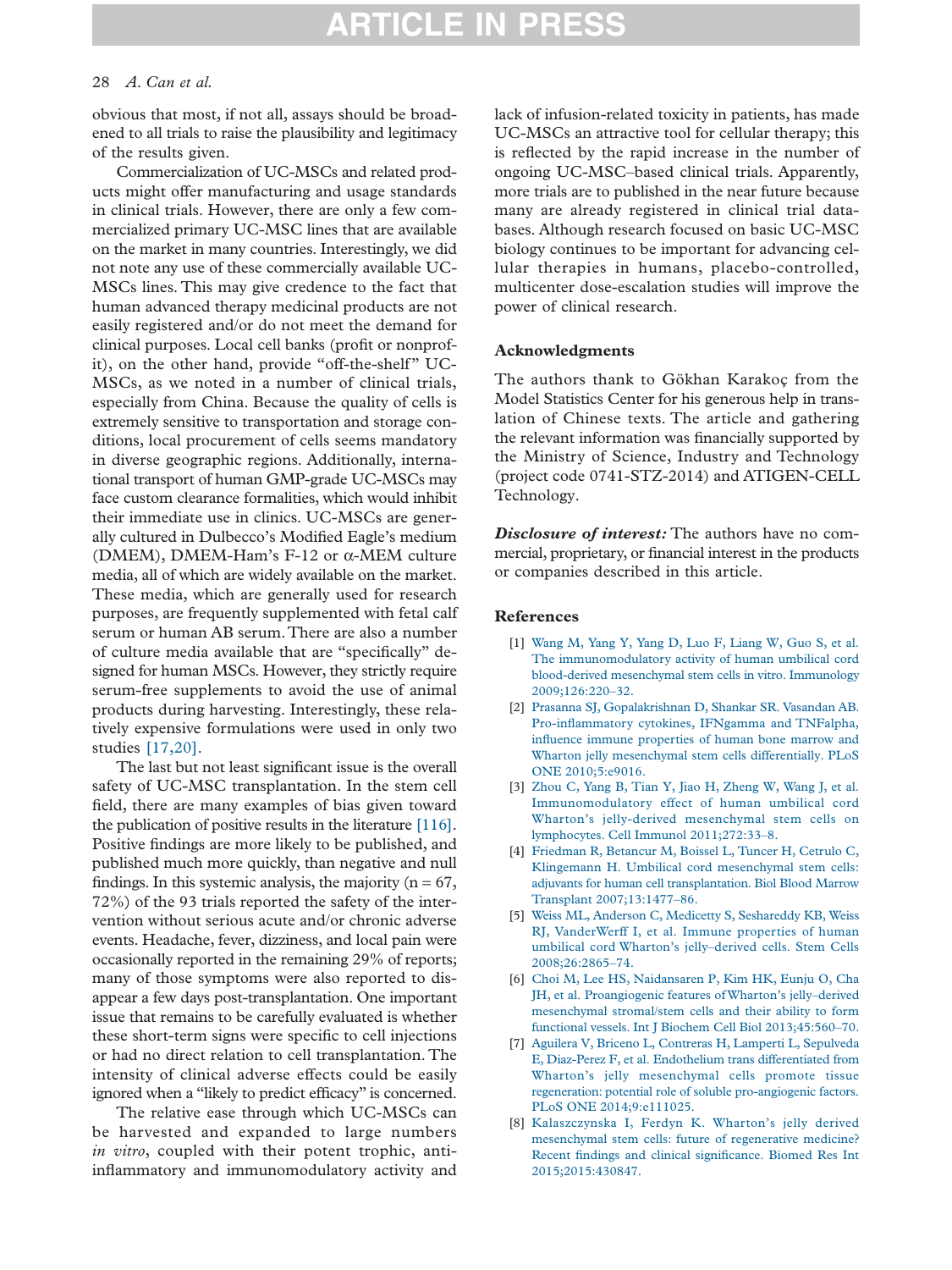## 28 *A. Can et al.*

obvious that most, if not all, assays should be broadened to all trials to raise the plausibility and legitimacy of the results given.

Commercialization of UC-MSCs and related products might offer manufacturing and usage standards in clinical trials. However, there are only a few commercialized primary UC-MSC lines that are available on the market in many countries. Interestingly, we did not note any use of these commercially available UC-MSCs lines. This may give credence to the fact that human advanced therapy medicinal products are not easily registered and/or do not meet the demand for clinical purposes. Local cell banks (profit or nonprofit), on the other hand, provide "off-the-shelf" UC-MSCs, as we noted in a number of clinical trials, especially from China. Because the quality of cells is extremely sensitive to transportation and storage conditions, local procurement of cells seems mandatory in diverse geographic regions. Additionally, international transport of human GMP-grade UC-MSCs may face custom clearance formalities, which would inhibit their immediate use in clinics. UC-MSCs are generally cultured in Dulbecco's Modified Eagle's medium (DMEM), DMEM-Ham's F-12 or α-MEM culture media, all of which are widely available on the market. These media, which are generally used for research purposes, are frequently supplemented with fetal calf serum or human AB serum.There are also a number of culture media available that are "specifically" designed for human MSCs. However, they strictly require serum-free supplements to avoid the use of animal products during harvesting. Interestingly, these relatively expensive formulations were used in only two studies [\[17,20\].](#page-28-5)

The last but not least significant issue is the overall safety of UC-MSC transplantation. In the stem cell field, there are many examples of bias given toward the publication of positive results in the literature [\[116\].](#page-31-21) Positive findings are more likely to be published, and published much more quickly, than negative and null findings. In this systemic analysis, the majority ( $n = 67$ , 72%) of the 93 trials reported the safety of the intervention without serious acute and/or chronic adverse events. Headache, fever, dizziness, and local pain were occasionally reported in the remaining 29% of reports; many of those symptoms were also reported to disappear a few days post-transplantation. One important issue that remains to be carefully evaluated is whether these short-term signs were specific to cell injections or had no direct relation to cell transplantation. The intensity of clinical adverse effects could be easily ignored when a "likely to predict efficacy" is concerned.

The relative ease through which UC-MSCs can be harvested and expanded to large numbers *in vitro*, coupled with their potent trophic, antiinflammatory and immunomodulatory activity and

lack of infusion-related toxicity in patients, has made UC-MSCs an attractive tool for cellular therapy; this is reflected by the rapid increase in the number of ongoing UC-MSC–based clinical trials. Apparently, more trials are to published in the near future because many are already registered in clinical trial databases. Although research focused on basic UC-MSC biology continues to be important for advancing cellular therapies in humans, placebo-controlled, multicenter dose-escalation studies will improve the power of clinical research.

## **Acknowledgments**

The authors thank to Gökhan Karakoç from the Model Statistics Center for his generous help in translation of Chinese texts. The article and gathering the relevant information was financially supported by the Ministry of Science, Industry and Technology (project code 0741-STZ-2014) and ATIGEN-CELL Technology.

*Disclosure of interest:* The authors have no commercial, proprietary, or financial interest in the products or companies described in this article.

#### **References**

- <span id="page-27-0"></span>[1] [Wang M, Yang Y, Yang D, Luo F, Liang W, Guo S, et al.](http://refhub.elsevier.com/S1465-3249(17)30663-1/sr0010) [The immunomodulatory activity of human umbilical cord](http://refhub.elsevier.com/S1465-3249(17)30663-1/sr0010) [blood-derived mesenchymal stem cells in vitro. Immunology](http://refhub.elsevier.com/S1465-3249(17)30663-1/sr0010) [2009;126:220–32.](http://refhub.elsevier.com/S1465-3249(17)30663-1/sr0010)
- <span id="page-27-2"></span>[2] [Prasanna SJ, Gopalakrishnan D, Shankar SR. Vasandan AB.](http://refhub.elsevier.com/S1465-3249(17)30663-1/sr0015) [Pro-inflammatory cytokines, IFNgamma and TNFalpha,](http://refhub.elsevier.com/S1465-3249(17)30663-1/sr0015) [influence immune properties of human bone marrow and](http://refhub.elsevier.com/S1465-3249(17)30663-1/sr0015) [Wharton jelly mesenchymal stem cells differentially. PLoS](http://refhub.elsevier.com/S1465-3249(17)30663-1/sr0015) [ONE 2010;5:e9016.](http://refhub.elsevier.com/S1465-3249(17)30663-1/sr0015)
- <span id="page-27-1"></span>[3] [Zhou C, Yang B, Tian Y, Jiao H, Zheng W, Wang J, et al.](http://refhub.elsevier.com/S1465-3249(17)30663-1/sr0020) [Immunomodulatory effect of human umbilical cord](http://refhub.elsevier.com/S1465-3249(17)30663-1/sr0020) [Wharton's jelly-derived mesenchymal stem cells on](http://refhub.elsevier.com/S1465-3249(17)30663-1/sr0020) [lymphocytes. Cell Immunol 2011;272:33–8.](http://refhub.elsevier.com/S1465-3249(17)30663-1/sr0020)
- <span id="page-27-3"></span>[4] [Friedman R, Betancur M, Boissel L, Tuncer H, Cetrulo C,](http://refhub.elsevier.com/S1465-3249(17)30663-1/sr0025) [Klingemann H. Umbilical cord mesenchymal stem cells:](http://refhub.elsevier.com/S1465-3249(17)30663-1/sr0025) [adjuvants for human cell transplantation. Biol Blood Marrow](http://refhub.elsevier.com/S1465-3249(17)30663-1/sr0025) [Transplant 2007;13:1477–86.](http://refhub.elsevier.com/S1465-3249(17)30663-1/sr0025)
- [5] [Weiss ML, Anderson C, Medicetty S, Seshareddy KB, Weiss](http://refhub.elsevier.com/S1465-3249(17)30663-1/sr0030) [RJ, VanderWerff I, et al. Immune properties of human](http://refhub.elsevier.com/S1465-3249(17)30663-1/sr0030) [umbilical cord Wharton's jelly–derived cells. Stem Cells](http://refhub.elsevier.com/S1465-3249(17)30663-1/sr0030) [2008;26:2865–74.](http://refhub.elsevier.com/S1465-3249(17)30663-1/sr0030)
- <span id="page-27-4"></span>[6] [Choi M, Lee HS, Naidansaren P, Kim HK, Eunju O, Cha](http://refhub.elsevier.com/S1465-3249(17)30663-1/sr0035) [JH, et al. Proangiogenic features of Wharton's jelly–derived](http://refhub.elsevier.com/S1465-3249(17)30663-1/sr0035) [mesenchymal stromal/stem cells and their ability to form](http://refhub.elsevier.com/S1465-3249(17)30663-1/sr0035) [functional vessels. Int J Biochem Cell Biol 2013;45:560–70.](http://refhub.elsevier.com/S1465-3249(17)30663-1/sr0035)
- <span id="page-27-5"></span>[7] [Aguilera V, Briceno L, Contreras H, Lamperti L, Sepulveda](http://refhub.elsevier.com/S1465-3249(17)30663-1/sr0040) [E, Diaz-Perez F, et al. Endothelium trans differentiated from](http://refhub.elsevier.com/S1465-3249(17)30663-1/sr0040) [Wharton's jelly mesenchymal cells promote tissue](http://refhub.elsevier.com/S1465-3249(17)30663-1/sr0040) [regeneration: potential role of soluble pro-angiogenic factors.](http://refhub.elsevier.com/S1465-3249(17)30663-1/sr0040) [PLoS ONE 2014;9:e111025.](http://refhub.elsevier.com/S1465-3249(17)30663-1/sr0040)
- <span id="page-27-6"></span>[8] [Kalaszczynska I, Ferdyn K. Wharton's jelly derived](http://refhub.elsevier.com/S1465-3249(17)30663-1/sr0045) [mesenchymal stem cells: future of regenerative medicine?](http://refhub.elsevier.com/S1465-3249(17)30663-1/sr0045) [Recent findings and clinical significance. Biomed Res Int](http://refhub.elsevier.com/S1465-3249(17)30663-1/sr0045) [2015;2015:430847.](http://refhub.elsevier.com/S1465-3249(17)30663-1/sr0045)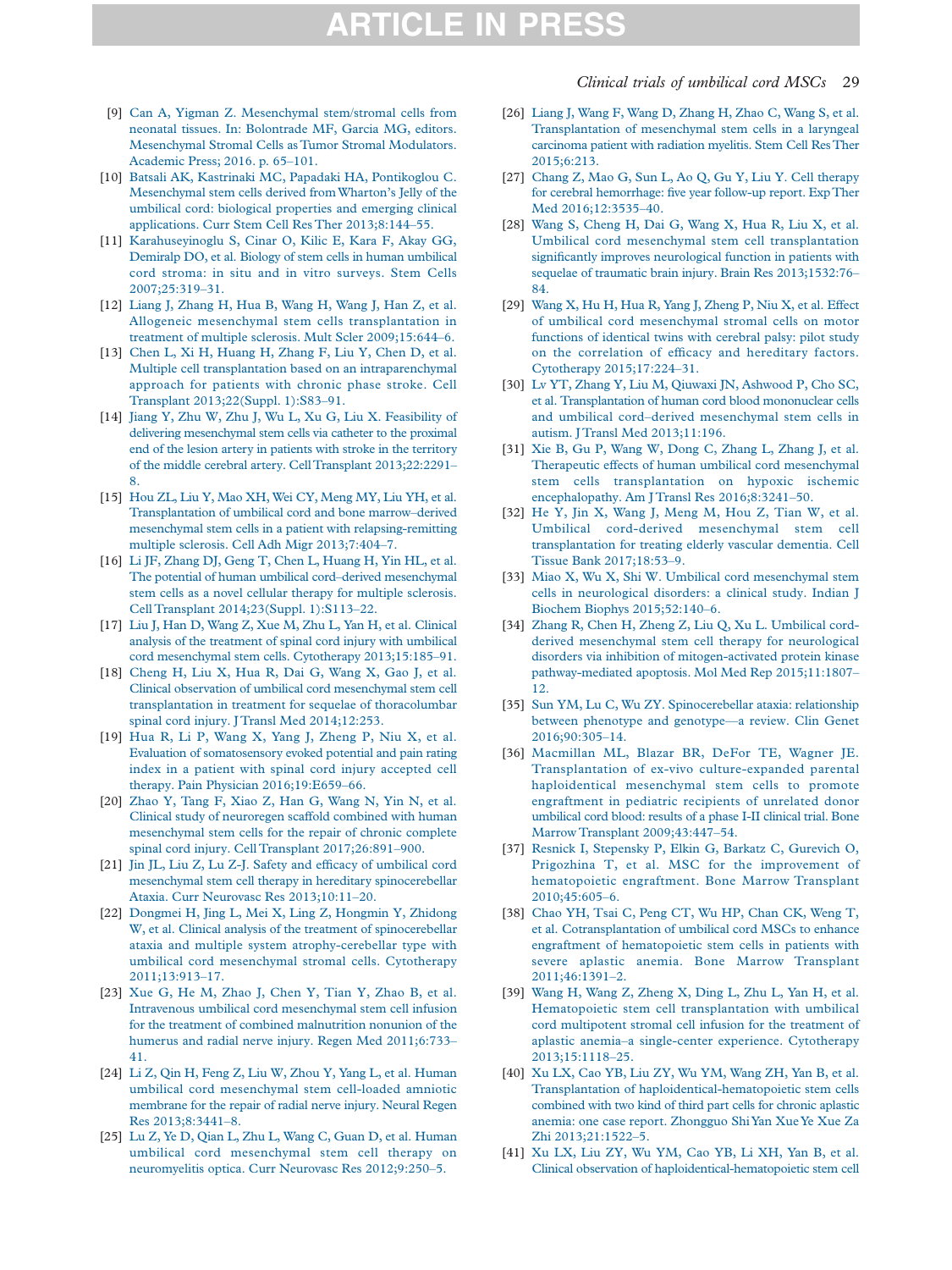#### <span id="page-28-14"></span><span id="page-28-13"></span><span id="page-28-12"></span><span id="page-28-11"></span><span id="page-28-10"></span><span id="page-28-9"></span><span id="page-28-8"></span><span id="page-28-7"></span>*Clinical trials of umbilical cord MSCs* 29

- <span id="page-28-56"></span><span id="page-28-20"></span><span id="page-28-19"></span><span id="page-28-18"></span>[9] [Can A, Yigman Z. Mesenchymal stem/stromal cells from](http://refhub.elsevier.com/S1465-3249(17)30663-1/sr0050) [neonatal tissues. In: Bolontrade MF, Garcia MG, editors.](http://refhub.elsevier.com/S1465-3249(17)30663-1/sr0050) [Mesenchymal Stromal Cells as Tumor Stromal Modulators.](http://refhub.elsevier.com/S1465-3249(17)30663-1/sr0050) [Academic Press; 2016. p. 65–101.](http://refhub.elsevier.com/S1465-3249(17)30663-1/sr0050)
- [10] [Batsali AK, Kastrinaki MC, Papadaki HA, Pontikoglou C.](http://refhub.elsevier.com/S1465-3249(17)30663-1/sr0055) [Mesenchymal stem cells derived from Wharton's Jelly of the](http://refhub.elsevier.com/S1465-3249(17)30663-1/sr0055) [umbilical cord: biological properties and emerging clinical](http://refhub.elsevier.com/S1465-3249(17)30663-1/sr0055) [applications. Curr Stem Cell Res Ther 2013;8:144–55.](http://refhub.elsevier.com/S1465-3249(17)30663-1/sr0055)
- [11] [Karahuseyinoglu S, Cinar O, Kilic E, Kara F, Akay GG,](http://refhub.elsevier.com/S1465-3249(17)30663-1/sr0060) [Demiralp DO, et al. Biology of stem cells in human umbilical](http://refhub.elsevier.com/S1465-3249(17)30663-1/sr0060) [cord stroma: in situ and in vitro surveys. Stem Cells](http://refhub.elsevier.com/S1465-3249(17)30663-1/sr0060) [2007;25:319–31.](http://refhub.elsevier.com/S1465-3249(17)30663-1/sr0060)
- <span id="page-28-0"></span>[12] [Liang J, Zhang H, Hua B, Wang H, Wang J, Han Z, et al.](http://refhub.elsevier.com/S1465-3249(17)30663-1/sr0065) [Allogeneic mesenchymal stem cells transplantation in](http://refhub.elsevier.com/S1465-3249(17)30663-1/sr0065) [treatment of multiple sclerosis. Mult Scler 2009;15:644–6.](http://refhub.elsevier.com/S1465-3249(17)30663-1/sr0065)
- <span id="page-28-1"></span>[13] [Chen L, Xi H, Huang H, Zhang F, Liu Y, Chen D, et al.](http://refhub.elsevier.com/S1465-3249(17)30663-1/sr0070) [Multiple cell transplantation based on an intraparenchymal](http://refhub.elsevier.com/S1465-3249(17)30663-1/sr0070) [approach for patients with chronic phase stroke. Cell](http://refhub.elsevier.com/S1465-3249(17)30663-1/sr0070) [Transplant 2013;22\(Suppl. 1\):S83–91.](http://refhub.elsevier.com/S1465-3249(17)30663-1/sr0070)
- <span id="page-28-2"></span>[14] [Jiang Y, Zhu W, Zhu J, Wu L, Xu G, Liu X. Feasibility of](http://refhub.elsevier.com/S1465-3249(17)30663-1/sr0075) [delivering mesenchymal stem cells via catheter to the proximal](http://refhub.elsevier.com/S1465-3249(17)30663-1/sr0075) [end of the lesion artery in patients with stroke in the territory](http://refhub.elsevier.com/S1465-3249(17)30663-1/sr0075) [of the middle cerebral artery. CellTransplant 2013;22:2291–](http://refhub.elsevier.com/S1465-3249(17)30663-1/sr0075) [8.](http://refhub.elsevier.com/S1465-3249(17)30663-1/sr0075)
- <span id="page-28-55"></span><span id="page-28-54"></span><span id="page-28-53"></span><span id="page-28-3"></span>[15] [Hou ZL, Liu Y, Mao XH, Wei CY, Meng MY, Liu YH, et al.](http://refhub.elsevier.com/S1465-3249(17)30663-1/sr0080) [Transplantation of umbilical cord and bone marrow–derived](http://refhub.elsevier.com/S1465-3249(17)30663-1/sr0080) [mesenchymal stem cells in a patient with relapsing-remitting](http://refhub.elsevier.com/S1465-3249(17)30663-1/sr0080) [multiple sclerosis. Cell Adh Migr 2013;7:404–7.](http://refhub.elsevier.com/S1465-3249(17)30663-1/sr0080)
- <span id="page-28-4"></span>[16] [Li JF, Zhang DJ, Geng T, Chen L, Huang H, Yin HL, et al.](http://refhub.elsevier.com/S1465-3249(17)30663-1/sr0085) [The potential of human umbilical cord–derived mesenchymal](http://refhub.elsevier.com/S1465-3249(17)30663-1/sr0085) [stem cells as a novel cellular therapy for multiple sclerosis.](http://refhub.elsevier.com/S1465-3249(17)30663-1/sr0085) [Cell Transplant 2014;23\(Suppl. 1\):S113–22.](http://refhub.elsevier.com/S1465-3249(17)30663-1/sr0085)
- <span id="page-28-5"></span>[17] [Liu J, Han D, Wang Z, Xue M, Zhu L, Yan H, et al. Clinical](http://refhub.elsevier.com/S1465-3249(17)30663-1/sr0090) [analysis of the treatment of spinal cord injury with umbilical](http://refhub.elsevier.com/S1465-3249(17)30663-1/sr0090) [cord mesenchymal stem cells. Cytotherapy 2013;15:185–91.](http://refhub.elsevier.com/S1465-3249(17)30663-1/sr0090)
- <span id="page-28-6"></span>[18] [Cheng H, Liu X, Hua R, Dai G, Wang X, Gao J, et al.](http://refhub.elsevier.com/S1465-3249(17)30663-1/sr0095) [Clinical observation of umbilical cord mesenchymal stem cell](http://refhub.elsevier.com/S1465-3249(17)30663-1/sr0095) [transplantation in treatment for sequelae of thoracolumbar](http://refhub.elsevier.com/S1465-3249(17)30663-1/sr0095) [spinal cord injury. J Transl Med 2014;12:253.](http://refhub.elsevier.com/S1465-3249(17)30663-1/sr0095)
- <span id="page-28-30"></span>[19] [Hua R, Li P, Wang X, Yang J, Zheng P, Niu X, et al.](http://refhub.elsevier.com/S1465-3249(17)30663-1/sr0100) [Evaluation of somatosensory evoked potential and pain rating](http://refhub.elsevier.com/S1465-3249(17)30663-1/sr0100) [index in a patient with spinal cord injury accepted cell](http://refhub.elsevier.com/S1465-3249(17)30663-1/sr0100) [therapy. Pain Physician 2016;19:E659–66.](http://refhub.elsevier.com/S1465-3249(17)30663-1/sr0100)
- <span id="page-28-31"></span>[20] [Zhao Y, Tang F, Xiao Z, Han G, Wang N, Yin N, et al.](http://refhub.elsevier.com/S1465-3249(17)30663-1/sr0105) [Clinical study of neuroregen scaffold combined with human](http://refhub.elsevier.com/S1465-3249(17)30663-1/sr0105) [mesenchymal stem cells for the repair of chronic complete](http://refhub.elsevier.com/S1465-3249(17)30663-1/sr0105) [spinal cord injury. Cell Transplant 2017;26:891–900.](http://refhub.elsevier.com/S1465-3249(17)30663-1/sr0105)
- <span id="page-28-33"></span>[21] [Jin JL, Liu Z, Lu Z-J. Safety and efficacy of umbilical cord](http://refhub.elsevier.com/S1465-3249(17)30663-1/sr0110) [mesenchymal stem cell therapy in hereditary spinocerebellar](http://refhub.elsevier.com/S1465-3249(17)30663-1/sr0110) [Ataxia. Curr Neurovasc Res 2013;10:11–20.](http://refhub.elsevier.com/S1465-3249(17)30663-1/sr0110)
- <span id="page-28-34"></span>[22] [Dongmei H, Jing L, Mei X, Ling Z, Hongmin Y, Zhidong](http://refhub.elsevier.com/S1465-3249(17)30663-1/sr0115) [W, et al. Clinical analysis of the treatment of spinocerebellar](http://refhub.elsevier.com/S1465-3249(17)30663-1/sr0115) [ataxia and multiple system atrophy-cerebellar type with](http://refhub.elsevier.com/S1465-3249(17)30663-1/sr0115) [umbilical cord mesenchymal stromal cells. Cytotherapy](http://refhub.elsevier.com/S1465-3249(17)30663-1/sr0115) [2011;13:913–17.](http://refhub.elsevier.com/S1465-3249(17)30663-1/sr0115)
- <span id="page-28-35"></span>[23] [Xue G, He M, Zhao J, Chen Y, Tian Y, Zhao B, et al.](http://refhub.elsevier.com/S1465-3249(17)30663-1/sr0120) [Intravenous umbilical cord mesenchymal stem cell infusion](http://refhub.elsevier.com/S1465-3249(17)30663-1/sr0120) [for the treatment of combined malnutrition nonunion of the](http://refhub.elsevier.com/S1465-3249(17)30663-1/sr0120) [humerus and radial nerve injury. Regen Med 2011;6:733–](http://refhub.elsevier.com/S1465-3249(17)30663-1/sr0120) [41.](http://refhub.elsevier.com/S1465-3249(17)30663-1/sr0120)
- <span id="page-28-36"></span>[24] [Li Z, Qin H, Feng Z, Liu W, Zhou Y, Yang L, et al. Human](http://refhub.elsevier.com/S1465-3249(17)30663-1/sr0125) [umbilical cord mesenchymal stem cell-loaded amniotic](http://refhub.elsevier.com/S1465-3249(17)30663-1/sr0125) [membrane for the repair of radial nerve injury. Neural Regen](http://refhub.elsevier.com/S1465-3249(17)30663-1/sr0125) [Res 2013;8:3441–8.](http://refhub.elsevier.com/S1465-3249(17)30663-1/sr0125)
- <span id="page-28-37"></span>[25] [Lu Z, Ye D, Qian L, Zhu L, Wang C, Guan D, et al. Human](http://refhub.elsevier.com/S1465-3249(17)30663-1/sr0130) [umbilical cord mesenchymal stem cell therapy on](http://refhub.elsevier.com/S1465-3249(17)30663-1/sr0130) [neuromyelitis optica. Curr Neurovasc Res 2012;9:250–5.](http://refhub.elsevier.com/S1465-3249(17)30663-1/sr0130)
- <span id="page-28-38"></span><span id="page-28-17"></span><span id="page-28-16"></span><span id="page-28-15"></span>[26] [Liang J, Wang F, Wang D, Zhang H, Zhao C, Wang S, et al.](http://refhub.elsevier.com/S1465-3249(17)30663-1/sr0135) [Transplantation of mesenchymal stem cells in a laryngeal](http://refhub.elsevier.com/S1465-3249(17)30663-1/sr0135) [carcinoma patient with radiation myelitis. Stem Cell ResTher](http://refhub.elsevier.com/S1465-3249(17)30663-1/sr0135) [2015;6:213.](http://refhub.elsevier.com/S1465-3249(17)30663-1/sr0135)
- <span id="page-28-39"></span>[27] [Chang Z, Mao G, Sun L, Ao Q, Gu Y, Liu Y. Cell therapy](http://refhub.elsevier.com/S1465-3249(17)30663-1/sr0140) [for cerebral hemorrhage: five year follow-up report. ExpTher](http://refhub.elsevier.com/S1465-3249(17)30663-1/sr0140) [Med 2016;12:3535–40.](http://refhub.elsevier.com/S1465-3249(17)30663-1/sr0140)
- <span id="page-28-40"></span>[28] [Wang S, Cheng H, Dai G, Wang X, Hua R, Liu X, et al.](http://refhub.elsevier.com/S1465-3249(17)30663-1/sr0145) [Umbilical cord mesenchymal stem cell transplantation](http://refhub.elsevier.com/S1465-3249(17)30663-1/sr0145) [significantly improves neurological function in patients with](http://refhub.elsevier.com/S1465-3249(17)30663-1/sr0145) [sequelae of traumatic brain injury. Brain Res 2013;1532:76–](http://refhub.elsevier.com/S1465-3249(17)30663-1/sr0145) [84.](http://refhub.elsevier.com/S1465-3249(17)30663-1/sr0145)
- <span id="page-28-41"></span>[29] [Wang X, Hu H, Hua R, Yang J, Zheng P, Niu X, et al. Effect](http://refhub.elsevier.com/S1465-3249(17)30663-1/sr0150) [of umbilical cord mesenchymal stromal cells on motor](http://refhub.elsevier.com/S1465-3249(17)30663-1/sr0150) [functions of identical twins with cerebral palsy: pilot study](http://refhub.elsevier.com/S1465-3249(17)30663-1/sr0150) [on the correlation of efficacy and hereditary factors.](http://refhub.elsevier.com/S1465-3249(17)30663-1/sr0150) [Cytotherapy 2015;17:224–31.](http://refhub.elsevier.com/S1465-3249(17)30663-1/sr0150)
- <span id="page-28-42"></span>[30] [Lv YT, Zhang Y, Liu M, Qiuwaxi JN, Ashwood P, Cho SC,](http://refhub.elsevier.com/S1465-3249(17)30663-1/sr0155) [et al. Transplantation of human cord blood mononuclear cells](http://refhub.elsevier.com/S1465-3249(17)30663-1/sr0155) [and umbilical cord–derived mesenchymal stem cells in](http://refhub.elsevier.com/S1465-3249(17)30663-1/sr0155) [autism. J Transl Med 2013;11:196.](http://refhub.elsevier.com/S1465-3249(17)30663-1/sr0155)
- <span id="page-28-43"></span>[31] [Xie B, Gu P, Wang W, Dong C, Zhang L, Zhang J, et al.](http://refhub.elsevier.com/S1465-3249(17)30663-1/sr0160) [Therapeutic effects of human umbilical cord mesenchymal](http://refhub.elsevier.com/S1465-3249(17)30663-1/sr0160) [stem cells transplantation on hypoxic ischemic](http://refhub.elsevier.com/S1465-3249(17)30663-1/sr0160) [encephalopathy. Am J Transl Res 2016;8:3241–50.](http://refhub.elsevier.com/S1465-3249(17)30663-1/sr0160)
- <span id="page-28-52"></span><span id="page-28-44"></span><span id="page-28-29"></span><span id="page-28-28"></span><span id="page-28-27"></span><span id="page-28-26"></span><span id="page-28-25"></span><span id="page-28-24"></span><span id="page-28-23"></span><span id="page-28-22"></span><span id="page-28-21"></span>[32] [He Y, Jin X, Wang J, Meng M, Hou Z, Tian W, et al.](http://refhub.elsevier.com/S1465-3249(17)30663-1/sr0165) [Umbilical cord-derived mesenchymal stem cell](http://refhub.elsevier.com/S1465-3249(17)30663-1/sr0165) [transplantation for treating elderly vascular dementia. Cell](http://refhub.elsevier.com/S1465-3249(17)30663-1/sr0165) [Tissue Bank 2017;18:53–9.](http://refhub.elsevier.com/S1465-3249(17)30663-1/sr0165)
- <span id="page-28-45"></span>[33] [Miao X, Wu X, Shi W. Umbilical cord mesenchymal stem](http://refhub.elsevier.com/S1465-3249(17)30663-1/sr0170) [cells in neurological disorders: a clinical study. Indian J](http://refhub.elsevier.com/S1465-3249(17)30663-1/sr0170) [Biochem Biophys 2015;52:140–6.](http://refhub.elsevier.com/S1465-3249(17)30663-1/sr0170)
- <span id="page-28-46"></span>[34] [Zhang R, Chen H, Zheng Z, Liu Q, Xu L. Umbilical cord](http://refhub.elsevier.com/S1465-3249(17)30663-1/sr0175)[derived mesenchymal stem cell therapy for neurological](http://refhub.elsevier.com/S1465-3249(17)30663-1/sr0175) [disorders via inhibition of mitogen-activated protein kinase](http://refhub.elsevier.com/S1465-3249(17)30663-1/sr0175) [pathway-mediated apoptosis. Mol Med Rep 2015;11:1807–](http://refhub.elsevier.com/S1465-3249(17)30663-1/sr0175) [12.](http://refhub.elsevier.com/S1465-3249(17)30663-1/sr0175)
- <span id="page-28-32"></span>[35] [Sun YM, Lu C, Wu ZY. Spinocerebellar ataxia: relationship](http://refhub.elsevier.com/S1465-3249(17)30663-1/sr0180) [between phenotype and genotype—a review. Clin Genet](http://refhub.elsevier.com/S1465-3249(17)30663-1/sr0180) [2016;90:305–14.](http://refhub.elsevier.com/S1465-3249(17)30663-1/sr0180)
- <span id="page-28-47"></span>[36] [Macmillan ML, Blazar BR, DeFor TE, Wagner JE.](http://refhub.elsevier.com/S1465-3249(17)30663-1/sr0185) [Transplantation of ex-vivo culture-expanded parental](http://refhub.elsevier.com/S1465-3249(17)30663-1/sr0185) [haploidentical mesenchymal stem cells to promote](http://refhub.elsevier.com/S1465-3249(17)30663-1/sr0185) [engraftment in pediatric recipients of unrelated donor](http://refhub.elsevier.com/S1465-3249(17)30663-1/sr0185) [umbilical cord blood: results of a phase I-II clinical trial. Bone](http://refhub.elsevier.com/S1465-3249(17)30663-1/sr0185) [Marrow Transplant 2009;43:447–54.](http://refhub.elsevier.com/S1465-3249(17)30663-1/sr0185)
- [37] [Resnick I, Stepensky P, Elkin G, Barkatz C, Gurevich O,](http://refhub.elsevier.com/S1465-3249(17)30663-1/sr0190) [Prigozhina T, et al. MSC for the improvement of](http://refhub.elsevier.com/S1465-3249(17)30663-1/sr0190) [hematopoietic engraftment. Bone Marrow Transplant](http://refhub.elsevier.com/S1465-3249(17)30663-1/sr0190) [2010;45:605–6.](http://refhub.elsevier.com/S1465-3249(17)30663-1/sr0190)
- <span id="page-28-48"></span>[38] [Chao YH, Tsai C, Peng CT, Wu HP, Chan CK, Weng T,](http://refhub.elsevier.com/S1465-3249(17)30663-1/sr0195) [et al. Cotransplantation of umbilical cord MSCs to enhance](http://refhub.elsevier.com/S1465-3249(17)30663-1/sr0195) [engraftment of hematopoietic stem cells in patients with](http://refhub.elsevier.com/S1465-3249(17)30663-1/sr0195) [severe aplastic anemia. Bone Marrow Transplant](http://refhub.elsevier.com/S1465-3249(17)30663-1/sr0195) [2011;46:1391–2.](http://refhub.elsevier.com/S1465-3249(17)30663-1/sr0195)
- <span id="page-28-49"></span>[39] [Wang H, Wang Z, Zheng X, Ding L, Zhu L, Yan H, et al.](http://refhub.elsevier.com/S1465-3249(17)30663-1/sr0200) [Hematopoietic stem cell transplantation with umbilical](http://refhub.elsevier.com/S1465-3249(17)30663-1/sr0200) [cord multipotent stromal cell infusion for the treatment of](http://refhub.elsevier.com/S1465-3249(17)30663-1/sr0200) [aplastic anemia–a single-center experience. Cytotherapy](http://refhub.elsevier.com/S1465-3249(17)30663-1/sr0200) [2013;15:1118–25.](http://refhub.elsevier.com/S1465-3249(17)30663-1/sr0200)
- <span id="page-28-50"></span>[40] [Xu LX, Cao YB, Liu ZY, Wu YM, Wang ZH, Yan B, et al.](http://refhub.elsevier.com/S1465-3249(17)30663-1/sr0205) [Transplantation of haploidentical-hematopoietic stem cells](http://refhub.elsevier.com/S1465-3249(17)30663-1/sr0205) [combined with two kind of third part cells for chronic aplastic](http://refhub.elsevier.com/S1465-3249(17)30663-1/sr0205) [anemia: one case report. Zhongguo ShiYan XueYe Xue Za](http://refhub.elsevier.com/S1465-3249(17)30663-1/sr0205) [Zhi 2013;21:1522–5.](http://refhub.elsevier.com/S1465-3249(17)30663-1/sr0205)
- <span id="page-28-51"></span>[41] [Xu LX, Liu ZY, Wu YM, Cao YB, Li XH, Yan B, et al.](http://refhub.elsevier.com/S1465-3249(17)30663-1/sr0210) [Clinical observation of haploidentical-hematopoietic stem cell](http://refhub.elsevier.com/S1465-3249(17)30663-1/sr0210)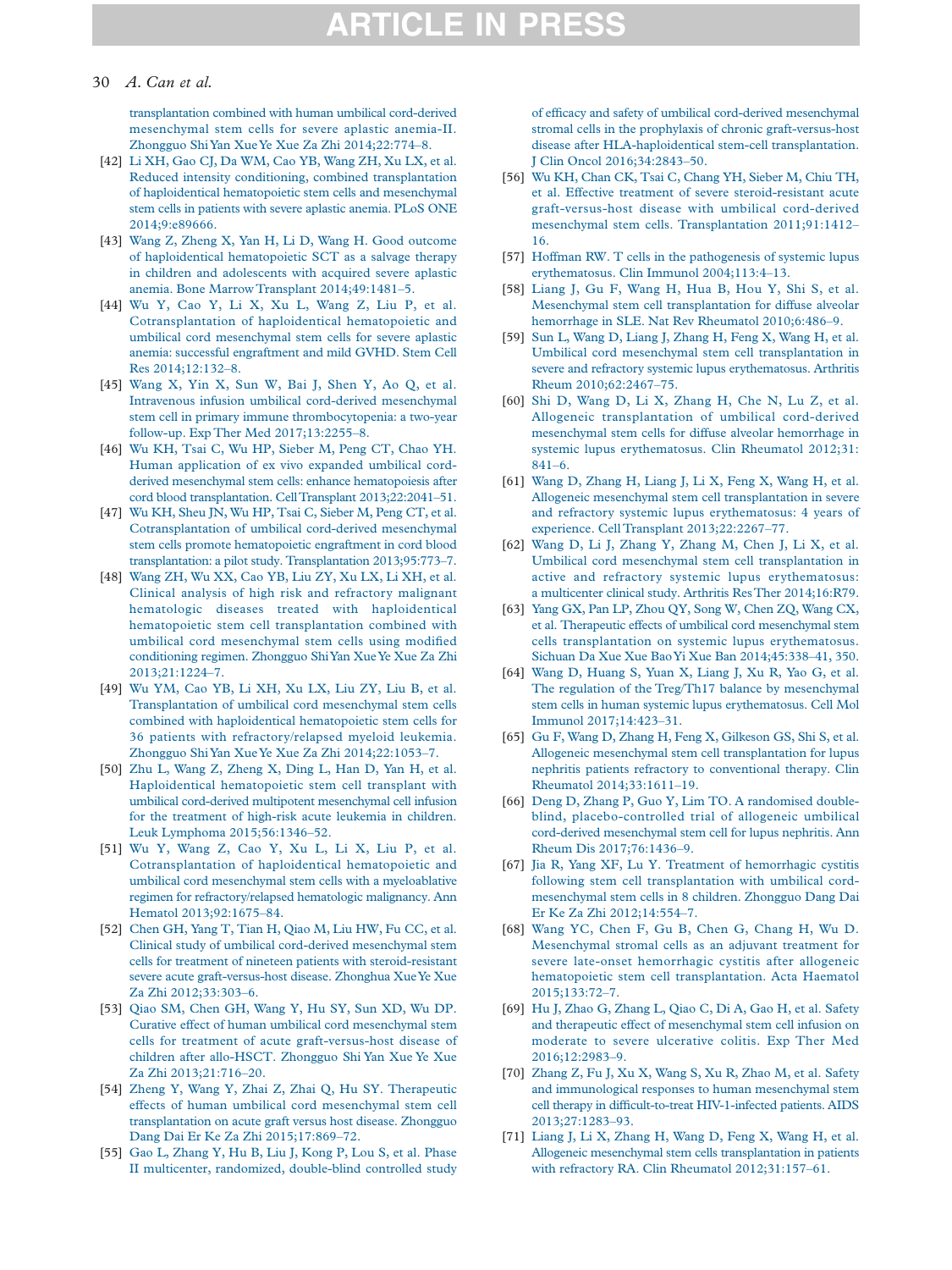## 30 *A. Can et al.*

<span id="page-29-20"></span><span id="page-29-19"></span><span id="page-29-18"></span>transplantation combined with human umbilical cord-derived mesenchymal stem cells for severe aplastic anemia-II. Zhongguo ShiYan Xue Ye Xue Za Zhi 2014;22:774-8.

- <span id="page-29-0"></span>[42] [Li XH, Gao CJ, Da WM, Cao YB, Wang ZH, Xu LX, et al.](http://refhub.elsevier.com/S1465-3249(17)30663-1/sr0215) [Reduced intensity conditioning, combined transplantation](http://refhub.elsevier.com/S1465-3249(17)30663-1/sr0215) [of haploidentical hematopoietic stem cells and mesenchymal](http://refhub.elsevier.com/S1465-3249(17)30663-1/sr0215) [stem cells in patients with severe aplastic anemia. PLoS ONE](http://refhub.elsevier.com/S1465-3249(17)30663-1/sr0215) [2014;9:e89666.](http://refhub.elsevier.com/S1465-3249(17)30663-1/sr0215)
- <span id="page-29-1"></span>[43] [Wang Z, Zheng X, Yan H, Li D, Wang H. Good outcome](http://refhub.elsevier.com/S1465-3249(17)30663-1/sr0220) [of haploidentical hematopoietic SCT as a salvage therapy](http://refhub.elsevier.com/S1465-3249(17)30663-1/sr0220) [in children and adolescents with acquired severe aplastic](http://refhub.elsevier.com/S1465-3249(17)30663-1/sr0220) [anemia. Bone Marrow Transplant 2014;49:1481–5.](http://refhub.elsevier.com/S1465-3249(17)30663-1/sr0220)
- <span id="page-29-2"></span>[44] [Wu Y, Cao Y, Li X, Xu L, Wang Z, Liu P, et al.](http://refhub.elsevier.com/S1465-3249(17)30663-1/sr0225) [Cotransplantation of haploidentical hematopoietic and](http://refhub.elsevier.com/S1465-3249(17)30663-1/sr0225) [umbilical cord mesenchymal stem cells for severe aplastic](http://refhub.elsevier.com/S1465-3249(17)30663-1/sr0225) [anemia: successful engraftment and mild GVHD. Stem Cell](http://refhub.elsevier.com/S1465-3249(17)30663-1/sr0225) [Res 2014;12:132–8.](http://refhub.elsevier.com/S1465-3249(17)30663-1/sr0225)
- <span id="page-29-3"></span>[45] [Wang X, Yin X, Sun W, Bai J, Shen Y, Ao Q, et al.](http://refhub.elsevier.com/S1465-3249(17)30663-1/sr0230) [Intravenous infusion umbilical cord-derived mesenchymal](http://refhub.elsevier.com/S1465-3249(17)30663-1/sr0230) [stem cell in primary immune thrombocytopenia: a two-year](http://refhub.elsevier.com/S1465-3249(17)30663-1/sr0230) [follow-up. Exp Ther Med 2017;13:2255–8.](http://refhub.elsevier.com/S1465-3249(17)30663-1/sr0230)
- <span id="page-29-4"></span>[46] [Wu KH, Tsai C, Wu HP, Sieber M, Peng CT, Chao YH.](http://refhub.elsevier.com/S1465-3249(17)30663-1/sr0235) [Human application of ex vivo expanded umbilical cord](http://refhub.elsevier.com/S1465-3249(17)30663-1/sr0235)[derived mesenchymal stem cells: enhance hematopoiesis after](http://refhub.elsevier.com/S1465-3249(17)30663-1/sr0235) [cord blood transplantation. CellTransplant 2013;22:2041–51.](http://refhub.elsevier.com/S1465-3249(17)30663-1/sr0235)
- <span id="page-29-45"></span><span id="page-29-44"></span><span id="page-29-43"></span><span id="page-29-5"></span>[47] [Wu KH, Sheu JN, Wu HP, Tsai C, Sieber M, Peng CT, et al.](http://refhub.elsevier.com/S1465-3249(17)30663-1/sr0240) [Cotransplantation of umbilical cord-derived mesenchymal](http://refhub.elsevier.com/S1465-3249(17)30663-1/sr0240) [stem cells promote hematopoietic engraftment in cord blood](http://refhub.elsevier.com/S1465-3249(17)30663-1/sr0240) [transplantation: a pilot study. Transplantation 2013;95:773–7.](http://refhub.elsevier.com/S1465-3249(17)30663-1/sr0240)
- <span id="page-29-6"></span>[48] [Wang ZH, Wu XX, Cao YB, Liu ZY, Xu LX, Li XH, et al.](http://refhub.elsevier.com/S1465-3249(17)30663-1/sr0245) [Clinical analysis of high risk and refractory malignant](http://refhub.elsevier.com/S1465-3249(17)30663-1/sr0245) [hematologic diseases treated with haploidentical](http://refhub.elsevier.com/S1465-3249(17)30663-1/sr0245) [hematopoietic stem cell transplantation combined with](http://refhub.elsevier.com/S1465-3249(17)30663-1/sr0245) [umbilical cord mesenchymal stem cells using modified](http://refhub.elsevier.com/S1465-3249(17)30663-1/sr0245) [conditioning regimen. Zhongguo ShiYan XueYe Xue Za Zhi](http://refhub.elsevier.com/S1465-3249(17)30663-1/sr0245) [2013;21:1224–7.](http://refhub.elsevier.com/S1465-3249(17)30663-1/sr0245)
- <span id="page-29-21"></span>[49] [Wu YM, Cao YB, Li XH, Xu LX, Liu ZY, Liu B, et al.](http://refhub.elsevier.com/S1465-3249(17)30663-1/sr0250) [Transplantation of umbilical cord mesenchymal stem cells](http://refhub.elsevier.com/S1465-3249(17)30663-1/sr0250) [combined with haploidentical hematopoietic stem cells for](http://refhub.elsevier.com/S1465-3249(17)30663-1/sr0250) [36 patients with refractory/relapsed myeloid leukemia.](http://refhub.elsevier.com/S1465-3249(17)30663-1/sr0250) Zhongguo ShiYan Xue Ye Xue Za Zhi 2014;22:1053-7.
- <span id="page-29-22"></span>[50] [Zhu L, Wang Z, Zheng X, Ding L, Han D, Yan H, et al.](http://refhub.elsevier.com/S1465-3249(17)30663-1/sr0255) [Haploidentical hematopoietic stem cell transplant with](http://refhub.elsevier.com/S1465-3249(17)30663-1/sr0255) [umbilical cord-derived multipotent mesenchymal cell infusion](http://refhub.elsevier.com/S1465-3249(17)30663-1/sr0255) [for the treatment of high-risk acute leukemia in children.](http://refhub.elsevier.com/S1465-3249(17)30663-1/sr0255) [Leuk Lymphoma 2015;56:1346–52.](http://refhub.elsevier.com/S1465-3249(17)30663-1/sr0255)
- <span id="page-29-23"></span>[51] [Wu Y, Wang Z, Cao Y, Xu L, Li X, Liu P, et al.](http://refhub.elsevier.com/S1465-3249(17)30663-1/sr0260) [Cotransplantation of haploidentical hematopoietic and](http://refhub.elsevier.com/S1465-3249(17)30663-1/sr0260) [umbilical cord mesenchymal stem cells with a myeloablative](http://refhub.elsevier.com/S1465-3249(17)30663-1/sr0260) [regimen for refractory/relapsed hematologic malignancy. Ann](http://refhub.elsevier.com/S1465-3249(17)30663-1/sr0260) [Hematol 2013;92:1675–84.](http://refhub.elsevier.com/S1465-3249(17)30663-1/sr0260)
- <span id="page-29-25"></span>[52] [Chen GH, Yang T, Tian H, Qiao M, Liu HW, Fu CC, et al.](http://refhub.elsevier.com/S1465-3249(17)30663-1/sr0265) [Clinical study of umbilical cord-derived mesenchymal stem](http://refhub.elsevier.com/S1465-3249(17)30663-1/sr0265) [cells for treatment of nineteen patients with steroid-resistant](http://refhub.elsevier.com/S1465-3249(17)30663-1/sr0265) [severe acute graft-versus-host disease. Zhonghua XueYe Xue](http://refhub.elsevier.com/S1465-3249(17)30663-1/sr0265) [Za Zhi 2012;33:303–6.](http://refhub.elsevier.com/S1465-3249(17)30663-1/sr0265)
- <span id="page-29-26"></span>[53] [Qiao SM, Chen GH, Wang Y, Hu SY, Sun XD, Wu DP.](http://refhub.elsevier.com/S1465-3249(17)30663-1/sr0270) [Curative effect of human umbilical cord mesenchymal stem](http://refhub.elsevier.com/S1465-3249(17)30663-1/sr0270) [cells for treatment of acute graft-versus-host disease of](http://refhub.elsevier.com/S1465-3249(17)30663-1/sr0270) [children after allo-HSCT. Zhongguo Shi Yan Xue Ye Xue](http://refhub.elsevier.com/S1465-3249(17)30663-1/sr0270) [Za Zhi 2013;21:716–20.](http://refhub.elsevier.com/S1465-3249(17)30663-1/sr0270)
- <span id="page-29-27"></span>[54] [Zheng Y, Wang Y, Zhai Z, Zhai Q, Hu SY. Therapeutic](http://refhub.elsevier.com/S1465-3249(17)30663-1/sr0275) [effects of human umbilical cord mesenchymal stem cell](http://refhub.elsevier.com/S1465-3249(17)30663-1/sr0275) [transplantation on acute graft versus host disease. Zhongguo](http://refhub.elsevier.com/S1465-3249(17)30663-1/sr0275) [Dang Dai Er Ke Za Zhi 2015;17:869–72.](http://refhub.elsevier.com/S1465-3249(17)30663-1/sr0275)
- <span id="page-29-28"></span>[55] [Gao L, Zhang Y, Hu B, Liu J, Kong P, Lou S, et al. Phase](http://refhub.elsevier.com/S1465-3249(17)30663-1/sr0280) [II multicenter, randomized, double-blind controlled study](http://refhub.elsevier.com/S1465-3249(17)30663-1/sr0280)

<span id="page-29-16"></span><span id="page-29-15"></span><span id="page-29-14"></span><span id="page-29-13"></span><span id="page-29-12"></span><span id="page-29-11"></span><span id="page-29-10"></span><span id="page-29-9"></span><span id="page-29-8"></span><span id="page-29-7"></span>[of efficacy and safety of umbilical cord-derived mesenchymal](http://refhub.elsevier.com/S1465-3249(17)30663-1/sr0280) [stromal cells in the prophylaxis of chronic graft-versus-host](http://refhub.elsevier.com/S1465-3249(17)30663-1/sr0280) [disease after HLA-haploidentical stem-cell transplantation.](http://refhub.elsevier.com/S1465-3249(17)30663-1/sr0280) [J Clin Oncol 2016;34:2843–50.](http://refhub.elsevier.com/S1465-3249(17)30663-1/sr0280)

- <span id="page-29-24"></span><span id="page-29-17"></span>[56] [Wu KH, Chan CK, Tsai C, Chang YH, Sieber M, Chiu TH,](http://refhub.elsevier.com/S1465-3249(17)30663-1/sr0285) [et al. Effective treatment of severe steroid-resistant acute](http://refhub.elsevier.com/S1465-3249(17)30663-1/sr0285) [graft-versus-host disease with umbilical cord-derived](http://refhub.elsevier.com/S1465-3249(17)30663-1/sr0285) [mesenchymal stem cells. Transplantation 2011;91:1412–](http://refhub.elsevier.com/S1465-3249(17)30663-1/sr0285) [16.](http://refhub.elsevier.com/S1465-3249(17)30663-1/sr0285)
- <span id="page-29-29"></span>[57] [Hoffman RW. T cells in the pathogenesis of systemic lupus](http://refhub.elsevier.com/S1465-3249(17)30663-1/sr0290) [erythematosus. Clin Immunol 2004;113:4–13.](http://refhub.elsevier.com/S1465-3249(17)30663-1/sr0290)
- <span id="page-29-30"></span>[58] [Liang J, Gu F, Wang H, Hua B, Hou Y, Shi S, et al.](http://refhub.elsevier.com/S1465-3249(17)30663-1/sr0295) [Mesenchymal stem cell transplantation for diffuse alveolar](http://refhub.elsevier.com/S1465-3249(17)30663-1/sr0295) [hemorrhage in SLE. Nat Rev Rheumatol 2010;6:486–9.](http://refhub.elsevier.com/S1465-3249(17)30663-1/sr0295)
- <span id="page-29-31"></span>[59] [Sun L, Wang D, Liang J, Zhang H, Feng X, Wang H, et al.](http://refhub.elsevier.com/S1465-3249(17)30663-1/sr0300) [Umbilical cord mesenchymal stem cell transplantation in](http://refhub.elsevier.com/S1465-3249(17)30663-1/sr0300) [severe and refractory systemic lupus erythematosus. Arthritis](http://refhub.elsevier.com/S1465-3249(17)30663-1/sr0300) [Rheum 2010;62:2467–75.](http://refhub.elsevier.com/S1465-3249(17)30663-1/sr0300)
- <span id="page-29-46"></span>[60] [Shi D, Wang D, Li X, Zhang H, Che N, Lu Z, et al.](http://refhub.elsevier.com/S1465-3249(17)30663-1/sr0305) [Allogeneic transplantation of umbilical cord-derived](http://refhub.elsevier.com/S1465-3249(17)30663-1/sr0305) [mesenchymal stem cells for diffuse alveolar hemorrhage in](http://refhub.elsevier.com/S1465-3249(17)30663-1/sr0305) [systemic lupus erythematosus. Clin Rheumatol 2012;31:](http://refhub.elsevier.com/S1465-3249(17)30663-1/sr0305) [841–6.](http://refhub.elsevier.com/S1465-3249(17)30663-1/sr0305)
- <span id="page-29-47"></span><span id="page-29-42"></span><span id="page-29-41"></span><span id="page-29-40"></span><span id="page-29-39"></span><span id="page-29-38"></span><span id="page-29-37"></span><span id="page-29-36"></span><span id="page-29-35"></span><span id="page-29-34"></span><span id="page-29-33"></span><span id="page-29-32"></span>[61] [Wang D, Zhang H, Liang J, Li X, Feng X, Wang H, et al.](http://refhub.elsevier.com/S1465-3249(17)30663-1/sr0310) [Allogeneic mesenchymal stem cell transplantation in severe](http://refhub.elsevier.com/S1465-3249(17)30663-1/sr0310) [and refractory systemic lupus erythematosus: 4 years of](http://refhub.elsevier.com/S1465-3249(17)30663-1/sr0310) [experience. Cell Transplant 2013;22:2267–77.](http://refhub.elsevier.com/S1465-3249(17)30663-1/sr0310)
- <span id="page-29-48"></span>[62] [Wang D, Li J, Zhang Y, Zhang M, Chen J, Li X, et al.](http://refhub.elsevier.com/S1465-3249(17)30663-1/sr0315) [Umbilical cord mesenchymal stem cell transplantation in](http://refhub.elsevier.com/S1465-3249(17)30663-1/sr0315) [active and refractory systemic lupus erythematosus:](http://refhub.elsevier.com/S1465-3249(17)30663-1/sr0315) [a multicenter clinical study. Arthritis ResTher 2014;16:R79.](http://refhub.elsevier.com/S1465-3249(17)30663-1/sr0315)
- <span id="page-29-49"></span>[63] [Yang GX, Pan LP, Zhou QY, Song W, Chen ZQ, Wang CX,](http://refhub.elsevier.com/S1465-3249(17)30663-1/sr0320) [et al. Therapeutic effects of umbilical cord mesenchymal stem](http://refhub.elsevier.com/S1465-3249(17)30663-1/sr0320) [cells transplantation on systemic lupus erythematosus.](http://refhub.elsevier.com/S1465-3249(17)30663-1/sr0320) [Sichuan Da Xue Xue BaoYi Xue Ban 2014;45:338–41, 350.](http://refhub.elsevier.com/S1465-3249(17)30663-1/sr0320)
- <span id="page-29-50"></span>[64] [Wang D, Huang S, Yuan X, Liang J, Xu R, Yao G, et al.](http://refhub.elsevier.com/S1465-3249(17)30663-1/sr0325) [The regulation of the Treg/Th17 balance by mesenchymal](http://refhub.elsevier.com/S1465-3249(17)30663-1/sr0325) [stem cells in human systemic lupus erythematosus. Cell Mol](http://refhub.elsevier.com/S1465-3249(17)30663-1/sr0325) [Immunol 2017;14:423–31.](http://refhub.elsevier.com/S1465-3249(17)30663-1/sr0325)
- <span id="page-29-51"></span>[65] [Gu F, Wang D, Zhang H, Feng X, Gilkeson GS, Shi S, et al.](http://refhub.elsevier.com/S1465-3249(17)30663-1/sr0330) [Allogeneic mesenchymal stem cell transplantation for lupus](http://refhub.elsevier.com/S1465-3249(17)30663-1/sr0330) [nephritis patients refractory to conventional therapy. Clin](http://refhub.elsevier.com/S1465-3249(17)30663-1/sr0330) [Rheumatol 2014;33:1611–19.](http://refhub.elsevier.com/S1465-3249(17)30663-1/sr0330)
- <span id="page-29-52"></span>[66] [Deng D, Zhang P, Guo Y, Lim TO. A randomised double](http://refhub.elsevier.com/S1465-3249(17)30663-1/sr0335)[blind, placebo-controlled trial of allogeneic umbilical](http://refhub.elsevier.com/S1465-3249(17)30663-1/sr0335) [cord-derived mesenchymal stem cell for lupus nephritis. Ann](http://refhub.elsevier.com/S1465-3249(17)30663-1/sr0335) [Rheum Dis 2017;76:1436–9.](http://refhub.elsevier.com/S1465-3249(17)30663-1/sr0335)
- <span id="page-29-53"></span>[67] [Jia R, Yang XF, Lu Y. Treatment of hemorrhagic cystitis](http://refhub.elsevier.com/S1465-3249(17)30663-1/sr0340) [following stem cell transplantation with umbilical cord](http://refhub.elsevier.com/S1465-3249(17)30663-1/sr0340)[mesenchymal stem cells in 8 children. Zhongguo Dang Dai](http://refhub.elsevier.com/S1465-3249(17)30663-1/sr0340) [Er Ke Za Zhi 2012;14:554–7.](http://refhub.elsevier.com/S1465-3249(17)30663-1/sr0340)
- <span id="page-29-54"></span>[68] [Wang YC, Chen F, Gu B, Chen G, Chang H, Wu D.](http://refhub.elsevier.com/S1465-3249(17)30663-1/sr0345) [Mesenchymal stromal cells as an adjuvant treatment for](http://refhub.elsevier.com/S1465-3249(17)30663-1/sr0345) [severe late-onset hemorrhagic cystitis after allogeneic](http://refhub.elsevier.com/S1465-3249(17)30663-1/sr0345) [hematopoietic stem cell transplantation. Acta Haematol](http://refhub.elsevier.com/S1465-3249(17)30663-1/sr0345) [2015;133:72–7.](http://refhub.elsevier.com/S1465-3249(17)30663-1/sr0345)
- <span id="page-29-55"></span>[69] [Hu J, Zhao G, Zhang L, Qiao C, Di A, Gao H, et al. Safety](http://refhub.elsevier.com/S1465-3249(17)30663-1/sr0350) [and therapeutic effect of mesenchymal stem cell infusion on](http://refhub.elsevier.com/S1465-3249(17)30663-1/sr0350) [moderate to severe ulcerative colitis. Exp Ther Med](http://refhub.elsevier.com/S1465-3249(17)30663-1/sr0350) [2016;12:2983–9.](http://refhub.elsevier.com/S1465-3249(17)30663-1/sr0350)
- <span id="page-29-56"></span>[70] [Zhang Z, Fu J, Xu X, Wang S, Xu R, Zhao M, et al. Safety](http://refhub.elsevier.com/S1465-3249(17)30663-1/sr0355) [and immunological responses to human mesenchymal stem](http://refhub.elsevier.com/S1465-3249(17)30663-1/sr0355) [cell therapy in difficult-to-treat HIV-1-infected patients. AIDS](http://refhub.elsevier.com/S1465-3249(17)30663-1/sr0355) [2013;27:1283–93.](http://refhub.elsevier.com/S1465-3249(17)30663-1/sr0355)
- <span id="page-29-57"></span>[71] [Liang J, Li X, Zhang H, Wang D, Feng X, Wang H, et al.](http://refhub.elsevier.com/S1465-3249(17)30663-1/sr0360) [Allogeneic mesenchymal stem cells transplantation in patients](http://refhub.elsevier.com/S1465-3249(17)30663-1/sr0360) [with refractory RA. Clin Rheumatol 2012;31:157–61.](http://refhub.elsevier.com/S1465-3249(17)30663-1/sr0360)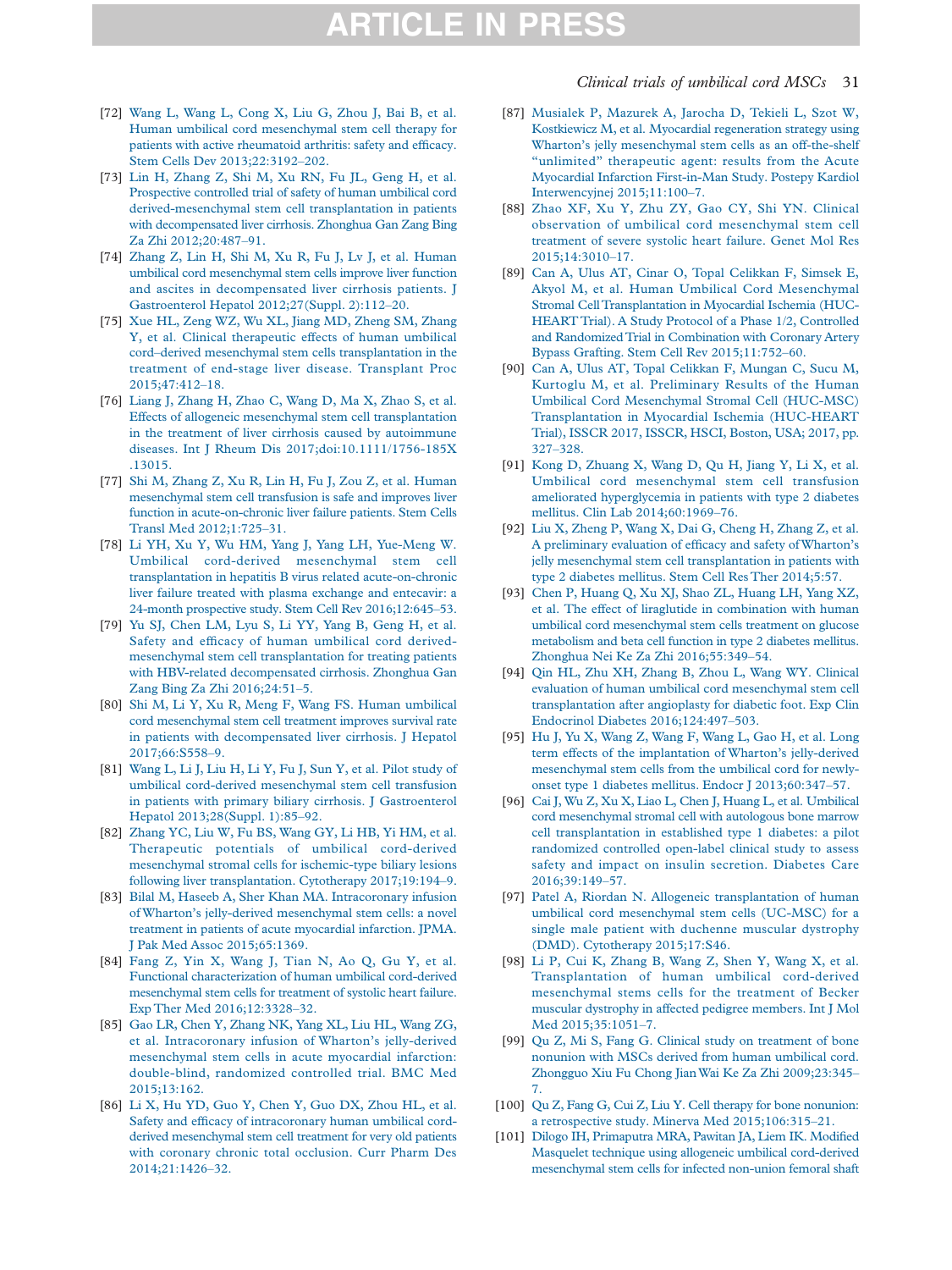### <span id="page-30-11"></span><span id="page-30-10"></span><span id="page-30-9"></span><span id="page-30-8"></span><span id="page-30-7"></span><span id="page-30-6"></span><span id="page-30-5"></span><span id="page-30-4"></span><span id="page-30-0"></span>*Clinical trials of umbilical cord MSCs* 31

- <span id="page-30-35"></span><span id="page-30-33"></span><span id="page-30-1"></span>[72] [Wang L, Wang L, Cong X, Liu G, Zhou J, Bai B, et al.](http://refhub.elsevier.com/S1465-3249(17)30663-1/sr0365) [Human umbilical cord mesenchymal stem cell therapy for](http://refhub.elsevier.com/S1465-3249(17)30663-1/sr0365) [patients with active rheumatoid arthritis: safety and efficacy.](http://refhub.elsevier.com/S1465-3249(17)30663-1/sr0365) [Stem Cells Dev 2013;22:3192–202.](http://refhub.elsevier.com/S1465-3249(17)30663-1/sr0365)
- <span id="page-30-2"></span>[73] [Lin H, Zhang Z, Shi M, Xu RN, Fu JL, Geng H, et al.](http://refhub.elsevier.com/S1465-3249(17)30663-1/sr0370) [Prospective controlled trial of safety of human umbilical cord](http://refhub.elsevier.com/S1465-3249(17)30663-1/sr0370) [derived-mesenchymal stem cell transplantation in patients](http://refhub.elsevier.com/S1465-3249(17)30663-1/sr0370) [with decompensated liver cirrhosis. Zhonghua Gan Zang Bing](http://refhub.elsevier.com/S1465-3249(17)30663-1/sr0370) [Za Zhi 2012;20:487–91.](http://refhub.elsevier.com/S1465-3249(17)30663-1/sr0370)
- <span id="page-30-3"></span>[74] [Zhang Z, Lin H, Shi M, Xu R, Fu J, Lv J, et al. Human](http://refhub.elsevier.com/S1465-3249(17)30663-1/sr0375) [umbilical cord mesenchymal stem cells improve liver function](http://refhub.elsevier.com/S1465-3249(17)30663-1/sr0375) [and ascites in decompensated liver cirrhosis patients. J](http://refhub.elsevier.com/S1465-3249(17)30663-1/sr0375) [Gastroenterol Hepatol 2012;27\(Suppl. 2\):112–20.](http://refhub.elsevier.com/S1465-3249(17)30663-1/sr0375)
- <span id="page-30-14"></span>[75] [Xue HL, Zeng WZ, Wu XL, Jiang MD, Zheng SM, Zhang](http://refhub.elsevier.com/S1465-3249(17)30663-1/sr0380) [Y, et al. Clinical therapeutic effects of human umbilical](http://refhub.elsevier.com/S1465-3249(17)30663-1/sr0380) [cord–derived mesenchymal stem cells transplantation in the](http://refhub.elsevier.com/S1465-3249(17)30663-1/sr0380) [treatment of end-stage liver disease. Transplant Proc](http://refhub.elsevier.com/S1465-3249(17)30663-1/sr0380) [2015;47:412–18.](http://refhub.elsevier.com/S1465-3249(17)30663-1/sr0380)
- <span id="page-30-15"></span>[76] [Liang J, Zhang H, Zhao C, Wang D, Ma X, Zhao S, et al.](http://refhub.elsevier.com/S1465-3249(17)30663-1/sr0385) [Effects of allogeneic mesenchymal stem cell transplantation](http://refhub.elsevier.com/S1465-3249(17)30663-1/sr0385) [in the treatment of liver cirrhosis caused by autoimmune](http://refhub.elsevier.com/S1465-3249(17)30663-1/sr0385) [diseases. Int J Rheum Dis 2017;doi:10.1111/1756-185X](http://refhub.elsevier.com/S1465-3249(17)30663-1/sr0385) [.13015.](http://refhub.elsevier.com/S1465-3249(17)30663-1/sr0385)
- <span id="page-30-55"></span><span id="page-30-54"></span><span id="page-30-53"></span><span id="page-30-16"></span>[77] [Shi M, Zhang Z, Xu R, Lin H, Fu J, Zou Z, et al. Human](http://refhub.elsevier.com/S1465-3249(17)30663-1/sr0390) [mesenchymal stem cell transfusion is safe and improves liver](http://refhub.elsevier.com/S1465-3249(17)30663-1/sr0390) [function in acute-on-chronic liver failure patients. Stem Cells](http://refhub.elsevier.com/S1465-3249(17)30663-1/sr0390) [Transl Med 2012;1:725–31.](http://refhub.elsevier.com/S1465-3249(17)30663-1/sr0390)
- <span id="page-30-17"></span>[78] [Li YH, Xu Y, Wu HM, Yang J, Yang LH, Yue-Meng W.](http://refhub.elsevier.com/S1465-3249(17)30663-1/sr0395) [Umbilical cord-derived mesenchymal stem cell](http://refhub.elsevier.com/S1465-3249(17)30663-1/sr0395) [transplantation in hepatitis B virus related acute-on-chronic](http://refhub.elsevier.com/S1465-3249(17)30663-1/sr0395) [liver failure treated with plasma exchange and entecavir: a](http://refhub.elsevier.com/S1465-3249(17)30663-1/sr0395) [24-month prospective study. Stem Cell Rev 2016;12:645–53.](http://refhub.elsevier.com/S1465-3249(17)30663-1/sr0395)
- <span id="page-30-18"></span>[79] [Yu SJ, Chen LM, Lyu S, Li YY, Yang B, Geng H, et al.](http://refhub.elsevier.com/S1465-3249(17)30663-1/sr0400) [Safety and efficacy of human umbilical cord derived](http://refhub.elsevier.com/S1465-3249(17)30663-1/sr0400)[mesenchymal stem cell transplantation for treating patients](http://refhub.elsevier.com/S1465-3249(17)30663-1/sr0400) [with HBV-related decompensated cirrhosis. Zhonghua Gan](http://refhub.elsevier.com/S1465-3249(17)30663-1/sr0400) [Zang Bing Za Zhi 2016;24:51–5.](http://refhub.elsevier.com/S1465-3249(17)30663-1/sr0400)
- <span id="page-30-19"></span>[80] [Shi M, Li Y, Xu R, Meng F, Wang FS. Human umbilical](http://refhub.elsevier.com/S1465-3249(17)30663-1/sr0405) [cord mesenchymal stem cell treatment improves survival rate](http://refhub.elsevier.com/S1465-3249(17)30663-1/sr0405) [in patients with decompensated liver cirrhosis. J Hepatol](http://refhub.elsevier.com/S1465-3249(17)30663-1/sr0405) [2017;66:S558–9.](http://refhub.elsevier.com/S1465-3249(17)30663-1/sr0405)
- <span id="page-30-20"></span>[81] [Wang L, Li J, Liu H, Li Y, Fu J, Sun Y, et al. Pilot study of](http://refhub.elsevier.com/S1465-3249(17)30663-1/sr0410) [umbilical cord-derived mesenchymal stem cell transfusion](http://refhub.elsevier.com/S1465-3249(17)30663-1/sr0410) [in patients with primary biliary cirrhosis. J Gastroenterol](http://refhub.elsevier.com/S1465-3249(17)30663-1/sr0410) [Hepatol 2013;28\(Suppl. 1\):85–92.](http://refhub.elsevier.com/S1465-3249(17)30663-1/sr0410)
- <span id="page-30-21"></span>[82] [Zhang YC, Liu W, Fu BS, Wang GY, Li HB, Yi HM, et al.](http://refhub.elsevier.com/S1465-3249(17)30663-1/sr0415) [Therapeutic potentials of umbilical cord-derived](http://refhub.elsevier.com/S1465-3249(17)30663-1/sr0415) [mesenchymal stromal cells for ischemic-type biliary lesions](http://refhub.elsevier.com/S1465-3249(17)30663-1/sr0415) [following liver transplantation. Cytotherapy 2017;19:194–9.](http://refhub.elsevier.com/S1465-3249(17)30663-1/sr0415)
- <span id="page-30-22"></span>[83] [Bilal M, Haseeb A, Sher Khan MA. Intracoronary infusion](http://refhub.elsevier.com/S1465-3249(17)30663-1/sr0420) [of Wharton's jelly-derived mesenchymal stem cells: a novel](http://refhub.elsevier.com/S1465-3249(17)30663-1/sr0420) [treatment in patients of acute myocardial infarction. JPMA.](http://refhub.elsevier.com/S1465-3249(17)30663-1/sr0420) [J Pak Med Assoc 2015;65:1369.](http://refhub.elsevier.com/S1465-3249(17)30663-1/sr0420)
- <span id="page-30-28"></span>[84] [Fang Z, Yin X, Wang J, Tian N, Ao Q, Gu Y, et al.](http://refhub.elsevier.com/S1465-3249(17)30663-1/sr0425) [Functional characterization of human umbilical cord-derived](http://refhub.elsevier.com/S1465-3249(17)30663-1/sr0425) [mesenchymal stem cells for treatment of systolic heart failure.](http://refhub.elsevier.com/S1465-3249(17)30663-1/sr0425) [Exp Ther Med 2016;12:3328–32.](http://refhub.elsevier.com/S1465-3249(17)30663-1/sr0425)
- <span id="page-30-26"></span>[85] [Gao LR, Chen Y, Zhang NK, Yang XL, Liu HL, Wang ZG,](http://refhub.elsevier.com/S1465-3249(17)30663-1/sr0430) [et al. Intracoronary infusion of Wharton's jelly-derived](http://refhub.elsevier.com/S1465-3249(17)30663-1/sr0430) [mesenchymal stem cells in acute myocardial infarction:](http://refhub.elsevier.com/S1465-3249(17)30663-1/sr0430) [double-blind, randomized controlled trial. BMC Med](http://refhub.elsevier.com/S1465-3249(17)30663-1/sr0430) [2015;13:162.](http://refhub.elsevier.com/S1465-3249(17)30663-1/sr0430)
- <span id="page-30-29"></span>[86] [Li X, Hu YD, Guo Y, Chen Y, Guo DX, Zhou HL, et al.](http://refhub.elsevier.com/S1465-3249(17)30663-1/sr0435) [Safety and efficacy of intracoronary human umbilical cord](http://refhub.elsevier.com/S1465-3249(17)30663-1/sr0435)[derived mesenchymal stem cell treatment for very old patients](http://refhub.elsevier.com/S1465-3249(17)30663-1/sr0435) [with coronary chronic total occlusion. Curr Pharm Des](http://refhub.elsevier.com/S1465-3249(17)30663-1/sr0435) [2014;21:1426–32.](http://refhub.elsevier.com/S1465-3249(17)30663-1/sr0435)
- <span id="page-30-39"></span><span id="page-30-36"></span><span id="page-30-27"></span><span id="page-30-13"></span><span id="page-30-12"></span>[87] [Musialek P, Mazurek A, Jarocha D, Tekieli L, Szot W,](http://refhub.elsevier.com/S1465-3249(17)30663-1/sr0440) [Kostkiewicz M, et al. Myocardial regeneration strategy using](http://refhub.elsevier.com/S1465-3249(17)30663-1/sr0440) [Wharton's jelly mesenchymal stem cells as an off-the-shelf](http://refhub.elsevier.com/S1465-3249(17)30663-1/sr0440) ["unlimited" therapeutic agent: results from the Acute](http://refhub.elsevier.com/S1465-3249(17)30663-1/sr0440) [Myocardial Infarction First-in-Man Study. Postepy Kardiol](http://refhub.elsevier.com/S1465-3249(17)30663-1/sr0440) [Interwencyjnej 2015;11:100–7.](http://refhub.elsevier.com/S1465-3249(17)30663-1/sr0440)
- <span id="page-30-25"></span>[88] [Zhao XF, Xu Y, Zhu ZY, Gao CY, Shi YN. Clinical](http://refhub.elsevier.com/S1465-3249(17)30663-1/sr0445) [observation of umbilical cord mesenchymal stem cell](http://refhub.elsevier.com/S1465-3249(17)30663-1/sr0445) [treatment of severe systolic heart failure. Genet Mol Res](http://refhub.elsevier.com/S1465-3249(17)30663-1/sr0445) [2015;14:3010–17.](http://refhub.elsevier.com/S1465-3249(17)30663-1/sr0445)
- <span id="page-30-23"></span>[89] [Can A, Ulus AT, Cinar O, Topal Celikkan F, Simsek E,](http://refhub.elsevier.com/S1465-3249(17)30663-1/sr0450) [Akyol M, et al. Human Umbilical Cord Mesenchymal](http://refhub.elsevier.com/S1465-3249(17)30663-1/sr0450) [Stromal CellTransplantation in Myocardial Ischemia \(HUC-](http://refhub.elsevier.com/S1465-3249(17)30663-1/sr0450)[HEART Trial\). A Study Protocol of a Phase 1/2, Controlled](http://refhub.elsevier.com/S1465-3249(17)30663-1/sr0450) and Randomized Trial in Combination with Coronary Artery [Bypass Grafting. Stem Cell Rev 2015;11:752–60.](http://refhub.elsevier.com/S1465-3249(17)30663-1/sr0450)
- <span id="page-30-24"></span>[90] [Can A, Ulus AT, Topal Celikkan F, Mungan C, Sucu M,](http://refhub.elsevier.com/S1465-3249(17)30663-1/sr0455) [Kurtoglu M, et al. Preliminary Results of the Human](http://refhub.elsevier.com/S1465-3249(17)30663-1/sr0455) [Umbilical Cord Mesenchymal Stromal Cell \(HUC-MSC\)](http://refhub.elsevier.com/S1465-3249(17)30663-1/sr0455) [Transplantation in Myocardial Ischemia \(HUC-HEART](http://refhub.elsevier.com/S1465-3249(17)30663-1/sr0455) [Trial\), ISSCR 2017, ISSCR, HSCI, Boston, USA; 2017, pp.](http://refhub.elsevier.com/S1465-3249(17)30663-1/sr0455) [327–328.](http://refhub.elsevier.com/S1465-3249(17)30663-1/sr0455)
- <span id="page-30-52"></span><span id="page-30-51"></span><span id="page-30-45"></span><span id="page-30-44"></span><span id="page-30-43"></span><span id="page-30-42"></span><span id="page-30-41"></span><span id="page-30-40"></span><span id="page-30-38"></span><span id="page-30-37"></span><span id="page-30-34"></span><span id="page-30-30"></span>[91] [Kong D, Zhuang X, Wang D, Qu H, Jiang Y, Li X, et al.](http://refhub.elsevier.com/S1465-3249(17)30663-1/sr0460) [Umbilical cord mesenchymal stem cell transfusion](http://refhub.elsevier.com/S1465-3249(17)30663-1/sr0460) [ameliorated hyperglycemia in patients with type 2 diabetes](http://refhub.elsevier.com/S1465-3249(17)30663-1/sr0460) [mellitus. Clin Lab 2014;60:1969–76.](http://refhub.elsevier.com/S1465-3249(17)30663-1/sr0460)
- <span id="page-30-32"></span>[92] [Liu X, Zheng P, Wang X, Dai G, Cheng H, Zhang Z, et al.](http://refhub.elsevier.com/S1465-3249(17)30663-1/sr0465) [A preliminary evaluation of efficacy and safety of Wharton's](http://refhub.elsevier.com/S1465-3249(17)30663-1/sr0465) [jelly mesenchymal stem cell transplantation in patients with](http://refhub.elsevier.com/S1465-3249(17)30663-1/sr0465) [type 2 diabetes mellitus. Stem Cell Res Ther 2014;5:57.](http://refhub.elsevier.com/S1465-3249(17)30663-1/sr0465)
- <span id="page-30-46"></span>[93] [Chen P, Huang Q, Xu XJ, Shao ZL, Huang LH, Yang XZ,](http://refhub.elsevier.com/S1465-3249(17)30663-1/sr0470) [et al. The effect of liraglutide in combination with human](http://refhub.elsevier.com/S1465-3249(17)30663-1/sr0470) [umbilical cord mesenchymal stem cells treatment on glucose](http://refhub.elsevier.com/S1465-3249(17)30663-1/sr0470) [metabolism and beta cell function in type 2 diabetes mellitus.](http://refhub.elsevier.com/S1465-3249(17)30663-1/sr0470) [Zhonghua Nei Ke Za Zhi 2016;55:349–54.](http://refhub.elsevier.com/S1465-3249(17)30663-1/sr0470)
- <span id="page-30-31"></span>[94] [Qin HL, Zhu XH, Zhang B, Zhou L, Wang WY. Clinical](http://refhub.elsevier.com/S1465-3249(17)30663-1/sr0475) [evaluation of human umbilical cord mesenchymal stem cell](http://refhub.elsevier.com/S1465-3249(17)30663-1/sr0475) [transplantation after angioplasty for diabetic foot. Exp Clin](http://refhub.elsevier.com/S1465-3249(17)30663-1/sr0475) [Endocrinol Diabetes 2016;124:497–503.](http://refhub.elsevier.com/S1465-3249(17)30663-1/sr0475)
- <span id="page-30-47"></span>[95] [Hu J, Yu X, Wang Z, Wang F, Wang L, Gao H, et al. Long](http://refhub.elsevier.com/S1465-3249(17)30663-1/sr0480) [term effects of the implantation of Wharton's jelly-derived](http://refhub.elsevier.com/S1465-3249(17)30663-1/sr0480) [mesenchymal stem cells from the umbilical cord for newly](http://refhub.elsevier.com/S1465-3249(17)30663-1/sr0480)[onset type 1 diabetes mellitus. Endocr J 2013;60:347–57.](http://refhub.elsevier.com/S1465-3249(17)30663-1/sr0480)
- <span id="page-30-48"></span>[96] [Cai J, Wu Z, Xu X, Liao L, Chen J, Huang L, et al. Umbilical](http://refhub.elsevier.com/S1465-3249(17)30663-1/sr0485) [cord mesenchymal stromal cell with autologous bone marrow](http://refhub.elsevier.com/S1465-3249(17)30663-1/sr0485) [cell transplantation in established type 1 diabetes: a pilot](http://refhub.elsevier.com/S1465-3249(17)30663-1/sr0485) [randomized controlled open-label clinical study to assess](http://refhub.elsevier.com/S1465-3249(17)30663-1/sr0485) [safety and impact on insulin secretion. Diabetes Care](http://refhub.elsevier.com/S1465-3249(17)30663-1/sr0485) [2016;39:149–57.](http://refhub.elsevier.com/S1465-3249(17)30663-1/sr0485)
- <span id="page-30-49"></span>[97] [Patel A, Riordan N. Allogeneic transplantation of human](http://refhub.elsevier.com/S1465-3249(17)30663-1/sr0490) [umbilical cord mesenchymal stem cells \(UC-MSC\) for a](http://refhub.elsevier.com/S1465-3249(17)30663-1/sr0490) [single male patient with duchenne muscular dystrophy](http://refhub.elsevier.com/S1465-3249(17)30663-1/sr0490) [\(DMD\). Cytotherapy 2015;17:S46.](http://refhub.elsevier.com/S1465-3249(17)30663-1/sr0490)
- <span id="page-30-50"></span>[98] [Li P, Cui K, Zhang B, Wang Z, Shen Y, Wang X, et al.](http://refhub.elsevier.com/S1465-3249(17)30663-1/sr0495) [Transplantation of human umbilical cord-derived](http://refhub.elsevier.com/S1465-3249(17)30663-1/sr0495) [mesenchymal stems cells for the treatment of Becker](http://refhub.elsevier.com/S1465-3249(17)30663-1/sr0495) [muscular dystrophy in affected pedigree members. Int J Mol](http://refhub.elsevier.com/S1465-3249(17)30663-1/sr0495) [Med 2015;35:1051–7.](http://refhub.elsevier.com/S1465-3249(17)30663-1/sr0495)
- <span id="page-30-56"></span>[99] [Qu Z, Mi S, Fang G. Clinical study on treatment of bone](http://refhub.elsevier.com/S1465-3249(17)30663-1/sr0500) [nonunion with MSCs derived from human umbilical cord.](http://refhub.elsevier.com/S1465-3249(17)30663-1/sr0500) [Zhongguo Xiu Fu Chong JianWai Ke Za Zhi 2009;23:345–](http://refhub.elsevier.com/S1465-3249(17)30663-1/sr0500) [7.](http://refhub.elsevier.com/S1465-3249(17)30663-1/sr0500)
- <span id="page-30-57"></span>[100] [Qu Z, Fang G, Cui Z, Liu Y. Cell therapy for bone nonunion:](http://refhub.elsevier.com/S1465-3249(17)30663-1/sr0505) [a retrospective study. Minerva Med 2015;106:315–21.](http://refhub.elsevier.com/S1465-3249(17)30663-1/sr0505)
- <span id="page-30-58"></span>[101] [Dilogo IH, Primaputra MRA, Pawitan JA, Liem IK. Modified](http://refhub.elsevier.com/S1465-3249(17)30663-1/sr0510) [Masquelet technique using allogeneic umbilical cord-derived](http://refhub.elsevier.com/S1465-3249(17)30663-1/sr0510) [mesenchymal stem cells for infected non-union femoral shaft](http://refhub.elsevier.com/S1465-3249(17)30663-1/sr0510)